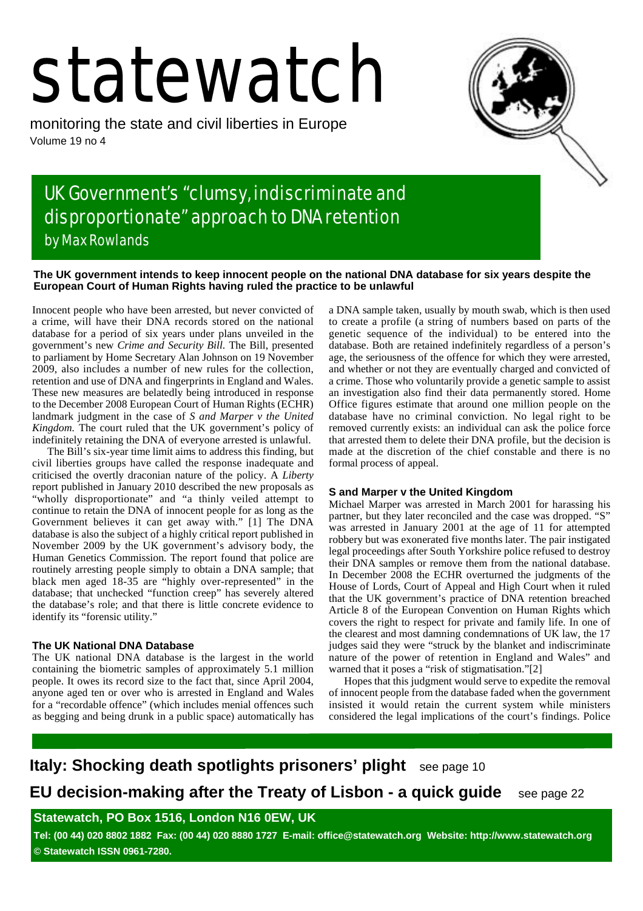# statewatch

monitoring the state and civil liberties in Europe Volume 19 no 4



# UK Government's "clumsy, indiscriminate and disproportionate" approach to DNA retention by Max Rowlands

### **The UK government intends to keep innocent people on the national DNA database for six years despite the European Court of Human Rights having ruled the practice to be unlawful**

Innocent people who have been arrested, but never convicted of a crime, will have their DNA records stored on the national database for a period of six years under plans unveiled in the government's new *Crime and Security Bill*. The Bill, presented to parliament by Home Secretary Alan Johnson on 19 November 2009, also includes a number of new rules for the collection, retention and use of DNA and fingerprints in England and Wales. These new measures are belatedly being introduced in response to the December 2008 European Court of Human Rights (ECHR) landmark judgment in the case of *S and Marper v the United Kingdom.* The court ruled that the UK government's policy of indefinitely retaining the DNA of everyone arrested is unlawful.

The Bill's six-year time limit aims to address this finding, but civil liberties groups have called the response inadequate and criticised the overtly draconian nature of the policy. A *Liberty* report published in January 2010 described the new proposals as "wholly disproportionate" and "a thinly veiled attempt to continue to retain the DNA of innocent people for as long as the Government believes it can get away with." [1] The DNA database is also the subject of a highly critical report published in November 2009 by the UK government's advisory body, the Human Genetics Commission. The report found that police are routinely arresting people simply to obtain a DNA sample; that black men aged 18-35 are "highly over-represented" in the database; that unchecked "function creep" has severely altered the database's role; and that there is little concrete evidence to identify its "forensic utility."

## **The UK National DNA Database**

The UK national DNA database is the largest in the world containing the biometric samples of approximately 5.1 million people. It owes its record size to the fact that, since April 2004, anyone aged ten or over who is arrested in England and Wales for a "recordable offence" (which includes menial offences such as begging and being drunk in a public space) automatically has a DNA sample taken, usually by mouth swab, which is then used to create a profile (a string of numbers based on parts of the genetic sequence of the individual) to be entered into the database. Both are retained indefinitely regardless of a person's age, the seriousness of the offence for which they were arrested, and whether or not they are eventually charged and convicted of a crime. Those who voluntarily provide a genetic sample to assist an investigation also find their data permanently stored. Home Office figures estimate that around one million people on the database have no criminal conviction. No legal right to be removed currently exists: an individual can ask the police force that arrested them to delete their DNA profile, but the decision is made at the discretion of the chief constable and there is no formal process of appeal.

#### **S and Marper v the United Kingdom**

Michael Marper was arrested in March 2001 for harassing his partner, but they later reconciled and the case was dropped. "S" was arrested in January 2001 at the age of 11 for attempted robbery but was exonerated five months later. The pair instigated legal proceedings after South Yorkshire police refused to destroy their DNA samples or remove them from the national database. In December 2008 the ECHR overturned the judgments of the House of Lords, Court of Appeal and High Court when it ruled that the UK government's practice of DNA retention breached Article 8 of the European Convention on Human Rights which covers the right to respect for private and family life. In one of the clearest and most damning condemnations of UK law, the 17 judges said they were "struck by the blanket and indiscriminate nature of the power of retention in England and Wales" and warned that it poses a "risk of stigmatisation."[2]

Hopes that this judgment would serve to expedite the removal of innocent people from the database faded when the government insisted it would retain the current system while ministers considered the legal implications of the court's findings. Police

**Italy: Shocking death spotlights prisoners' plight** see page 10 **EU decision-making after the Treaty of Lisbon - a quick guide** see page 22

**Statewatch, PO Box 1516, London N16 0EW, UK**

**Tel: (00 44) 020 8802 1882 Fax: (00 44) 020 8880 1727 E-mail: office@statewatch.org Website: http://www.statewatch.org © Statewatch ISSN 0961-7280.**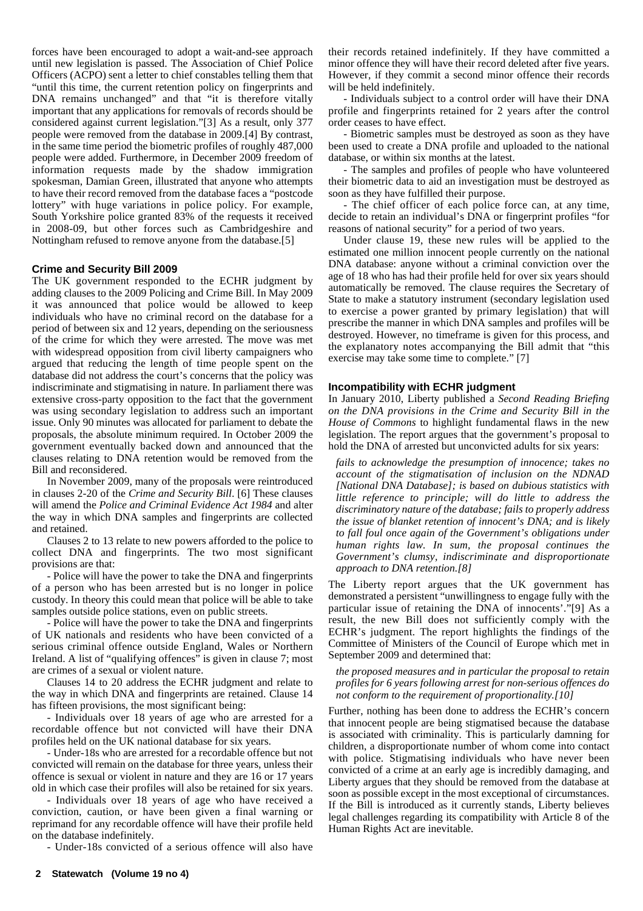forces have been encouraged to adopt a wait-and-see approach until new legislation is passed. The Association of Chief Police Officers (ACPO) sent a letter to chief constables telling them that "until this time, the current retention policy on fingerprints and DNA remains unchanged" and that "it is therefore vitally important that any applications for removals of records should be considered against current legislation."[3] As a result, only 377 people were removed from the database in 2009.[4] By contrast, in the same time period the biometric profiles of roughly 487,000 people were added. Furthermore, in December 2009 freedom of information requests made by the shadow immigration spokesman, Damian Green, illustrated that anyone who attempts to have their record removed from the database faces a "postcode lottery" with huge variations in police policy. For example, South Yorkshire police granted 83% of the requests it received in 2008-09, but other forces such as Cambridgeshire and Nottingham refused to remove anyone from the database.[5]

#### **Crime and Security Bill 2009**

The UK government responded to the ECHR judgment by adding clauses to the 2009 Policing and Crime Bill. In May 2009 it was announced that police would be allowed to keep individuals who have no criminal record on the database for a period of between six and 12 years, depending on the seriousness of the crime for which they were arrested. The move was met with widespread opposition from civil liberty campaigners who argued that reducing the length of time people spent on the database did not address the court's concerns that the policy was indiscriminate and stigmatising in nature. In parliament there was extensive cross-party opposition to the fact that the government was using secondary legislation to address such an important issue. Only 90 minutes was allocated for parliament to debate the proposals, the absolute minimum required. In October 2009 the government eventually backed down and announced that the clauses relating to DNA retention would be removed from the Bill and reconsidered.

In November 2009, many of the proposals were reintroduced in clauses 2-20 of the *Crime and Security Bill*. [6] These clauses will amend the *Police and Criminal Evidence Act 1984* and alter the way in which DNA samples and fingerprints are collected and retained.

Clauses 2 to 13 relate to new powers afforded to the police to collect DNA and fingerprints. The two most significant provisions are that:

- Police will have the power to take the DNA and fingerprints of a person who has been arrested but is no longer in police custody. In theory this could mean that police will be able to take samples outside police stations, even on public streets.

- Police will have the power to take the DNA and fingerprints of UK nationals and residents who have been convicted of a serious criminal offence outside England, Wales or Northern Ireland. A list of "qualifying offences" is given in clause 7; most are crimes of a sexual or violent nature.

Clauses 14 to 20 address the ECHR judgment and relate to the way in which DNA and fingerprints are retained. Clause 14 has fifteen provisions, the most significant being:

- Individuals over 18 years of age who are arrested for a recordable offence but not convicted will have their DNA profiles held on the UK national database for six years.

- Under-18s who are arrested for a recordable offence but not convicted will remain on the database for three years, unless their offence is sexual or violent in nature and they are 16 or 17 years old in which case their profiles will also be retained for six years.

- Individuals over 18 years of age who have received a conviction, caution, or have been given a final warning or reprimand for any recordable offence will have their profile held on the database indefinitely.

- Under-18s convicted of a serious offence will also have

their records retained indefinitely. If they have committed a minor offence they will have their record deleted after five years. However, if they commit a second minor offence their records will be held indefinitely.

- Individuals subject to a control order will have their DNA profile and fingerprints retained for 2 years after the control order ceases to have effect.

- Biometric samples must be destroyed as soon as they have been used to create a DNA profile and uploaded to the national database, or within six months at the latest.

- The samples and profiles of people who have volunteered their biometric data to aid an investigation must be destroyed as soon as they have fulfilled their purpose.

- The chief officer of each police force can, at any time, decide to retain an individual's DNA or fingerprint profiles "for reasons of national security" for a period of two years.

Under clause 19, these new rules will be applied to the estimated one million innocent people currently on the national DNA database: anyone without a criminal conviction over the age of 18 who has had their profile held for over six years should automatically be removed. The clause requires the Secretary of State to make a statutory instrument (secondary legislation used to exercise a power granted by primary legislation) that will prescribe the manner in which DNA samples and profiles will be destroyed. However, no timeframe is given for this process, and the explanatory notes accompanying the Bill admit that "this exercise may take some time to complete." [7]

#### **Incompatibility with ECHR judgment**

In January 2010, Liberty published a *Second Reading Briefing on the DNA provisions in the Crime and Security Bill in the House of Commons* to highlight fundamental flaws in the new legislation. The report argues that the government's proposal to hold the DNA of arrested but unconvicted adults for six years:

*fails to acknowledge the presumption of innocence; takes no account of the stigmatisation of inclusion on the NDNAD [National DNA Database]; is based on dubious statistics with little reference to principle; will do little to address the discriminatory nature of the database; fails to properly address the issue of blanket retention of innocent's DNA; and is likely to fall foul once again of the Government's obligations under human rights law. In sum, the proposal continues the Government's clumsy, indiscriminate and disproportionate approach to DNA retention.[8]*

The Liberty report argues that the UK government has demonstrated a persistent "unwillingness to engage fully with the particular issue of retaining the DNA of innocents'."[9] As a result, the new Bill does not sufficiently comply with the ECHR's judgment. The report highlights the findings of the Committee of Ministers of the Council of Europe which met in September 2009 and determined that:

#### *the proposed measures and in particular the proposal to retain profiles for 6 years following arrest for non-serious offences do not conform to the requirement of proportionality.[10]*

Further, nothing has been done to address the ECHR's concern that innocent people are being stigmatised because the database is associated with criminality. This is particularly damning for children, a disproportionate number of whom come into contact with police. Stigmatising individuals who have never been convicted of a crime at an early age is incredibly damaging, and Liberty argues that they should be removed from the database at soon as possible except in the most exceptional of circumstances. If the Bill is introduced as it currently stands, Liberty believes legal challenges regarding its compatibility with Article 8 of the Human Rights Act are inevitable.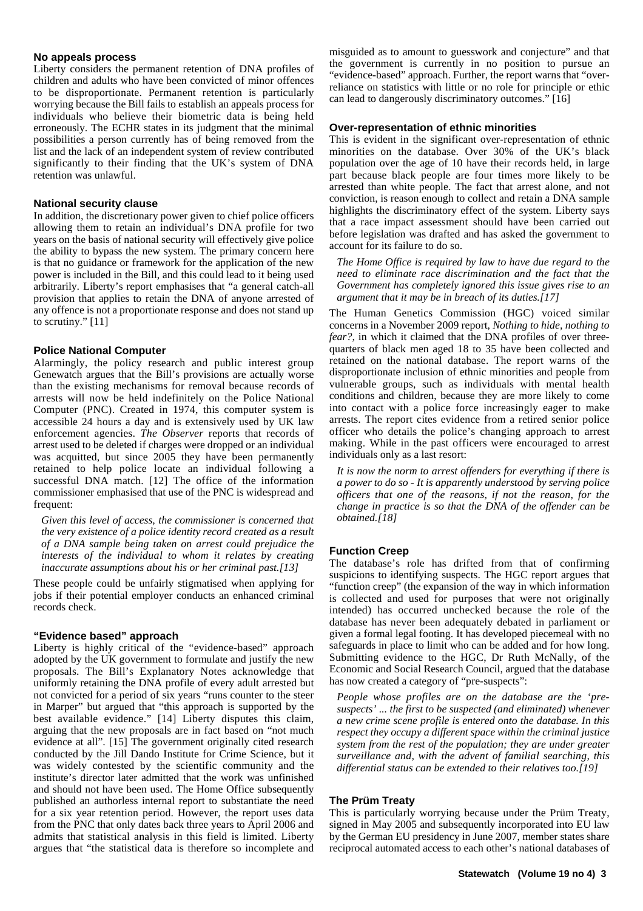#### **No appeals process**

Liberty considers the permanent retention of DNA profiles of children and adults who have been convicted of minor offences to be disproportionate. Permanent retention is particularly worrying because the Bill fails to establish an appeals process for individuals who believe their biometric data is being held erroneously. The ECHR states in its judgment that the minimal possibilities a person currently has of being removed from the list and the lack of an independent system of review contributed significantly to their finding that the UK's system of DNA retention was unlawful.

#### **National security clause**

In addition, the discretionary power given to chief police officers allowing them to retain an individual's DNA profile for two years on the basis of national security will effectively give police the ability to bypass the new system. The primary concern here is that no guidance or framework for the application of the new power is included in the Bill, and this could lead to it being used arbitrarily. Liberty's report emphasises that "a general catch-all provision that applies to retain the DNA of anyone arrested of any offence is not a proportionate response and does not stand up to scrutiny." [11]

#### **Police National Computer**

Alarmingly, the policy research and public interest group Genewatch argues that the Bill's provisions are actually worse than the existing mechanisms for removal because records of arrests will now be held indefinitely on the Police National Computer (PNC). Created in 1974, this computer system is accessible 24 hours a day and is extensively used by UK law enforcement agencies. *The Observer* reports that records of arrest used to be deleted if charges were dropped or an individual was acquitted, but since 2005 they have been permanently retained to help police locate an individual following a successful DNA match. [12] The office of the information commissioner emphasised that use of the PNC is widespread and frequent:

*Given this level of access, the commissioner is concerned that the very existence of a police identity record created as a result of a DNA sample being taken on arrest could prejudice the interests of the individual to whom it relates by creating inaccurate assumptions about his or her criminal past.[13]*

These people could be unfairly stigmatised when applying for jobs if their potential employer conducts an enhanced criminal records check.

#### **"Evidence based" approach**

Liberty is highly critical of the "evidence-based" approach adopted by the UK government to formulate and justify the new proposals. The Bill's Explanatory Notes acknowledge that uniformly retaining the DNA profile of every adult arrested but not convicted for a period of six years "runs counter to the steer in Marper" but argued that "this approach is supported by the best available evidence." [14] Liberty disputes this claim, arguing that the new proposals are in fact based on "not much evidence at all". [15] The government originally cited research conducted by the Jill Dando Institute for Crime Science, but it was widely contested by the scientific community and the institute's director later admitted that the work was unfinished and should not have been used. The Home Office subsequently published an authorless internal report to substantiate the need for a six year retention period. However, the report uses data from the PNC that only dates back three years to April 2006 and admits that statistical analysis in this field is limited. Liberty argues that "the statistical data is therefore so incomplete and

misguided as to amount to guesswork and conjecture" and that the government is currently in no position to pursue an "evidence-based" approach. Further, the report warns that "overreliance on statistics with little or no role for principle or ethic can lead to dangerously discriminatory outcomes." [16]

#### **Over-representation of ethnic minorities**

This is evident in the significant over-representation of ethnic minorities on the database. Over 30% of the UK's black population over the age of 10 have their records held, in large part because black people are four times more likely to be arrested than white people. The fact that arrest alone, and not conviction, is reason enough to collect and retain a DNA sample highlights the discriminatory effect of the system. Liberty says that a race impact assessment should have been carried out before legislation was drafted and has asked the government to account for its failure to do so.

*The Home Office is required by law to have due regard to the need to eliminate race discrimination and the fact that the Government has completely ignored this issue gives rise to an argument that it may be in breach of its duties.[17]*

The Human Genetics Commission (HGC) voiced similar concerns in a November 2009 report, *Nothing to hide, nothing to fear?,* in which it claimed that the DNA profiles of over threequarters of black men aged 18 to 35 have been collected and retained on the national database. The report warns of the disproportionate inclusion of ethnic minorities and people from vulnerable groups, such as individuals with mental health conditions and children, because they are more likely to come into contact with a police force increasingly eager to make arrests. The report cites evidence from a retired senior police officer who details the police's changing approach to arrest making. While in the past officers were encouraged to arrest individuals only as a last resort:

*It is now the norm to arrest offenders for everything if there is a power to do so - It is apparently understood by serving police officers that one of the reasons, if not the reason, for the change in practice is so that the DNA of the offender can be obtained.[18]*

#### **Function Creep**

The database's role has drifted from that of confirming suspicions to identifying suspects. The HGC report argues that "function creep" (the expansion of the way in which information is collected and used for purposes that were not originally intended) has occurred unchecked because the role of the database has never been adequately debated in parliament or given a formal legal footing. It has developed piecemeal with no safeguards in place to limit who can be added and for how long. Submitting evidence to the HGC, Dr Ruth McNally, of the Economic and Social Research Council, argued that the database has now created a category of "pre-suspects":

*People whose profiles are on the database are the 'presuspects' ... the first to be suspected (and eliminated) whenever a new crime scene profile is entered onto the database. In this respect they occupy a different space within the criminal justice system from the rest of the population; they are under greater surveillance and, with the advent of familial searching, this differential status can be extended to their relatives too.[19]*

#### **The Prüm Treaty**

This is particularly worrying because under the Prüm Treaty, signed in May 2005 and subsequently incorporated into EU law by the German EU presidency in June 2007, member states share reciprocal automated access to each other's national databases of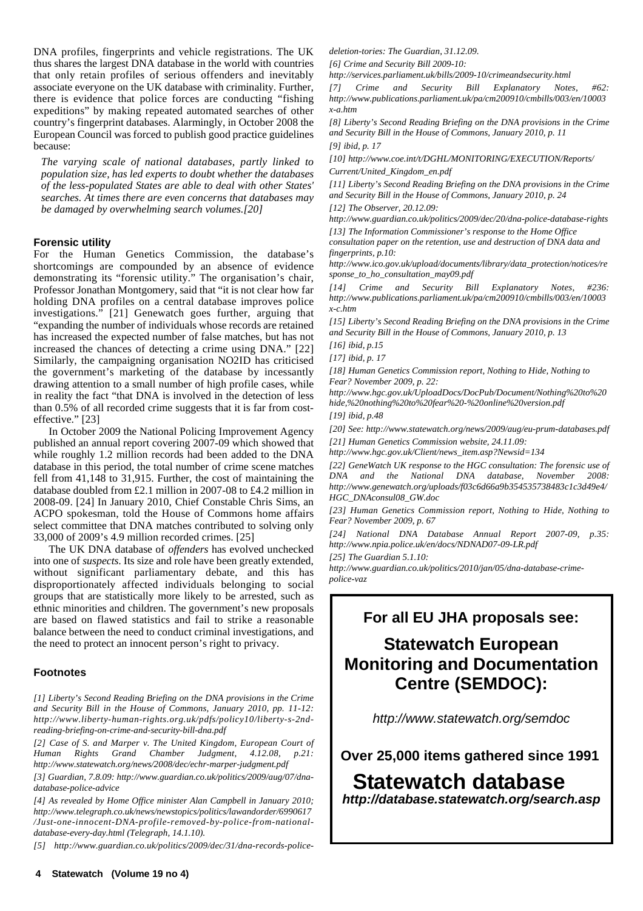DNA profiles, fingerprints and vehicle registrations. The UK thus shares the largest DNA database in the world with countries that only retain profiles of serious offenders and inevitably associate everyone on the UK database with criminality. Further, there is evidence that police forces are conducting "fishing expeditions" by making repeated automated searches of other country's fingerprint databases. Alarmingly, in October 2008 the European Council was forced to publish good practice guidelines because:

*The varying scale of national databases, partly linked to population size, has led experts to doubt whether the databases of the less-populated States are able to deal with other States' searches. At times there are even concerns that databases may be damaged by overwhelming search volumes.[20]*

#### **Forensic utility**

For the Human Genetics Commission, the database's shortcomings are compounded by an absence of evidence demonstrating its "forensic utility." The organisation's chair, Professor Jonathan Montgomery, said that "it is not clear how far holding DNA profiles on a central database improves police investigations." [21] Genewatch goes further, arguing that "expanding the number of individuals whose records are retained has increased the expected number of false matches, but has not increased the chances of detecting a crime using DNA." [22] Similarly, the campaigning organisation NO2ID has criticised the government's marketing of the database by incessantly drawing attention to a small number of high profile cases, while in reality the fact "that DNA is involved in the detection of less than 0.5% of all recorded crime suggests that it is far from costeffective." [23]

In October 2009 the National Policing Improvement Agency published an annual report covering 2007-09 which showed that while roughly 1.2 million records had been added to the DNA database in this period, the total number of crime scene matches fell from 41,148 to 31,915. Further, the cost of maintaining the database doubled from £2.1 million in 2007-08 to £4.2 million in 2008-09. [24] In January 2010, Chief Constable Chris Sims, an ACPO spokesman, told the House of Commons home affairs select committee that DNA matches contributed to solving only 33,000 of 2009's 4.9 million recorded crimes. [25]

The UK DNA database of *offenders* has evolved unchecked into one of *suspects*. Its size and role have been greatly extended, without significant parliamentary debate, and this has disproportionately affected individuals belonging to social groups that are statistically more likely to be arrested, such as ethnic minorities and children. The government's new proposals are based on flawed statistics and fail to strike a reasonable balance between the need to conduct criminal investigations, and the need to protect an innocent person's right to privacy.

#### **Footnotes**

*[1] Liberty's Second Reading Briefing on the DNA provisions in the Crime and Security Bill in the House of Commons, January 2010, pp. 11-12: http://www.liberty-human-rights.org.uk/pdfs/policy10/liberty-s-2ndreading-briefing-on-crime-and-security-bill-dna.pdf*

*[2] Case of S. and Marper v. The United Kingdom, European Court of Human Rights Grand Chamber Judgment, 4.12.08, p.21: http://www.statewatch.org/news/2008/dec/echr-marper-judgment.pdf*

*[3] Guardian, 7.8.09: http://www.guardian.co.uk/politics/2009/aug/07/dnadatabase-police-advice*

*[4] As revealed by Home Office minister Alan Campbell in January 2010; http://www.telegraph.co.uk/news/newstopics/politics/lawandorder/6990617 /Just-one-innocent-DNA-profile-removed-by-police-from-nationaldatabase-every-day.html (Telegraph, 14.1.10).*

*[5] http://www.guardian.co.uk/politics/2009/dec/31/dna-records-police-*

*deletion-tories: The Guardian, 31.12.09.*

*[6] Crime and Security Bill 2009-10:*

*http://services.parliament.uk/bills/2009-10/crimeandsecurity.html*

*[7] Crime and Security Bill Explanatory Notes, #62: http://www.publications.parliament.uk/pa/cm200910/cmbills/003/en/10003 x-a.htm*

*[8] Liberty's Second Reading Briefing on the DNA provisions in the Crime and Security Bill in the House of Commons, January 2010, p. 11 [9] ibid, p. 17*

*[10] http://www.coe.int/t/DGHL/MONITORING/EXECUTION/Reports/ Current/United\_Kingdom\_en.pdf*

*[11] Liberty's Second Reading Briefing on the DNA provisions in the Crime and Security Bill in the House of Commons, January 2010, p. 24*

*[12] The Observer, 20.12.09: http://www.guardian.co.uk/politics/2009/dec/20/dna-police-database-rights [13] The Information Commissioner's response to the Home Office*

*consultation paper on the retention, use and destruction of DNA data and fingerprints, p.10:*

*http://www.ico.gov.uk/upload/documents/library/data\_protection/notices/re sponse\_to\_ho\_consultation\_may09.pdf*

*[14] Crime and Security Bill Explanatory Notes, #236: http://www.publications.parliament.uk/pa/cm200910/cmbills/003/en/10003 x-c.htm*

*[15] Liberty's Second Reading Briefing on the DNA provisions in the Crime and Security Bill in the House of Commons, January 2010, p. 13*

*[16] ibid, p.15*

*[17] ibid, p. 17*

*[18] Human Genetics Commission report, Nothing to Hide, Nothing to Fear? November 2009, p. 22:*

*http://www.hgc.gov.uk/UploadDocs/DocPub/Document/Nothing%20to%20 hide,%20nothing%20to%20fear%20-%20online%20version.pdf [19] ibid, p.48*

*[20] See: http://www.statewatch.org/news/2009/aug/eu-prum-databases.pdf*

*[21] Human Genetics Commission website, 24.11.09: http://www.hgc.gov.uk/Client/news\_item.asp?Newsid=134*

*[22] GeneWatch UK response to the HGC consultation: The forensic use of DNA and the National DNA database, November 2008: http://www.genewatch.org/uploads/f03c6d66a9b354535738483c1c3d49e4/ HGC\_DNAconsul08\_GW.doc*

*[23] Human Genetics Commission report, Nothing to Hide, Nothing to Fear? November 2009, p. 67*

*[24] National DNA Database Annual Report 2007-09, p.35: http://www.npia.police.uk/en/docs/NDNAD07-09-LR.pdf*

*[25] The Guardian 5.1.10:*

*http://www.guardian.co.uk/politics/2010/jan/05/dna-database-crimepolice-vaz*

## **For all EU JHA proposals see:**

## **Statewatch European Monitoring and Documentation Centre (SEMDOC):**

*http://www.statewatch.org/semdoc*

**Over 25,000 items gathered since 1991**

## **Statewatch database**

*http://database.statewatch.org/search.asp*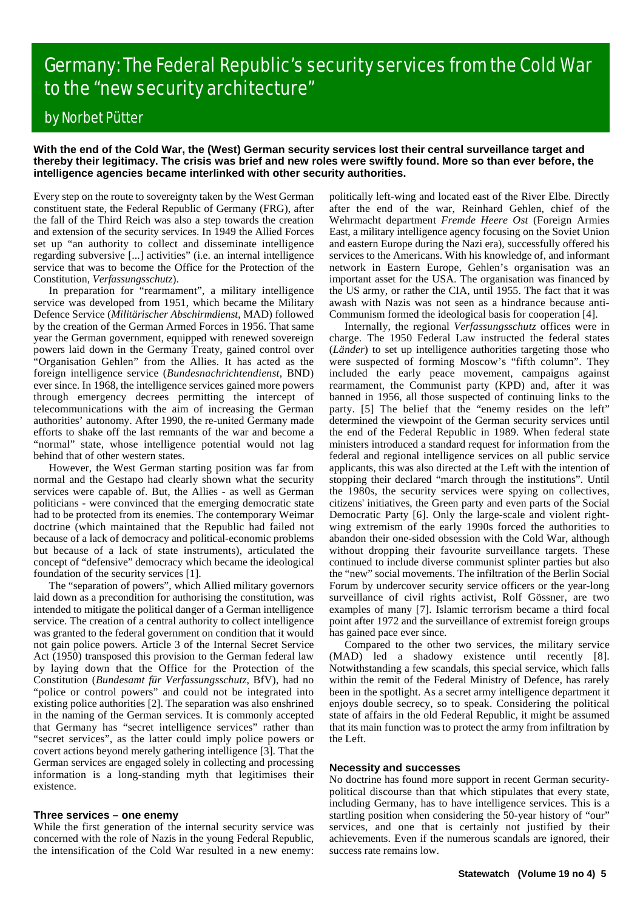# Germany: The Federal Republic's security services from the Cold War to the "new security architecture"

## by Norbet Pütter

#### **With the end of the Cold War, the (West) German security services lost their central surveillance target and thereby their legitimacy. The crisis was brief and new roles were swiftly found. More so than ever before, the intelligence agencies became interlinked with other security authorities.**

Every step on the route to sovereignty taken by the West German constituent state, the Federal Republic of Germany (FRG), after the fall of the Third Reich was also a step towards the creation and extension of the security services. In 1949 the Allied Forces set up "an authority to collect and disseminate intelligence regarding subversive [...] activities" (i.e. an internal intelligence service that was to become the Office for the Protection of the Constitution, *Verfassungsschutz*).

In preparation for "rearmament", a military intelligence service was developed from 1951, which became the Military Defence Service (*Militärischer Abschirmdienst*, MAD) followed by the creation of the German Armed Forces in 1956. That same year the German government, equipped with renewed sovereign powers laid down in the Germany Treaty, gained control over "Organisation Gehlen" from the Allies. It has acted as the foreign intelligence service (*Bundesnachrichtendienst*, BND) ever since. In 1968, the intelligence services gained more powers through emergency decrees permitting the intercept of telecommunications with the aim of increasing the German authorities' autonomy. After 1990, the re-united Germany made efforts to shake off the last remnants of the war and become a "normal" state, whose intelligence potential would not lag behind that of other western states.

However, the West German starting position was far from normal and the Gestapo had clearly shown what the security services were capable of. But, the Allies - as well as German politicians - were convinced that the emerging democratic state had to be protected from its enemies. The contemporary Weimar doctrine (which maintained that the Republic had failed not because of a lack of democracy and political-economic problems but because of a lack of state instruments), articulated the concept of "defensive" democracy which became the ideological foundation of the security services [1].

The "separation of powers", which Allied military governors laid down as a precondition for authorising the constitution, was intended to mitigate the political danger of a German intelligence service. The creation of a central authority to collect intelligence was granted to the federal government on condition that it would not gain police powers. Article 3 of the Internal Secret Service Act (1950) transposed this provision to the German federal law by laying down that the Office for the Protection of the Constitution (*Bundesamt für Verfassungsschutz*, BfV), had no "police or control powers" and could not be integrated into existing police authorities [2]. The separation was also enshrined in the naming of the German services. It is commonly accepted that Germany has "secret intelligence services" rather than "secret services", as the latter could imply police powers or covert actions beyond merely gathering intelligence [3]. That the German services are engaged solely in collecting and processing information is a long-standing myth that legitimises their existence.

#### **Three services – one enemy**

While the first generation of the internal security service was concerned with the role of Nazis in the young Federal Republic, the intensification of the Cold War resulted in a new enemy: politically left-wing and located east of the River Elbe. Directly after the end of the war, Reinhard Gehlen, chief of the Wehrmacht department *Fremde Heere Ost* (Foreign Armies East, a military intelligence agency focusing on the Soviet Union and eastern Europe during the Nazi era), successfully offered his services to the Americans. With his knowledge of, and informant network in Eastern Europe, Gehlen's organisation was an important asset for the USA. The organisation was financed by the US army, or rather the CIA, until 1955. The fact that it was awash with Nazis was not seen as a hindrance because anti-Communism formed the ideological basis for cooperation [4].

Internally, the regional *Verfassungsschutz* offices were in charge. The 1950 Federal Law instructed the federal states (*Länder*) to set up intelligence authorities targeting those who were suspected of forming Moscow's "fifth column". They included the early peace movement, campaigns against rearmament, the Communist party (KPD) and, after it was banned in 1956, all those suspected of continuing links to the party. [5] The belief that the "enemy resides on the left" determined the viewpoint of the German security services until the end of the Federal Republic in 1989. When federal state ministers introduced a standard request for information from the federal and regional intelligence services on all public service applicants, this was also directed at the Left with the intention of stopping their declared "march through the institutions". Until the 1980s, the security services were spying on collectives, citizens' initiatives, the Green party and even parts of the Social Democratic Party [6]. Only the large-scale and violent rightwing extremism of the early 1990s forced the authorities to abandon their one-sided obsession with the Cold War, although without dropping their favourite surveillance targets. These continued to include diverse communist splinter parties but also the "new" social movements. The infiltration of the Berlin Social Forum by undercover security service officers or the year-long surveillance of civil rights activist, Rolf Gössner, are two examples of many [7]. Islamic terrorism became a third focal point after 1972 and the surveillance of extremist foreign groups has gained pace ever since.

Compared to the other two services, the military service (MAD) led a shadowy existence until recently [8]. Notwithstanding a few scandals, this special service, which falls within the remit of the Federal Ministry of Defence, has rarely been in the spotlight. As a secret army intelligence department it enjoys double secrecy, so to speak. Considering the political state of affairs in the old Federal Republic, it might be assumed that its main function was to protect the army from infiltration by the Left.

#### **Necessity and successes**

No doctrine has found more support in recent German securitypolitical discourse than that which stipulates that every state, including Germany, has to have intelligence services. This is a startling position when considering the 50-year history of "our" services, and one that is certainly not justified by their achievements. Even if the numerous scandals are ignored, their success rate remains low.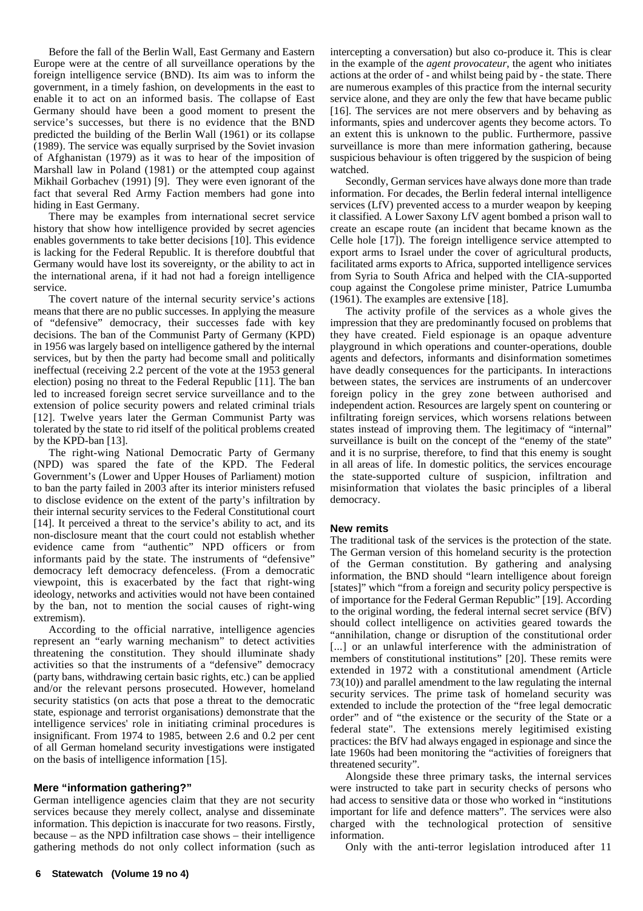Before the fall of the Berlin Wall, East Germany and Eastern Europe were at the centre of all surveillance operations by the foreign intelligence service (BND). Its aim was to inform the government, in a timely fashion, on developments in the east to enable it to act on an informed basis. The collapse of East Germany should have been a good moment to present the service's successes, but there is no evidence that the BND predicted the building of the Berlin Wall (1961) or its collapse (1989). The service was equally surprised by the Soviet invasion of Afghanistan (1979) as it was to hear of the imposition of Marshall law in Poland (1981) or the attempted coup against Mikhail Gorbachev (1991) [9]. They were even ignorant of the fact that several Red Army Faction members had gone into hiding in East Germany.

There may be examples from international secret service history that show how intelligence provided by secret agencies enables governments to take better decisions [10]. This evidence is lacking for the Federal Republic. It is therefore doubtful that Germany would have lost its sovereignty, or the ability to act in the international arena, if it had not had a foreign intelligence service.

The covert nature of the internal security service's actions means that there are no public successes. In applying the measure of "defensive" democracy, their successes fade with key decisions. The ban of the Communist Party of Germany (KPD) in 1956 was largely based on intelligence gathered by the internal services, but by then the party had become small and politically ineffectual (receiving 2.2 percent of the vote at the 1953 general election) posing no threat to the Federal Republic [11]. The ban led to increased foreign secret service surveillance and to the extension of police security powers and related criminal trials [12]. Twelve years later the German Communist Party was tolerated by the state to rid itself of the political problems created by the KPD-ban [13].

The right-wing National Democratic Party of Germany (NPD) was spared the fate of the KPD. The Federal Government's (Lower and Upper Houses of Parliament) motion to ban the party failed in 2003 after its interior ministers refused to disclose evidence on the extent of the party's infiltration by their internal security services to the Federal Constitutional court [14]. It perceived a threat to the service's ability to act, and its non-disclosure meant that the court could not establish whether evidence came from "authentic" NPD officers or from informants paid by the state. The instruments of "defensive" democracy left democracy defenceless. (From a democratic viewpoint, this is exacerbated by the fact that right-wing ideology, networks and activities would not have been contained by the ban, not to mention the social causes of right-wing extremism).

According to the official narrative, intelligence agencies represent an "early warning mechanism" to detect activities threatening the constitution. They should illuminate shady activities so that the instruments of a "defensive" democracy (party bans, withdrawing certain basic rights, etc.) can be applied and/or the relevant persons prosecuted. However, homeland security statistics (on acts that pose a threat to the democratic state, espionage and terrorist organisations) demonstrate that the intelligence services' role in initiating criminal procedures is insignificant. From 1974 to 1985, between 2.6 and 0.2 per cent of all German homeland security investigations were instigated on the basis of intelligence information [15].

#### **Mere "information gathering?"**

German intelligence agencies claim that they are not security services because they merely collect, analyse and disseminate information. This depiction is inaccurate for two reasons. Firstly, because – as the NPD infiltration case shows – their intelligence gathering methods do not only collect information (such as

intercepting a conversation) but also co-produce it. This is clear in the example of the *agent provocateur*, the agent who initiates actions at the order of - and whilst being paid by - the state. There are numerous examples of this practice from the internal security service alone, and they are only the few that have became public [16]. The services are not mere observers and by behaving as informants, spies and undercover agents they become actors. To an extent this is unknown to the public. Furthermore, passive surveillance is more than mere information gathering, because suspicious behaviour is often triggered by the suspicion of being watched.

Secondly, German services have always done more than trade information. For decades, the Berlin federal internal intelligence services (LfV) prevented access to a murder weapon by keeping it classified. A Lower Saxony LfV agent bombed a prison wall to create an escape route (an incident that became known as the Celle hole [17]). The foreign intelligence service attempted to export arms to Israel under the cover of agricultural products, facilitated arms exports to Africa, supported intelligence services from Syria to South Africa and helped with the CIA-supported coup against the Congolese prime minister, Patrice Lumumba (1961). The examples are extensive [18].

The activity profile of the services as a whole gives the impression that they are predominantly focused on problems that they have created. Field espionage is an opaque adventure playground in which operations and counter-operations, double agents and defectors, informants and disinformation sometimes have deadly consequences for the participants. In interactions between states, the services are instruments of an undercover foreign policy in the grey zone between authorised and independent action. Resources are largely spent on countering or infiltrating foreign services, which worsens relations between states instead of improving them. The legitimacy of "internal" surveillance is built on the concept of the "enemy of the state" and it is no surprise, therefore, to find that this enemy is sought in all areas of life. In domestic politics, the services encourage the state-supported culture of suspicion, infiltration and misinformation that violates the basic principles of a liberal democracy.

#### **New remits**

The traditional task of the services is the protection of the state. The German version of this homeland security is the protection of the German constitution. By gathering and analysing information, the BND should "learn intelligence about foreign [states]" which "from a foreign and security policy perspective is of importance for the Federal German Republic" [19]. According to the original wording, the federal internal secret service (BfV) should collect intelligence on activities geared towards the "annihilation, change or disruption of the constitutional order [...] or an unlawful interference with the administration of members of constitutional institutions" [20]. These remits were extended in 1972 with a constitutional amendment (Article 73(10)) and parallel amendment to the law regulating the internal security services. The prime task of homeland security was extended to include the protection of the "free legal democratic order" and of "the existence or the security of the State or a federal state". The extensions merely legitimised existing practices: the BfV had always engaged in espionage and since the late 1960s had been monitoring the "activities of foreigners that threatened security".

Alongside these three primary tasks, the internal services were instructed to take part in security checks of persons who had access to sensitive data or those who worked in "institutions important for life and defence matters". The services were also charged with the technological protection of sensitive information.

Only with the anti-terror legislation introduced after 11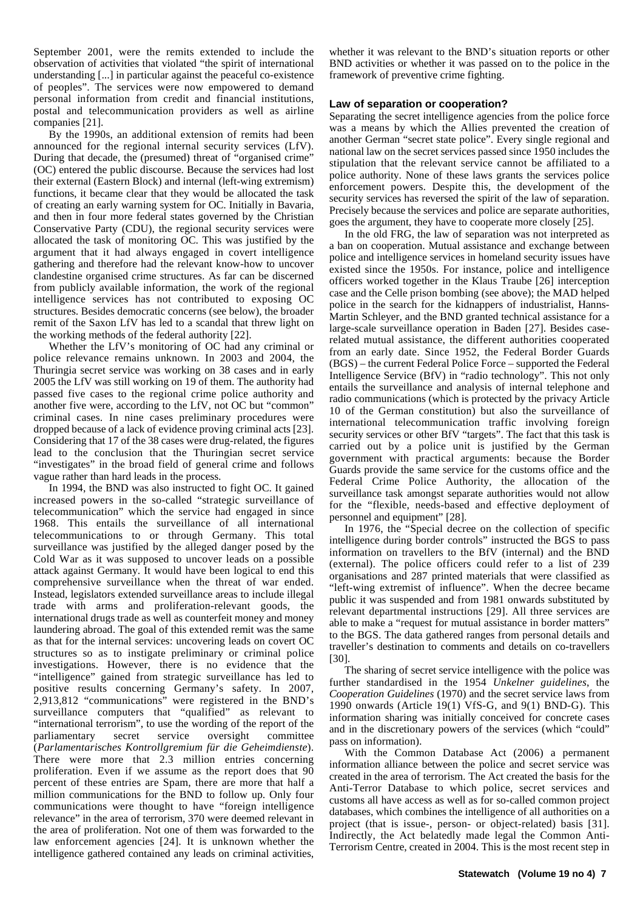September 2001, were the remits extended to include the observation of activities that violated "the spirit of international understanding [...] in particular against the peaceful co-existence of peoples". The services were now empowered to demand personal information from credit and financial institutions, postal and telecommunication providers as well as airline companies [21].

By the 1990s, an additional extension of remits had been announced for the regional internal security services (LfV). During that decade, the (presumed) threat of "organised crime" (OC) entered the public discourse. Because the services had lost their external (Eastern Block) and internal (left-wing extremism) functions, it became clear that they would be allocated the task of creating an early warning system for OC. Initially in Bavaria, and then in four more federal states governed by the Christian Conservative Party (CDU), the regional security services were allocated the task of monitoring OC. This was justified by the argument that it had always engaged in covert intelligence gathering and therefore had the relevant know-how to uncover clandestine organised crime structures. As far can be discerned from publicly available information, the work of the regional intelligence services has not contributed to exposing OC structures. Besides democratic concerns (see below), the broader remit of the Saxon LfV has led to a scandal that threw light on the working methods of the federal authority [22].

Whether the LfV's monitoring of OC had any criminal or police relevance remains unknown. In 2003 and 2004, the Thuringia secret service was working on 38 cases and in early 2005 the LfV was still working on 19 of them. The authority had passed five cases to the regional crime police authority and another five were, according to the LfV, not OC but "common" criminal cases. In nine cases preliminary procedures were dropped because of a lack of evidence proving criminal acts [23]. Considering that 17 of the 38 cases were drug-related, the figures lead to the conclusion that the Thuringian secret service "investigates" in the broad field of general crime and follows vague rather than hard leads in the process.

In 1994, the BND was also instructed to fight OC. It gained increased powers in the so-called "strategic surveillance of telecommunication" which the service had engaged in since 1968. This entails the surveillance of all international telecommunications to or through Germany. This total surveillance was justified by the alleged danger posed by the Cold War as it was supposed to uncover leads on a possible attack against Germany. It would have been logical to end this comprehensive surveillance when the threat of war ended. Instead, legislators extended surveillance areas to include illegal trade with arms and proliferation-relevant goods, the international drugs trade as well as counterfeit money and money laundering abroad. The goal of this extended remit was the same as that for the internal services: uncovering leads on covert OC structures so as to instigate preliminary or criminal police investigations. However, there is no evidence that the "intelligence" gained from strategic surveillance has led to positive results concerning Germany's safety. In 2007, 2,913,812 "communications" were registered in the BND's surveillance computers that "qualified" as relevant to "international terrorism", to use the wording of the report of the parliamentary secret service oversight committee (*Parlamentarisches Kontrollgremium für die Geheimdienste*). There were more that 2.3 million entries concerning proliferation. Even if we assume as the report does that 90 percent of these entries are Spam, there are more that half a million communications for the BND to follow up. Only four communications were thought to have "foreign intelligence relevance" in the area of terrorism, 370 were deemed relevant in the area of proliferation. Not one of them was forwarded to the law enforcement agencies [24]. It is unknown whether the intelligence gathered contained any leads on criminal activities,

whether it was relevant to the BND's situation reports or other BND activities or whether it was passed on to the police in the framework of preventive crime fighting.

#### **Law of separation or cooperation?**

Separating the secret intelligence agencies from the police force was a means by which the Allies prevented the creation of another German "secret state police". Every single regional and national law on the secret services passed since 1950 includes the stipulation that the relevant service cannot be affiliated to a police authority. None of these laws grants the services police enforcement powers. Despite this, the development of the security services has reversed the spirit of the law of separation. Precisely because the services and police are separate authorities, goes the argument, they have to cooperate more closely [25].

In the old FRG, the law of separation was not interpreted as a ban on cooperation. Mutual assistance and exchange between police and intelligence services in homeland security issues have existed since the 1950s. For instance, police and intelligence officers worked together in the Klaus Traube [26] interception case and the Celle prison bombing (see above); the MAD helped police in the search for the kidnappers of industrialist, Hanns-Martin Schleyer, and the BND granted technical assistance for a large-scale surveillance operation in Baden [27]. Besides caserelated mutual assistance, the different authorities cooperated from an early date. Since 1952, the Federal Border Guards (BGS) – the current Federal Police Force – supported the Federal Intelligence Service (BfV) in "radio technology". This not only entails the surveillance and analysis of internal telephone and radio communications (which is protected by the privacy Article 10 of the German constitution) but also the surveillance of international telecommunication traffic involving foreign security services or other BfV "targets". The fact that this task is carried out by a police unit is justified by the German government with practical arguments: because the Border Guards provide the same service for the customs office and the Federal Crime Police Authority, the allocation of the surveillance task amongst separate authorities would not allow for the "flexible, needs-based and effective deployment of personnel and equipment" [28].

In 1976, the "Special decree on the collection of specific intelligence during border controls" instructed the BGS to pass information on travellers to the BfV (internal) and the BND (external). The police officers could refer to a list of 239 organisations and 287 printed materials that were classified as "left-wing extremist of influence". When the decree became public it was suspended and from 1981 onwards substituted by relevant departmental instructions [29]. All three services are able to make a "request for mutual assistance in border matters" to the BGS. The data gathered ranges from personal details and traveller's destination to comments and details on co-travellers [30].

The sharing of secret service intelligence with the police was further standardised in the 1954 *Unkelner guidelines*, the *Cooperation Guidelines* (1970) and the secret service laws from 1990 onwards (Article 19(1) VfS-G, and 9(1) BND-G). This information sharing was initially conceived for concrete cases and in the discretionary powers of the services (which "could" pass on information).

With the Common Database Act (2006) a permanent information alliance between the police and secret service was created in the area of terrorism. The Act created the basis for the Anti-Terror Database to which police, secret services and customs all have access as well as for so-called common project databases, which combines the intelligence of all authorities on a project (that is issue-, person- or object-related) basis [31]. Indirectly, the Act belatedly made legal the Common Anti-Terrorism Centre, created in 2004. This is the most recent step in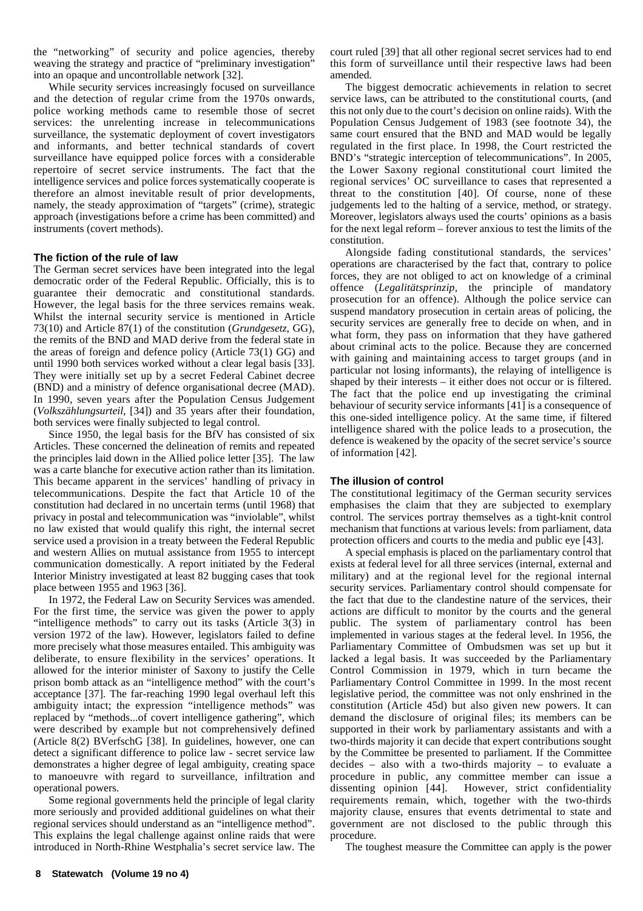the "networking" of security and police agencies, thereby weaving the strategy and practice of "preliminary investigation" into an opaque and uncontrollable network [32].

While security services increasingly focused on surveillance and the detection of regular crime from the 1970s onwards, police working methods came to resemble those of secret services: the unrelenting increase in telecommunications surveillance, the systematic deployment of covert investigators and informants, and better technical standards of covert surveillance have equipped police forces with a considerable repertoire of secret service instruments. The fact that the intelligence services and police forces systematically cooperate is therefore an almost inevitable result of prior developments, namely, the steady approximation of "targets" (crime), strategic approach (investigations before a crime has been committed) and instruments (covert methods).

#### **The fiction of the rule of law**

The German secret services have been integrated into the legal democratic order of the Federal Republic. Officially, this is to guarantee their democratic and constitutional standards. However, the legal basis for the three services remains weak. Whilst the internal security service is mentioned in Article 73(10) and Article 87(1) of the constitution (*Grundgesetz*, GG), the remits of the BND and MAD derive from the federal state in the areas of foreign and defence policy (Article 73(1) GG) and until 1990 both services worked without a clear legal basis [33]. They were initially set up by a secret Federal Cabinet decree (BND) and a ministry of defence organisational decree (MAD). In 1990, seven years after the Population Census Judgement (*Volkszählungsurteil,* [34]) and 35 years after their foundation, both services were finally subjected to legal control.

Since 1950, the legal basis for the BfV has consisted of six Articles. These concerned the delineation of remits and repeated the principles laid down in the Allied police letter [35]. The law was a carte blanche for executive action rather than its limitation. This became apparent in the services' handling of privacy in telecommunications. Despite the fact that Article 10 of the constitution had declared in no uncertain terms (until 1968) that privacy in postal and telecommunication was "inviolable", whilst no law existed that would qualify this right, the internal secret service used a provision in a treaty between the Federal Republic and western Allies on mutual assistance from 1955 to intercept communication domestically. A report initiated by the Federal Interior Ministry investigated at least 82 bugging cases that took place between 1955 and 1963 [36].

In 1972, the Federal Law on Security Services was amended. For the first time, the service was given the power to apply "intelligence methods" to carry out its tasks (Article 3(3) in version 1972 of the law). However, legislators failed to define more precisely what those measures entailed. This ambiguity was deliberate, to ensure flexibility in the services' operations. It allowed for the interior minister of Saxony to justify the Celle prison bomb attack as an "intelligence method" with the court's acceptance [37]. The far-reaching 1990 legal overhaul left this ambiguity intact; the expression "intelligence methods" was replaced by "methods...of covert intelligence gathering", which were described by example but not comprehensively defined (Article 8(2) BVerfschG [38]. In guidelines, however, one can detect a significant difference to police law - secret service law demonstrates a higher degree of legal ambiguity, creating space to manoeuvre with regard to surveillance, infiltration and operational powers.

Some regional governments held the principle of legal clarity more seriously and provided additional guidelines on what their regional services should understand as an "intelligence method". This explains the legal challenge against online raids that were introduced in North-Rhine Westphalia's secret service law. The

court ruled [39] that all other regional secret services had to end this form of surveillance until their respective laws had been amended.

The biggest democratic achievements in relation to secret service laws, can be attributed to the constitutional courts, (and this not only due to the court's decision on online raids). With the Population Census Judgement of 1983 (see footnote 34), the same court ensured that the BND and MAD would be legally regulated in the first place. In 1998, the Court restricted the BND's "strategic interception of telecommunications". In 2005, the Lower Saxony regional constitutional court limited the regional services' OC surveillance to cases that represented a threat to the constitution [40]. Of course, none of these judgements led to the halting of a service, method, or strategy. Moreover, legislators always used the courts' opinions as a basis for the next legal reform – forever anxious to test the limits of the constitution.

Alongside fading constitutional standards, the services' operations are characterised by the fact that, contrary to police forces, they are not obliged to act on knowledge of a criminal offence (*Legalitätsprinzip*, the principle of mandatory prosecution for an offence). Although the police service can suspend mandatory prosecution in certain areas of policing, the security services are generally free to decide on when, and in what form, they pass on information that they have gathered about criminal acts to the police. Because they are concerned with gaining and maintaining access to target groups (and in particular not losing informants), the relaying of intelligence is shaped by their interests – it either does not occur or is filtered. The fact that the police end up investigating the criminal behaviour of security service informants [41] is a consequence of this one-sided intelligence policy. At the same time, if filtered intelligence shared with the police leads to a prosecution, the defence is weakened by the opacity of the secret service's source of information [42].

#### **The illusion of control**

The constitutional legitimacy of the German security services emphasises the claim that they are subjected to exemplary control. The services portray themselves as a tight-knit control mechanism that functions at various levels: from parliament, data protection officers and courts to the media and public eye [43].

A special emphasis is placed on the parliamentary control that exists at federal level for all three services (internal, external and military) and at the regional level for the regional internal security services. Parliamentary control should compensate for the fact that due to the clandestine nature of the services, their actions are difficult to monitor by the courts and the general public. The system of parliamentary control has been implemented in various stages at the federal level. In 1956, the Parliamentary Committee of Ombudsmen was set up but it lacked a legal basis. It was succeeded by the Parliamentary Control Commission in 1979, which in turn became the Parliamentary Control Committee in 1999. In the most recent legislative period, the committee was not only enshrined in the constitution (Article 45d) but also given new powers. It can demand the disclosure of original files; its members can be supported in their work by parliamentary assistants and with a two-thirds majority it can decide that expert contributions sought by the Committee be presented to parliament. If the Committee decides – also with a two-thirds majority – to evaluate a procedure in public, any committee member can issue a dissenting opinion [44]. However, strict confidentiality requirements remain, which, together with the two-thirds majority clause, ensures that events detrimental to state and government are not disclosed to the public through this procedure.

The toughest measure the Committee can apply is the power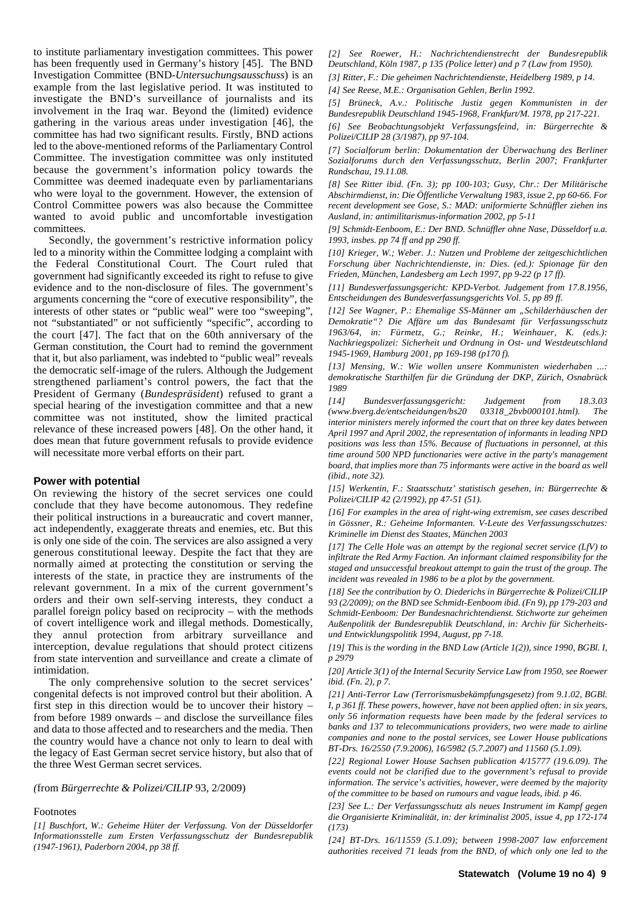to institute parliamentary investigation committees. This power has been frequently used in Germany's history [45]. The BND Investigation Committee (BND-*Untersuchungsausschuss*) is an example from the last legislative period. It was instituted to investigate the BND's surveillance of journalists and its involvement in the Iraq war. Beyond the (limited) evidence gathering in the various areas under investigation [46], the committee has had two significant results. Firstly, BND actions led to the above-mentioned reforms of the Parliamentary Control Committee. The investigation committee was only instituted because the government's information policy towards the Committee was deemed inadequate even by parliamentarians who were loyal to the government. However, the extension of Control Committee powers was also because the Committee wanted to avoid public and uncomfortable investigation committees.

Secondly, the government's restrictive information policy led to a minority within the Committee lodging a complaint with the Federal Constitutional Court. The Court ruled that government had significantly exceeded its right to refuse to give evidence and to the non-disclosure of files. The government's arguments concerning the "core of executive responsibility", the interests of other states or "public weal" were too "sweeping", not "substantiated" or not sufficiently "specific", according to the court [47]. The fact that on the 60th anniversary of the German constitution, the Court had to remind the government that it, but also parliament, was indebted to "public weal" reveals the democratic self-image of the rulers. Although the Judgement strengthened parliament's control powers, the fact that the President of Germany (*Bundespräsident*) refused to grant a special hearing of the investigation committee and that a new committee was not instituted, show the limited practical relevance of these increased powers [48]. On the other hand, it does mean that future government refusals to provide evidence will necessitate more verbal efforts on their part.

#### **Power with potential**

On reviewing the history of the secret services one could conclude that they have become autonomous. They redefine their political instructions in a bureaucratic and covert manner, act independently, exaggerate threats and enemies, etc. But this is only one side of the coin. The services are also assigned a very generous constitutional leeway. Despite the fact that they are normally aimed at protecting the constitution or serving the interests of the state, in practice they are instruments of the relevant government. In a mix of the current government's orders and their own self-serving interests, they conduct a parallel foreign policy based on reciprocity – with the methods of covert intelligence work and illegal methods. Domestically, they annul protection from arbitrary surveillance and interception, devalue regulations that should protect citizens from state intervention and surveillance and create a climate of intimidation.

The only comprehensive solution to the secret services' congenital defects is not improved control but their abolition. A first step in this direction would be to uncover their history  $$ from before 1989 onwards – and disclose the surveillance files and data to those affected and to researchers and the media. Then the country would have a chance not only to learn to deal with the legacy of East German secret service history, but also that of the three West German secret services.

*(*from *Bürgerrechte & Polizei/CILIP* 93, 2/2009)

#### Footnotes

*[1] Buschfort, W.: Geheime Hüter der Verfassung. Von der Düsseldorfer Informationsstelle zum Ersten Verfassungsschutz der Bundesrepublik (1947-1961), Paderborn 2004, pp 38 ff.*

*[2] See Roewer, H.: Nachrichtendienstrecht der Bundesrepublik Deutschland, Köln 1987, p 135 (Police letter) and p 7 (Law from 1950). [3] Ritter, F.: Die geheimen Nachrichtendienste, Heidelberg 1989, p 14.*

*[4] See Reese, M.E.: Organisation Gehlen, Berlin 1992.* 

*[5] Brüneck, A.v.: Politische Justiz gegen Kommunisten in der Bundesrepublik Deutschland 1945-1968, Frankfurt/M. 1978, pp 217-221.*

*[6] See Beobachtungsobjekt Verfassungsfeind, in: Bürgerrechte & Polizei/CILIP 28 (3/1987), pp 97-104.*

*[7] Socialforum berlin: Dokumentation der Überwachung des Berliner Sozialforums durch den Verfassungsschutz, Berlin 2007; Frankfurter Rundschau, 19.11.08.*

*[8] See Ritter ibid. (Fn. 3); pp 100-103; Gusy, Chr.: Der Militärische Abschirmdienst, in: Die Öffentliche Verwaltung 1983, issue 2, pp 60-66. For recent development see Gose, S.: MAD: uniformierte Schnüffler ziehen ins Ausland, in: antimilitarismus-information 2002, pp 5-11*

*[9] Schmidt-Eenboom, E.: Der BND. Schnüffler ohne Nase, Düsseldorf u.a. 1993, insbes. pp 74 ff and pp 290 ff.*

*[10] Krieger, W.; Weber. J.: Nutzen und Probleme der zeitgeschichtlichen Forschung über Nachrichtendienste, in: Dies. (ed.): Spionage für den Frieden, München, Landesberg am Lech 1997, pp 9-22 (p 17 ff).*

*[11] Bundesverfassungsgericht: KPD-Verbot. Judgement from 17.8.1956, Entscheidungen des Bundesverfassungsgerichts Vol. 5, pp 89 ff.*

*[12] See Wagner, P.: Ehemalige SS-Männer am "Schilderhäuschen der Demokratie"? Die Affäre um das Bundesamt für Verfassungsschutz 1963/64, in: Fürmetz, G.; Reinke, H.; Weinhauer, K. (eds.): Nachkriegspolizei: Sicherheit und Ordnung in Ost- und Westdeutschland 1945-1969, Hamburg 2001, pp 169-198 (p170 f).*

*[13] Mensing, W.: Wie wollen unsere Kommunisten wiederhaben ...: demokratische Starthilfen für die Gründung der DKP, Zürich, Osnabrück 1989*

*[14] Bundesverfassungsgericht: Judgement from 18.3.03 (www.bverg.de/entscheidungen/bs20 03318\_2bvb000101.html). The interior ministers merely informed the court that on three key dates between April 1997 and April 2002, the representation of informants in leading NPD positions was less than 15%. Because of fluctuations in personnel, at this time around 500 NPD functionaries were active in the party's management board, that implies more than 75 informants were active in the board as well (ibid., note 32).*

*[15] Werkentin, F.: Staatsschutz' statistisch gesehen, in: Bürgerrechte & Polizei/CILIP 42 (2/1992), pp 47-51 (51).*

*[16] For examples in the area of right-wing extremism, see cases described in Gössner, R.: Geheime Informanten. V-Leute des Verfassungsschutzes: Kriminelle im Dienst des Staates, München 2003*

*[17] The Celle Hole was an attempt by the regional secret service (LfV) to infiltrate the Red Army Faction. An informant claimed responsibility for the staged and unsuccessful breakout attempt to gain the trust of the group. The incident was revealed in 1986 to be a plot by the government.*

*[18] See the contribution by O. Diederichs in Bürgerrechte & Polizei/CILIP 93 (2/2009); on the BND see Schmidt-Eenboom ibid. (Fn 9), pp 179-203 and Schmidt-Eenboom: Der Bundesnachrichtendienst. Stichworte zur geheimen Außenpolitik der Bundesrepublik Deutschland, in: Archiv für Sicherheitsund Entwicklungspolitik 1994, August, pp 7-18.*

*[19] This is the wording in the BND Law (Article 1(2)), since 1990, BGBl. I, p 2979*

*[20] Article 3(1) of the Internal Security Service Law from 1950, see Roewer ibid. (Fn. 2), p 7.*

*[21] Anti-Terror Law (Terrorismusbekämpfungsgesetz) from 9.1.02, BGBl. I, p 361 ff. These powers, however, have not been applied often: in six years, only 56 information requests have been made by the federal services to banks and 137 to telecommunications providers, two were made to airline companies and none to the postal services, see Lower House publications BT-Drs. 16/2550 (7.9.2006), 16/5982 (5.7.2007) and 11560 (5.1.09).*

*[22] Regional Lower House Sachsen publication 4/15777 (19.6.09). The events could not be clarified due to the government's refusal to provide information. The service's activities, however, were deemed by the majority of the committee to be based on rumours and vague leads, ibid. p 46.*

*[23] See L.: Der Verfassungsschutz als neues Instrument im Kampf gegen die Organisierte Kriminalität, in: der kriminalist 2005, issue 4, pp 172-174 (173)*

*[24] BT-Drs. 16/11559 (5.1.09); between 1998-2007 law enforcement authorities received 71 leads from the BND, of which only one led to the*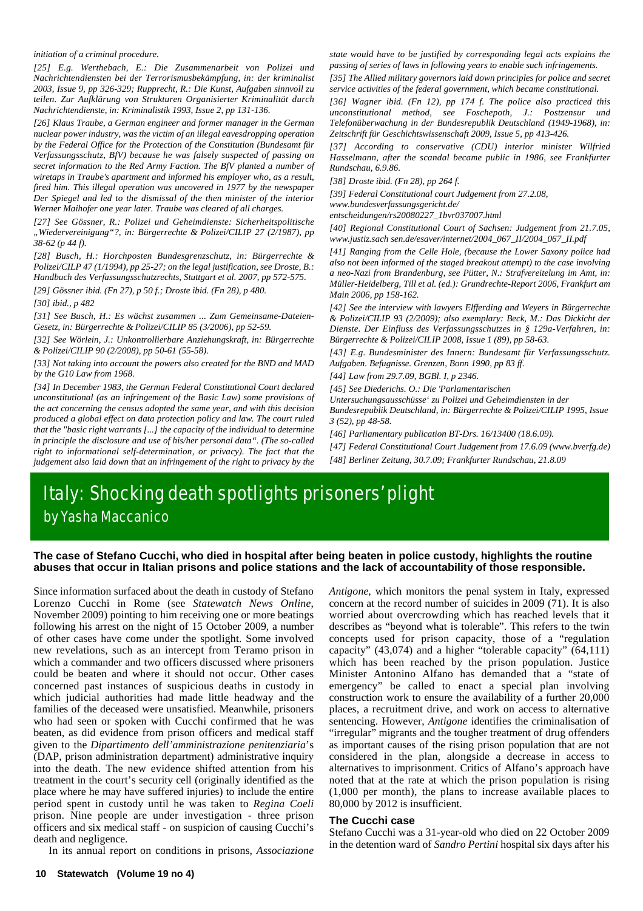#### *initiation of a criminal procedure.*

*[25] E.g. Werthebach, E.: Die Zusammenarbeit von Polizei und Nachrichtendiensten bei der Terrorismusbekämpfung, in: der kriminalist 2003, Issue 9, pp 326-329; Rupprecht, R.: Die Kunst, Aufgaben sinnvoll zu teilen. Zur Aufklärung von Strukturen Organisierter Kriminalität durch Nachrichtendienste, in: Kriminalistik 1993, Issue 2, pp 131-136.*

*[26] Klaus Traube, a German engineer and former manager in the German nuclear power industry, was the victim of an illegal eavesdropping operation by the Federal Office for the Protection of the Constitution (Bundesamt für Verfassungsschutz, BfV) because he was falsely suspected of passing on secret information to the Red Army Faction. The BfV planted a number of wiretaps in Traube's apartment and informed his employer who, as a result, fired him. This illegal operation was uncovered in 1977 by the newspaper Der Spiegel and led to the dismissal of the then minister of the interior Werner Maihofer one year later. Traube was cleared of all charges.*

*[27] See Gössner, R.: Polizei und Geheimdienste: Sicherheitspolitische "Wiedervereinigung"?, in: Bürgerrechte & Polizei/CILIP 27 (2/1987), pp 38-62 (p 44 f).*

*[28] Busch, H.: Horchposten Bundesgrenzschutz, in: Bürgerrechte & Polizei/CILP 47 (1/1994), pp 25-27; on the legal justification, see Droste, B.: Handbuch des Verfassungsschutzrechts, Stuttgart et al. 2007, pp 572-575.*

*[29] Gössner ibid. (Fn 27), p 50 f.; Droste ibid. (Fn 28), p 480.*

*[30] ibid., p 482*

*[31] See Busch, H.: Es wächst zusammen ... Zum Gemeinsame-Dateien-Gesetz, in: Bürgerrechte & Polizei/CILIP 85 (3/2006), pp 52-59.*

*[32] See Wörlein, J.: Unkontrollierbare Anziehungskraft, in: Bürgerrechte & Polizei/CILIP 90 (2/2008), pp 50-61 (55-58).*

*[33] Not taking into account the powers also created for the BND and MAD by the G10 Law from 1968.*

*[34] In December 1983, the German Federal Constitutional Court declared unconstitutional (as an infringement of the Basic Law) some provisions of the act concerning the census adopted the same year, and with this decision produced a global effect on data protection policy and law. The court ruled that the "basic right warrants [...] the capacity of the individual to determine in principle the disclosure and use of his/her personal data". (The so-called right to informational self-determination, or privacy). The fact that the judgement also laid down that an infringement of the right to privacy by the*

*state would have to be justified by corresponding legal acts explains the passing of series of laws in following years to enable such infringements.*

*[35] The Allied military governors laid down principles for police and secret service activities of the federal government, which became constitutional.*

*[36] Wagner ibid. (Fn 12), pp 174 f. The police also practiced this unconstitutional method, see Foschepoth, J.: Postzensur und Telefonüberwachung in der Bundesrepublik Deutschland (1949-1968), in: Zeitschrift für Geschichtswissenschaft 2009, Issue 5, pp 413-426.*

*[37] According to conservative (CDU) interior minister Wilfried Hasselmann, after the scandal became public in 1986, see Frankfurter Rundschau, 6.9.86.*

*[38] Droste ibid. (Fn 28), pp 264 f.*

*[39] Federal Constitutional court Judgement from 27.2.08, www.bundesverfassungsgericht.de/ entscheidungen/rs20080227\_1bvr037007.html*

*[40] Regional Constitutional Court of Sachsen: Judgement from 21.7.05, www.justiz.sach sen.de/esaver/internet/2004\_067\_II/2004\_067\_II.pdf*

*[41] Ranging from the Celle Hole, (because the Lower Saxony police had also not been informed of the staged breakout attempt) to the case involving a neo-Nazi from Brandenburg, see Pütter, N.: Strafvereitelung im Amt, in: Müller-Heidelberg, Till et al. (ed.): Grundrechte-Report 2006, Frankfurt am Main 2006, pp 158-162.*

*[42] See the interview with lawyers Elfferding and Weyers in Bürgerrechte & Polizei/CILIP 93 (2/2009); also exemplary: Beck, M.: Das Dickicht der Dienste. Der Einfluss des Verfassungsschutzes in § 129a-Verfahren, in: Bürgerrechte & Polizei/CILIP 2008, Issue 1 (89), pp 58-63.*

*[43] E.g. Bundesminister des Innern: Bundesamt für Verfassungsschutz. Aufgaben. Befugnisse. Grenzen, Bonn 1990, pp 83 ff.*

*[44] Law from 29.7.09, BGBl. I, p 2346.*

*[45] See Diederichs. O.: Die 'Parlamentarischen*

*Untersuchungsausschüsse' zu Polizei und Geheimdiensten in der*

*Bundesrepublik Deutschland, in: Bürgerrechte & Polizei/CILIP 1995, Issue 3 (52), pp 48-58.*

*[46] Parliamentary publication BT-Drs. 16/13400 (18.6.09).*

*[47] Federal Constitutional Court Judgement from 17.6.09 (www.bverfg.de) [48] Berliner Zeitung, 30.7.09; Frankfurter Rundschau, 21.8.09*

# Italy: Shocking death spotlights prisoners' plight by Yasha Maccanico

#### **The case of Stefano Cucchi, who died in hospital after being beaten in police custody, highlights the routine abuses that occur in Italian prisons and police stations and the lack of accountability of those responsible.**

Since information surfaced about the death in custody of Stefano Lorenzo Cucchi in Rome (see *Statewatch News Online*, November 2009) pointing to him receiving one or more beatings following his arrest on the night of 15 October 2009, a number of other cases have come under the spotlight. Some involved new revelations, such as an intercept from Teramo prison in which a commander and two officers discussed where prisoners could be beaten and where it should not occur. Other cases concerned past instances of suspicious deaths in custody in which judicial authorities had made little headway and the families of the deceased were unsatisfied. Meanwhile, prisoners who had seen or spoken with Cucchi confirmed that he was beaten, as did evidence from prison officers and medical staff given to the *Dipartimento dell'amministrazione penitenziaria*'s (DAP, prison administration department) administrative inquiry into the death. The new evidence shifted attention from his treatment in the court's security cell (originally identified as the place where he may have suffered injuries) to include the entire period spent in custody until he was taken to *Regina Coeli* prison. Nine people are under investigation - three prison officers and six medical staff - on suspicion of causing Cucchi's death and negligence.

In its annual report on conditions in prisons, *Associazione*

*Antigone*, which monitors the penal system in Italy, expressed concern at the record number of suicides in 2009 (71). It is also worried about overcrowding which has reached levels that it describes as "beyond what is tolerable". This refers to the twin concepts used for prison capacity, those of a "regulation capacity" (43,074) and a higher "tolerable capacity" (64,111) which has been reached by the prison population. Justice Minister Antonino Alfano has demanded that a "state of emergency" be called to enact a special plan involving construction work to ensure the availability of a further 20,000 places, a recruitment drive, and work on access to alternative sentencing. However, *Antigone* identifies the criminalisation of "irregular" migrants and the tougher treatment of drug offenders as important causes of the rising prison population that are not considered in the plan, alongside a decrease in access to alternatives to imprisonment. Critics of Alfano's approach have noted that at the rate at which the prison population is rising (1,000 per month), the plans to increase available places to 80,000 by 2012 is insufficient.

#### **The Cucchi case**

Stefano Cucchi was a 31-year-old who died on 22 October 2009 in the detention ward of *Sandro Pertini* hospital six days after his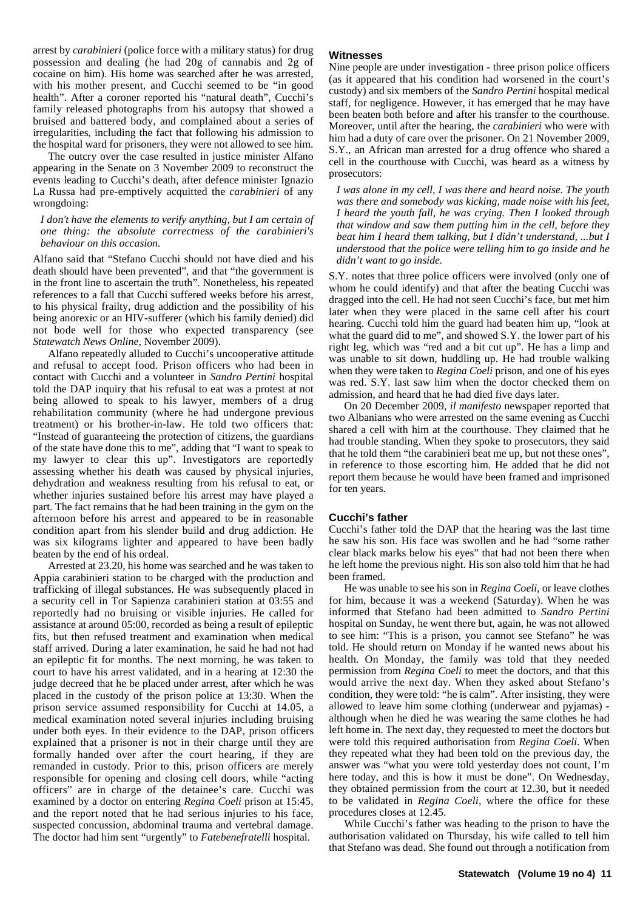arrest by *carabinieri* (police force with a military status) for drug possession and dealing (he had 20g of cannabis and 2g of cocaine on him). His home was searched after he was arrested, with his mother present, and Cucchi seemed to be "in good health". After a coroner reported his "natural death", Cucchi's family released photographs from his autopsy that showed a bruised and battered body, and complained about a series of irregularities, including the fact that following his admission to the hospital ward for prisoners, they were not allowed to see him.

The outcry over the case resulted in justice minister Alfano appearing in the Senate on 3 November 2009 to reconstruct the events leading to Cucchi's death, after defence minister Ignazio La Russa had pre-emptively acquitted the *carabinieri* of any wrongdoing:

*I don't have the elements to verify anything, but I am certain of one thing: the absolute correctness of the carabinieri's behaviour on this occasion.*

Alfano said that "Stefano Cucchi should not have died and his death should have been prevented", and that "the government is in the front line to ascertain the truth". Nonetheless, his repeated references to a fall that Cucchi suffered weeks before his arrest, to his physical frailty, drug addiction and the possibility of his being anorexic or an HIV-sufferer (which his family denied) did not bode well for those who expected transparency (see *Statewatch News Online*, November 2009).

Alfano repeatedly alluded to Cucchi's uncooperative attitude and refusal to accept food. Prison officers who had been in contact with Cucchi and a volunteer in *Sandro Pertini* hospital told the DAP inquiry that his refusal to eat was a protest at not being allowed to speak to his lawyer, members of a drug rehabilitation community (where he had undergone previous treatment) or his brother-in-law. He told two officers that: "Instead of guaranteeing the protection of citizens, the guardians of the state have done this to me", adding that "I want to speak to my lawyer to clear this up". Investigators are reportedly assessing whether his death was caused by physical injuries, dehydration and weakness resulting from his refusal to eat, or whether injuries sustained before his arrest may have played a part. The fact remains that he had been training in the gym on the afternoon before his arrest and appeared to be in reasonable condition apart from his slender build and drug addiction. He was six kilograms lighter and appeared to have been badly beaten by the end of his ordeal.

Arrested at 23.20, his home was searched and he was taken to Appia carabinieri station to be charged with the production and trafficking of illegal substances. He was subsequently placed in a security cell in Tor Sapienza carabinieri station at 03:55 and reportedly had no bruising or visible injuries. He called for assistance at around 05:00, recorded as being a result of epileptic fits, but then refused treatment and examination when medical staff arrived. During a later examination, he said he had not had an epileptic fit for months. The next morning, he was taken to court to have his arrest validated, and in a hearing at 12:30 the judge decreed that he be placed under arrest, after which he was placed in the custody of the prison police at 13:30. When the prison service assumed responsibility for Cucchi at 14.05, a medical examination noted several injuries including bruising under both eyes. In their evidence to the DAP, prison officers explained that a prisoner is not in their charge until they are formally handed over after the court hearing, if they are remanded in custody. Prior to this, prison officers are merely responsible for opening and closing cell doors, while "acting officers" are in charge of the detainee's care. Cucchi was examined by a doctor on entering *Regina Coeli* prison at 15:45, and the report noted that he had serious injuries to his face, suspected concussion, abdominal trauma and vertebral damage. The doctor had him sent "urgently" to *Fatebenefratelli* hospital.

#### **Witnesses**

Nine people are under investigation - three prison police officers (as it appeared that his condition had worsened in the court's custody) and six members of the *Sandro Pertini* hospital medical staff, for negligence. However, it has emerged that he may have been beaten both before and after his transfer to the courthouse. Moreover, until after the hearing, the *carabinieri* who were with him had a duty of care over the prisoner. On 21 November 2009, S.Y., an African man arrested for a drug offence who shared a cell in the courthouse with Cucchi, was heard as a witness by prosecutors:

*I was alone in my cell, I was there and heard noise. The youth was there and somebody was kicking, made noise with his feet, I heard the youth fall, he was crying. Then I looked through that window and saw them putting him in the cell, before they beat him I heard them talking, but I didn't understand, ...but I understood that the police were telling him to go inside and he didn't want to go inside.*

S.Y. notes that three police officers were involved (only one of whom he could identify) and that after the beating Cucchi was dragged into the cell. He had not seen Cucchi's face, but met him later when they were placed in the same cell after his court hearing. Cucchi told him the guard had beaten him up, "look at what the guard did to me", and showed S.Y. the lower part of his right leg, which was "red and a bit cut up". He has a limp and was unable to sit down, huddling up. He had trouble walking when they were taken to *Regina Coeli* prison, and one of his eyes was red. S.Y. last saw him when the doctor checked them on admission, and heard that he had died five days later.

On 20 December 2009, *il manifesto* newspaper reported that two Albanians who were arrested on the same evening as Cucchi shared a cell with him at the courthouse. They claimed that he had trouble standing. When they spoke to prosecutors, they said that he told them "the carabinieri beat me up, but not these ones", in reference to those escorting him. He added that he did not report them because he would have been framed and imprisoned for ten years.

#### **Cucchi's father**

Cucchi's father told the DAP that the hearing was the last time he saw his son. His face was swollen and he had "some rather clear black marks below his eyes" that had not been there when he left home the previous night. His son also told him that he had been framed.

He was unable to see his son in *Regina Coeli*, or leave clothes for him, because it was a weekend (Saturday). When he was informed that Stefano had been admitted to *Sandro Pertini* hospital on Sunday, he went there but, again, he was not allowed to see him: "This is a prison, you cannot see Stefano" he was told. He should return on Monday if he wanted news about his health. On Monday, the family was told that they needed permission from *Regina Coeli* to meet the doctors, and that this would arrive the next day. When they asked about Stefano's condition, they were told: "he is calm". After insisting, they were allowed to leave him some clothing (underwear and pyjamas) although when he died he was wearing the same clothes he had left home in. The next day, they requested to meet the doctors but were told this required authorisation from *Regina Coeli*. When they repeated what they had been told on the previous day, the answer was "what you were told yesterday does not count, I'm here today, and this is how it must be done". On Wednesday, they obtained permission from the court at 12.30, but it needed to be validated in *Regina Coeli*, where the office for these procedures closes at 12.45.

While Cucchi's father was heading to the prison to have the authorisation validated on Thursday, his wife called to tell him that Stefano was dead. She found out through a notification from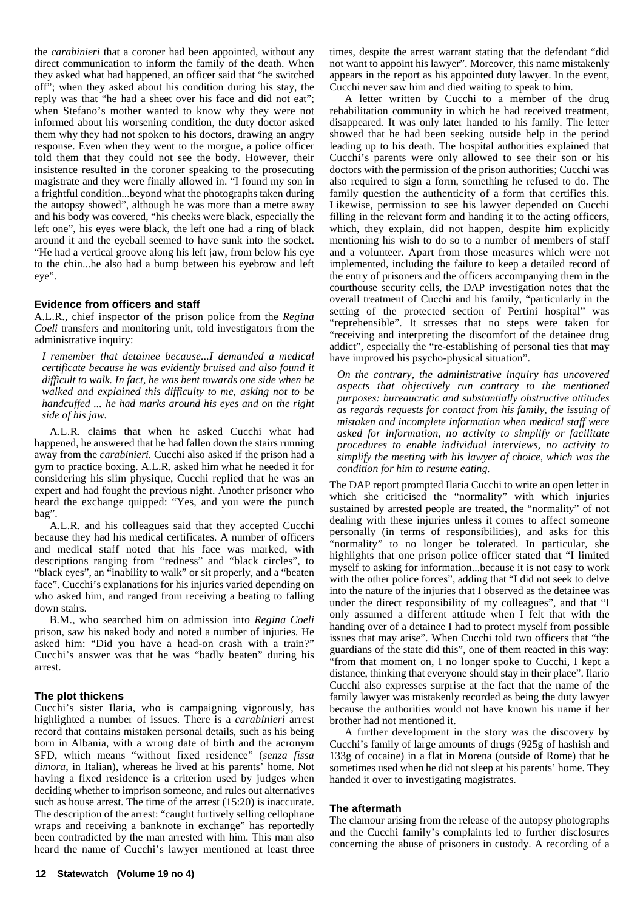the *carabinieri* that a coroner had been appointed, without any direct communication to inform the family of the death. When they asked what had happened, an officer said that "he switched off"; when they asked about his condition during his stay, the reply was that "he had a sheet over his face and did not eat"; when Stefano's mother wanted to know why they were not informed about his worsening condition, the duty doctor asked them why they had not spoken to his doctors, drawing an angry response. Even when they went to the morgue, a police officer told them that they could not see the body. However, their insistence resulted in the coroner speaking to the prosecuting magistrate and they were finally allowed in. "I found my son in a frightful condition...beyond what the photographs taken during the autopsy showed", although he was more than a metre away and his body was covered, "his cheeks were black, especially the left one", his eyes were black, the left one had a ring of black around it and the eyeball seemed to have sunk into the socket. "He had a vertical groove along his left jaw, from below his eye to the chin...he also had a bump between his eyebrow and left eye".

#### **Evidence from officers and staff**

A.L.R., chief inspector of the prison police from the *Regina Coeli* transfers and monitoring unit, told investigators from the administrative inquiry:

*I remember that detainee because...I demanded a medical certificate because he was evidently bruised and also found it difficult to walk. In fact, he was bent towards one side when he walked and explained this difficulty to me, asking not to be handcuffed ... he had marks around his eyes and on the right side of his jaw.*

A.L.R. claims that when he asked Cucchi what had happened, he answered that he had fallen down the stairs running away from the *carabinieri*. Cucchi also asked if the prison had a gym to practice boxing. A.L.R. asked him what he needed it for considering his slim physique, Cucchi replied that he was an expert and had fought the previous night. Another prisoner who heard the exchange quipped: "Yes, and you were the punch bag".

A.L.R. and his colleagues said that they accepted Cucchi because they had his medical certificates. A number of officers and medical staff noted that his face was marked, with descriptions ranging from "redness" and "black circles", to "black eyes", an "inability to walk" or sit properly, and a "beaten face". Cucchi's explanations for his injuries varied depending on who asked him, and ranged from receiving a beating to falling down stairs.

B.M., who searched him on admission into *Regina Coeli* prison, saw his naked body and noted a number of injuries. He asked him: "Did you have a head-on crash with a train?" Cucchi's answer was that he was "badly beaten" during his arrest.

#### **The plot thickens**

Cucchi's sister Ilaria, who is campaigning vigorously, has highlighted a number of issues. There is a *carabinieri* arrest record that contains mistaken personal details, such as his being born in Albania, with a wrong date of birth and the acronym SFD, which means "without fixed residence" (*senza fissa dimora*, in Italian), whereas he lived at his parents' home. Not having a fixed residence is a criterion used by judges when deciding whether to imprison someone, and rules out alternatives such as house arrest. The time of the arrest (15:20) is inaccurate. The description of the arrest: "caught furtively selling cellophane wraps and receiving a banknote in exchange" has reportedly been contradicted by the man arrested with him. This man also heard the name of Cucchi's lawyer mentioned at least three

times, despite the arrest warrant stating that the defendant "did not want to appoint his lawyer". Moreover, this name mistakenly appears in the report as his appointed duty lawyer. In the event, Cucchi never saw him and died waiting to speak to him.

A letter written by Cucchi to a member of the drug rehabilitation community in which he had received treatment, disappeared. It was only later handed to his family. The letter showed that he had been seeking outside help in the period leading up to his death. The hospital authorities explained that Cucchi's parents were only allowed to see their son or his doctors with the permission of the prison authorities; Cucchi was also required to sign a form, something he refused to do. The family question the authenticity of a form that certifies this. Likewise, permission to see his lawyer depended on Cucchi filling in the relevant form and handing it to the acting officers, which, they explain, did not happen, despite him explicitly mentioning his wish to do so to a number of members of staff and a volunteer. Apart from those measures which were not implemented, including the failure to keep a detailed record of the entry of prisoners and the officers accompanying them in the courthouse security cells, the DAP investigation notes that the overall treatment of Cucchi and his family, "particularly in the setting of the protected section of Pertini hospital" was "reprehensible". It stresses that no steps were taken for "receiving and interpreting the discomfort of the detainee drug addict", especially the "re-establishing of personal ties that may have improved his psycho-physical situation".

*On the contrary, the administrative inquiry has uncovered aspects that objectively run contrary to the mentioned purposes: bureaucratic and substantially obstructive attitudes as regards requests for contact from his family, the issuing of mistaken and incomplete information when medical staff were asked for information, no activity to simplify or facilitate procedures to enable individual interviews, no activity to simplify the meeting with his lawyer of choice, which was the condition for him to resume eating.*

The DAP report prompted Ilaria Cucchi to write an open letter in which she criticised the "normality" with which injuries sustained by arrested people are treated, the "normality" of not dealing with these injuries unless it comes to affect someone personally (in terms of responsibilities), and asks for this "normality" to no longer be tolerated. In particular, she highlights that one prison police officer stated that "I limited myself to asking for information...because it is not easy to work with the other police forces", adding that "I did not seek to delve into the nature of the injuries that I observed as the detainee was under the direct responsibility of my colleagues", and that "I only assumed a different attitude when I felt that with the handing over of a detainee I had to protect myself from possible issues that may arise". When Cucchi told two officers that "the guardians of the state did this", one of them reacted in this way: "from that moment on, I no longer spoke to Cucchi, I kept a distance, thinking that everyone should stay in their place". Ilario Cucchi also expresses surprise at the fact that the name of the family lawyer was mistakenly recorded as being the duty lawyer because the authorities would not have known his name if her brother had not mentioned it.

A further development in the story was the discovery by Cucchi's family of large amounts of drugs (925g of hashish and 133g of cocaine) in a flat in Morena (outside of Rome) that he sometimes used when he did not sleep at his parents' home. They handed it over to investigating magistrates.

#### **The aftermath**

The clamour arising from the release of the autopsy photographs and the Cucchi family's complaints led to further disclosures concerning the abuse of prisoners in custody. A recording of a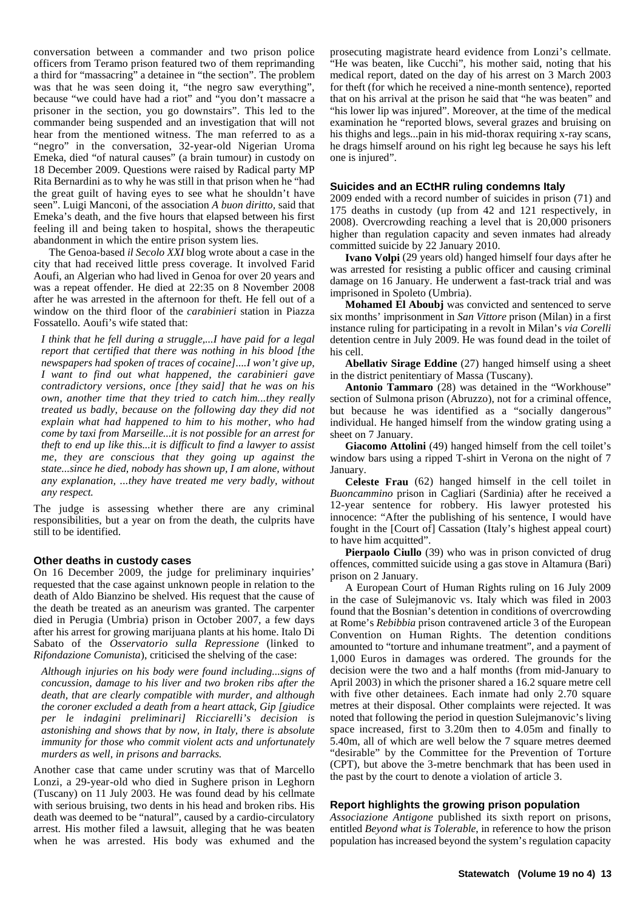conversation between a commander and two prison police officers from Teramo prison featured two of them reprimanding a third for "massacring" a detainee in "the section". The problem was that he was seen doing it, "the negro saw everything", because "we could have had a riot" and "you don't massacre a prisoner in the section, you go downstairs". This led to the commander being suspended and an investigation that will not hear from the mentioned witness. The man referred to as a "negro" in the conversation, 32-year-old Nigerian Uroma Emeka, died "of natural causes" (a brain tumour) in custody on 18 December 2009. Questions were raised by Radical party MP Rita Bernardini as to why he was still in that prison when he "had the great guilt of having eyes to see what he shouldn't have seen". Luigi Manconi, of the association *A buon diritto,* said that Emeka's death, and the five hours that elapsed between his first feeling ill and being taken to hospital, shows the therapeutic abandonment in which the entire prison system lies.

The Genoa-based *il Secolo XXI* blog wrote about a case in the city that had received little press coverage. It involved Farid Aoufi, an Algerian who had lived in Genoa for over 20 years and was a repeat offender. He died at 22:35 on 8 November 2008 after he was arrested in the afternoon for theft. He fell out of a window on the third floor of the *carabinieri* station in Piazza Fossatello. Aoufi's wife stated that:

*I think that he fell during a struggle,...I have paid for a legal report that certified that there was nothing in his blood [the newspapers had spoken of traces of cocaine]....I won't give up, I want to find out what happened, the carabinieri gave contradictory versions, once [they said] that he was on his own, another time that they tried to catch him...they really treated us badly, because on the following day they did not explain what had happened to him to his mother, who had come by taxi from Marseille...it is not possible for an arrest for theft to end up like this...it is difficult to find a lawyer to assist me, they are conscious that they going up against the state...since he died, nobody has shown up, I am alone, without any explanation, ...they have treated me very badly, without any respect.*

The judge is assessing whether there are any criminal responsibilities, but a year on from the death, the culprits have still to be identified.

#### **Other deaths in custody cases**

On 16 December 2009, the judge for preliminary inquiries' requested that the case against unknown people in relation to the death of Aldo Bianzino be shelved. His request that the cause of the death be treated as an aneurism was granted. The carpenter died in Perugia (Umbria) prison in October 2007, a few days after his arrest for growing marijuana plants at his home. Italo Di Sabato of the *Osservatorio sulla Repressione* (linked to *Rifondazione Comunista*), criticised the shelving of the case:

*Although injuries on his body were found including...signs of concussion, damage to his liver and two broken ribs after the death, that are clearly compatible with murder, and although the coroner excluded a death from a heart attack, Gip [giudice per le indagini preliminari] Ricciarelli's decision is astonishing and shows that by now, in Italy, there is absolute immunity for those who commit violent acts and unfortunately murders as well, in prisons and barracks.*

Another case that came under scrutiny was that of Marcello Lonzi, a 29-year-old who died in Sughere prison in Leghorn (Tuscany) on 11 July 2003. He was found dead by his cellmate with serious bruising, two dents in his head and broken ribs. His death was deemed to be "natural", caused by a cardio-circulatory arrest. His mother filed a lawsuit, alleging that he was beaten when he was arrested. His body was exhumed and the

prosecuting magistrate heard evidence from Lonzi's cellmate. "He was beaten, like Cucchi", his mother said, noting that his medical report, dated on the day of his arrest on 3 March 2003 for theft (for which he received a nine-month sentence), reported that on his arrival at the prison he said that "he was beaten" and "his lower lip was injured". Moreover, at the time of the medical examination he "reported blows, several grazes and bruising on his thighs and legs...pain in his mid-thorax requiring x-ray scans, he drags himself around on his right leg because he says his left one is injured".

#### **Suicides and an ECtHR ruling condemns Italy**

2009 ended with a record number of suicides in prison (71) and 175 deaths in custody (up from 42 and 121 respectively, in 2008). Overcrowding reaching a level that is 20,000 prisoners higher than regulation capacity and seven inmates had already committed suicide by 22 January 2010.

**Ivano Volpi** (29 years old) hanged himself four days after he was arrested for resisting a public officer and causing criminal damage on 16 January. He underwent a fast-track trial and was imprisoned in Spoleto (Umbria).

**Mohamed El Aboubj** was convicted and sentenced to serve six months' imprisonment in *San Vittore* prison (Milan) in a first instance ruling for participating in a revolt in Milan's *via Corelli* detention centre in July 2009. He was found dead in the toilet of his cell.

**Abellativ Sirage Eddine** (27) hanged himself using a sheet in the district penitentiary of Massa (Tuscany).

**Antonio Tammaro** (28) was detained in the "Workhouse" section of Sulmona prison (Abruzzo), not for a criminal offence, but because he was identified as a "socially dangerous" individual. He hanged himself from the window grating using a sheet on 7 January.

**Giacomo Attolini** (49) hanged himself from the cell toilet's window bars using a ripped T-shirt in Verona on the night of 7 January.

**Celeste Frau** (62) hanged himself in the cell toilet in *Buoncammino* prison in Cagliari (Sardinia) after he received a 12-year sentence for robbery. His lawyer protested his innocence: "After the publishing of his sentence, I would have fought in the [Court of] Cassation (Italy's highest appeal court) to have him acquitted".

**Pierpaolo Ciullo** (39) who was in prison convicted of drug offences, committed suicide using a gas stove in Altamura (Bari) prison on 2 January.

A European Court of Human Rights ruling on 16 July 2009 in the case of Sulejmanovic vs. Italy which was filed in 2003 found that the Bosnian's detention in conditions of overcrowding at Rome's *Rebibbia* prison contravened article 3 of the European Convention on Human Rights. The detention conditions amounted to "torture and inhumane treatment", and a payment of 1,000 Euros in damages was ordered. The grounds for the decision were the two and a half months (from mid-January to April 2003) in which the prisoner shared a 16.2 square metre cell with five other detainees. Each inmate had only 2.70 square metres at their disposal. Other complaints were rejected. It was noted that following the period in question Sulejmanovic's living space increased, first to 3.20m then to 4.05m and finally to 5.40m, all of which are well below the 7 square metres deemed "desirable" by the Committee for the Prevention of Torture (CPT), but above the 3-metre benchmark that has been used in the past by the court to denote a violation of article 3.

#### **Report highlights the growing prison population**

*Associazione Antigone* published its sixth report on prisons, entitled *Beyond what is Tolerable*, in reference to how the prison population has increased beyond the system's regulation capacity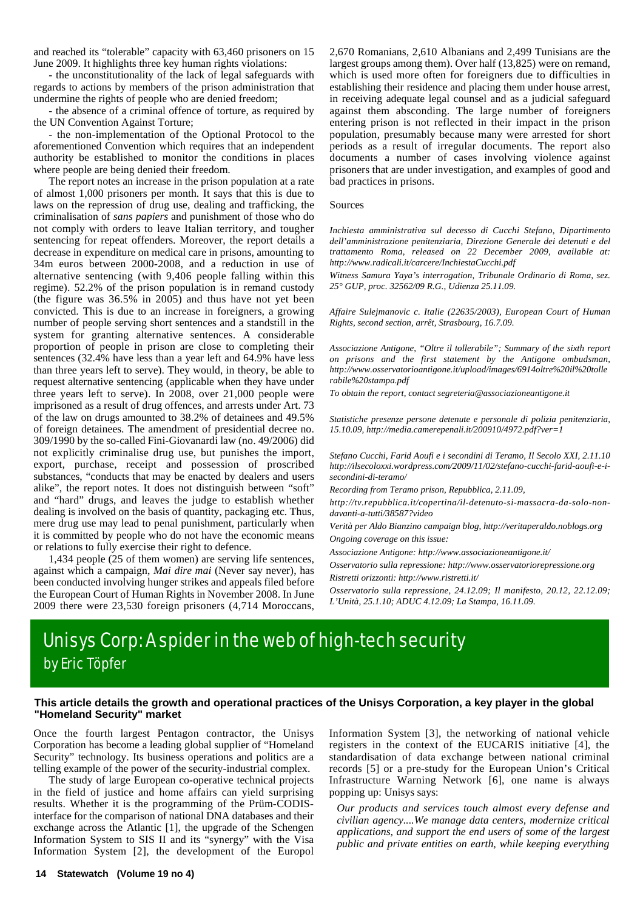and reached its "tolerable" capacity with 63,460 prisoners on 15 June 2009. It highlights three key human rights violations:

- the unconstitutionality of the lack of legal safeguards with regards to actions by members of the prison administration that undermine the rights of people who are denied freedom;

- the absence of a criminal offence of torture, as required by the UN Convention Against Torture;

- the non-implementation of the Optional Protocol to the aforementioned Convention which requires that an independent authority be established to monitor the conditions in places where people are being denied their freedom.

The report notes an increase in the prison population at a rate of almost 1,000 prisoners per month. It says that this is due to laws on the repression of drug use, dealing and trafficking, the criminalisation of *sans papiers* and punishment of those who do not comply with orders to leave Italian territory, and tougher sentencing for repeat offenders. Moreover, the report details a decrease in expenditure on medical care in prisons, amounting to 34m euros between 2000-2008, and a reduction in use of alternative sentencing (with 9,406 people falling within this regime). 52.2% of the prison population is in remand custody (the figure was 36.5% in 2005) and thus have not yet been convicted. This is due to an increase in foreigners, a growing number of people serving short sentences and a standstill in the system for granting alternative sentences. A considerable proportion of people in prison are close to completing their sentences (32.4% have less than a year left and 64.9% have less than three years left to serve). They would, in theory, be able to request alternative sentencing (applicable when they have under three years left to serve). In 2008, over 21,000 people were imprisoned as a result of drug offences, and arrests under Art. 73 of the law on drugs amounted to 38.2% of detainees and 49.5% of foreign detainees. The amendment of presidential decree no. 309/1990 by the so-called Fini-Giovanardi law (no. 49/2006) did not explicitly criminalise drug use, but punishes the import, export, purchase, receipt and possession of proscribed substances, "conducts that may be enacted by dealers and users alike", the report notes. It does not distinguish between "soft" and "hard" drugs, and leaves the judge to establish whether dealing is involved on the basis of quantity, packaging etc. Thus, mere drug use may lead to penal punishment, particularly when it is committed by people who do not have the economic means or relations to fully exercise their right to defence.

1,434 people (25 of them women) are serving life sentences, against which a campaign, *Mai dire mai* (Never say never), has been conducted involving hunger strikes and appeals filed before the European Court of Human Rights in November 2008. In June 2009 there were 23,530 foreign prisoners (4,714 Moroccans, 2,670 Romanians, 2,610 Albanians and 2,499 Tunisians are the largest groups among them). Over half (13,825) were on remand, which is used more often for foreigners due to difficulties in establishing their residence and placing them under house arrest, in receiving adequate legal counsel and as a judicial safeguard against them absconding. The large number of foreigners entering prison is not reflected in their impact in the prison population, presumably because many were arrested for short periods as a result of irregular documents. The report also documents a number of cases involving violence against prisoners that are under investigation, and examples of good and bad practices in prisons.

#### Sources

*Inchiesta amministrativa sul decesso di Cucchi Stefano, Dipartimento dell'amministrazione penitenziaria, Direzione Generale dei detenuti e del trattamento Roma, released on 22 December 2009, available at: http://www.radicali.it/carcere/InchiestaCucchi.pdf*

*Witness Samura Yaya's interrogation, Tribunale Ordinario di Roma, sez. 25° GUP, proc. 32562/09 R.G., Udienza 25.11.09.*

*Affaire Sulejmanovic c. Italie (22635/2003), European Court of Human Rights, second section, arrêt, Strasbourg, 16.7.09.*

*Associazione Antigone, "Oltre il tollerabile"; Summary of the sixth report on prisons and the first statement by the Antigone ombudsman, http://www.osservatorioantigone.it/upload/images/6914oltre%20il%20tolle rabile%20stampa.pdf*

*To obtain the report, contact segreteria@associazioneantigone.it*

*Statistiche presenze persone detenute e personale di polizia penitenziaria, 15.10.09, http://media.camerepenali.it/200910/4972.pdf?ver=1*

*Stefano Cucchi, Farid Aoufi e i secondini di Teramo, Il Secolo XXI, 2.11.10 http://ilsecoloxxi.wordpress.com/2009/11/02/stefano-cucchi-farid-aoufi-e-isecondini-di-teramo/*

*Recording from Teramo prison, Repubblica, 2.11.09,*

*http://tv.repubblica.it/copertina/il-detenuto-si-massacra-da-solo-nondavanti-a-tutti/38587?video*

*Verità per Aldo Bianzino campaign blog, http://veritaperaldo.noblogs.org Ongoing coverage on this issue:*

*Associazione Antigone: http://www.associazioneantigone.it/*

*Osservatorio sulla repressione: http://www.osservatoriorepressione.org Ristretti orizzonti: http://www.ristretti.it/*

*Osservatorio sulla repressione, 24.12.09; Il manifesto, 20.12, 22.12.09; L'Unità, 25.1.10; ADUC 4.12.09; La Stampa, 16.11.09.*

# Unisys Corp: A spider in the web of high-tech security by Eric Töpfer

#### **This article details the growth and operational practices of the Unisys Corporation, a key player in the global "Homeland Security" market**

Once the fourth largest Pentagon contractor, the Unisys Corporation has become a leading global supplier of "Homeland Security" technology. Its business operations and politics are a telling example of the power of the security-industrial complex.

The study of large European co-operative technical projects in the field of justice and home affairs can yield surprising results. Whether it is the programming of the Prüm-CODISinterface for the comparison of national DNA databases and their exchange across the Atlantic [1], the upgrade of the Schengen Information System to SIS II and its "synergy" with the Visa Information System [2], the development of the Europol Information System [3], the networking of national vehicle registers in the context of the EUCARIS initiative [4], the standardisation of data exchange between national criminal records [5] or a pre-study for the European Union's Critical Infrastructure Warning Network [6], one name is always popping up: Unisys says:

*Our products and services touch almost every defense and civilian agency....We manage data centers, modernize critical applications, and support the end users of some of the largest public and private entities on earth, while keeping everything*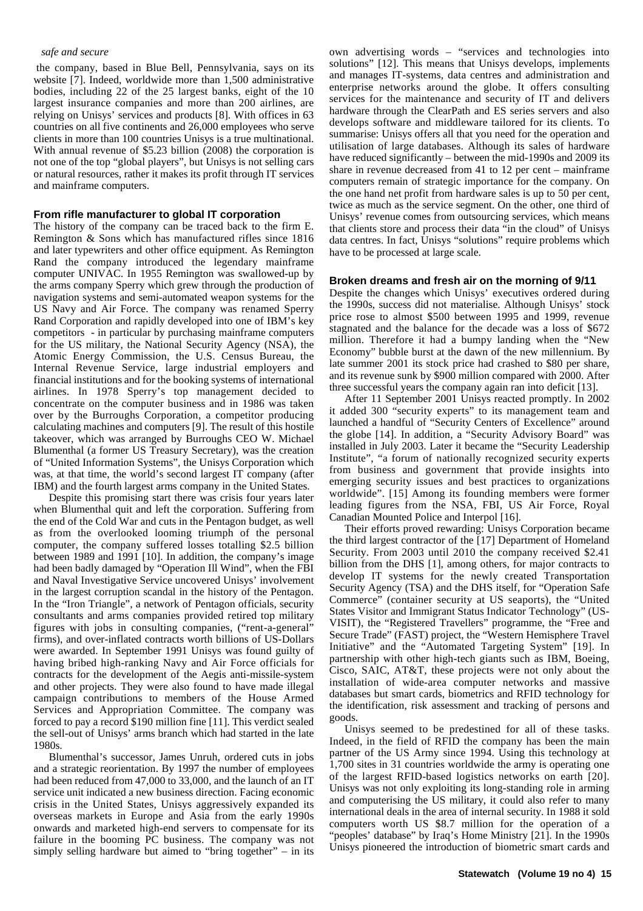#### *safe and secure*

 the company, based in Blue Bell, Pennsylvania, says on its website [7]. Indeed, worldwide more than 1,500 administrative bodies, including 22 of the 25 largest banks, eight of the 10 largest insurance companies and more than 200 airlines, are relying on Unisys' services and products [8]. With offices in 63 countries on all five continents and 26,000 employees who serve clients in more than 100 countries Unisys is a true multinational. With annual revenue of \$5.23 billion (2008) the corporation is not one of the top "global players", but Unisys is not selling cars or natural resources, rather it makes its profit through IT services and mainframe computers.

#### **From rifle manufacturer to global IT corporation**

The history of the company can be traced back to the firm E. Remington & Sons which has manufactured rifles since 1816 and later typewriters and other office equipment. As Remington Rand the company introduced the legendary mainframe computer UNIVAC. In 1955 Remington was swallowed-up by the arms company Sperry which grew through the production of navigation systems and semi-automated weapon systems for the US Navy and Air Force. The company was renamed Sperry Rand Corporation and rapidly developed into one of IBM's key competitors - in particular by purchasing mainframe computers for the US military, the National Security Agency (NSA), the Atomic Energy Commission, the U.S. Census Bureau, the Internal Revenue Service, large industrial employers and financial institutions and for the booking systems of international airlines. In 1978 Sperry's top management decided to concentrate on the computer business and in 1986 was taken over by the Burroughs Corporation, a competitor producing calculating machines and computers [9]. The result of this hostile takeover, which was arranged by Burroughs CEO W. Michael Blumenthal (a former US Treasury Secretary), was the creation of "United Information Systems", the Unisys Corporation which was, at that time, the world's second largest IT company (after IBM) and the fourth largest arms company in the United States.

Despite this promising start there was crisis four years later when Blumenthal quit and left the corporation. Suffering from the end of the Cold War and cuts in the Pentagon budget, as well as from the overlooked looming triumph of the personal computer, the company suffered losses totalling \$2.5 billion between 1989 and 1991 [10]. In addition, the company's image had been badly damaged by "Operation Ill Wind", when the FBI and Naval Investigative Service uncovered Unisys' involvement in the largest corruption scandal in the history of the Pentagon. In the "Iron Triangle", a network of Pentagon officials, security consultants and arms companies provided retired top military figures with jobs in consulting companies, ("rent-a-general" firms), and over-inflated contracts worth billions of US-Dollars were awarded. In September 1991 Unisys was found guilty of having bribed high-ranking Navy and Air Force officials for contracts for the development of the Aegis anti-missile-system and other projects. They were also found to have made illegal campaign contributions to members of the House Armed Services and Appropriation Committee. The company was forced to pay a record \$190 million fine [11]. This verdict sealed the sell-out of Unisys' arms branch which had started in the late 1980s.

Blumenthal's successor, James Unruh, ordered cuts in jobs and a strategic reorientation. By 1997 the number of employees had been reduced from 47,000 to 33,000, and the launch of an IT service unit indicated a new business direction. Facing economic crisis in the United States, Unisys aggressively expanded its overseas markets in Europe and Asia from the early 1990s onwards and marketed high-end servers to compensate for its failure in the booming PC business. The company was not simply selling hardware but aimed to "bring together" – in its own advertising words – "services and technologies into solutions" [12]. This means that Unisys develops, implements and manages IT-systems, data centres and administration and enterprise networks around the globe. It offers consulting services for the maintenance and security of IT and delivers hardware through the ClearPath and ES series servers and also develops software and middleware tailored for its clients. To summarise: Unisys offers all that you need for the operation and utilisation of large databases. Although its sales of hardware have reduced significantly – between the mid-1990s and 2009 its share in revenue decreased from 41 to 12 per cent – mainframe computers remain of strategic importance for the company. On the one hand net profit from hardware sales is up to 50 per cent, twice as much as the service segment. On the other, one third of Unisys' revenue comes from outsourcing services, which means that clients store and process their data "in the cloud" of Unisys data centres. In fact, Unisys "solutions" require problems which have to be processed at large scale.

#### **Broken dreams and fresh air on the morning of 9/11**

Despite the changes which Unisys' executives ordered during the 1990s, success did not materialise. Although Unisys' stock price rose to almost \$500 between 1995 and 1999, revenue stagnated and the balance for the decade was a loss of \$672 million. Therefore it had a bumpy landing when the "New Economy" bubble burst at the dawn of the new millennium. By late summer 2001 its stock price had crashed to \$80 per share, and its revenue sunk by \$900 million compared with 2000. After three successful years the company again ran into deficit [13].

After 11 September 2001 Unisys reacted promptly. In 2002 it added 300 "security experts" to its management team and launched a handful of "Security Centers of Excellence" around the globe [14]. In addition, a "Security Advisory Board" was installed in July 2003. Later it became the "Security Leadership Institute", "a forum of nationally recognized security experts from business and government that provide insights into emerging security issues and best practices to organizations worldwide". [15] Among its founding members were former leading figures from the NSA, FBI, US Air Force, Royal Canadian Mounted Police and Interpol [16].

Their efforts proved rewarding: Unisys Corporation became the third largest contractor of the [17] Department of Homeland Security. From 2003 until 2010 the company received \$2.41 billion from the DHS [1], among others, for major contracts to develop IT systems for the newly created Transportation Security Agency (TSA) and the DHS itself, for "Operation Safe Commerce" (container security at US seaports), the "United States Visitor and Immigrant Status Indicator Technology" (US-VISIT), the "Registered Travellers" programme, the "Free and Secure Trade" (FAST) project, the "Western Hemisphere Travel Initiative" and the "Automated Targeting System" [19]. In partnership with other high-tech giants such as IBM, Boeing, Cisco, SAIC, AT&T, these projects were not only about the installation of wide-area computer networks and massive databases but smart cards, biometrics and RFID technology for the identification, risk assessment and tracking of persons and goods.

Unisys seemed to be predestined for all of these tasks. Indeed, in the field of RFID the company has been the main partner of the US Army since 1994. Using this technology at 1,700 sites in 31 countries worldwide the army is operating one of the largest RFID-based logistics networks on earth [20]. Unisys was not only exploiting its long-standing role in arming and computerising the US military, it could also refer to many international deals in the area of internal security. In 1988 it sold computers worth US \$8.7 million for the operation of a "peoples' database" by Iraq's Home Ministry [21]. In the 1990s Unisys pioneered the introduction of biometric smart cards and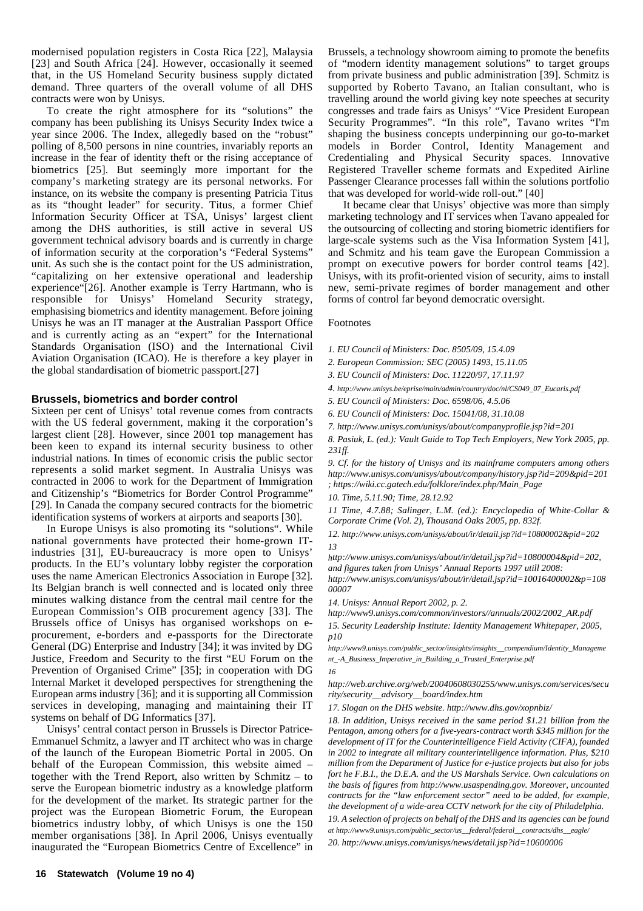modernised population registers in Costa Rica [22], Malaysia [23] and South Africa [24]. However, occasionally it seemed that, in the US Homeland Security business supply dictated demand. Three quarters of the overall volume of all DHS contracts were won by Unisys.

To create the right atmosphere for its "solutions" the company has been publishing its Unisys Security Index twice a year since 2006. The Index, allegedly based on the "robust" polling of 8,500 persons in nine countries, invariably reports an increase in the fear of identity theft or the rising acceptance of biometrics [25]. But seemingly more important for the company's marketing strategy are its personal networks. For instance, on its website the company is presenting Patricia Titus as its "thought leader" for security. Titus, a former Chief Information Security Officer at TSA, Unisys' largest client among the DHS authorities, is still active in several US government technical advisory boards and is currently in charge of information security at the corporation's "Federal Systems" unit. As such she is the contact point for the US administration, "capitalizing on her extensive operational and leadership experience"[26]. Another example is Terry Hartmann, who is responsible for Unisys' Homeland Security strategy, emphasising biometrics and identity management. Before joining Unisys he was an IT manager at the Australian Passport Office and is currently acting as an "expert" for the International Standards Organisation (ISO) and the International Civil Aviation Organisation (ICAO). He is therefore a key player in the global standardisation of biometric passport.[27]

#### **Brussels, biometrics and border control**

Sixteen per cent of Unisys' total revenue comes from contracts with the US federal government, making it the corporation's largest client [28]. However, since 2001 top management has been keen to expand its internal security business to other industrial nations. In times of economic crisis the public sector represents a solid market segment. In Australia Unisys was contracted in 2006 to work for the Department of Immigration and Citizenship's "Biometrics for Border Control Programme" [29]. In Canada the company secured contracts for the biometric identification systems of workers at airports and seaports [30].

In Europe Unisys is also promoting its "solutions". While national governments have protected their home-grown ITindustries [31], EU-bureaucracy is more open to Unisys' products. In the EU's voluntary lobby register the corporation uses the name American Electronics Association in Europe [32]. Its Belgian branch is well connected and is located only three minutes walking distance from the central mail centre for the European Commission's OIB procurement agency [33]. The Brussels office of Unisys has organised workshops on eprocurement, e-borders and e-passports for the Directorate General (DG) Enterprise and Industry [34]; it was invited by DG Justice, Freedom and Security to the first "EU Forum on the Prevention of Organised Crime" [35]; in cooperation with DG Internal Market it developed perspectives for strengthening the European arms industry [36]; and it is supporting all Commission services in developing, managing and maintaining their IT systems on behalf of DG Informatics [37].

Unisys' central contact person in Brussels is Director Patrice-Emmanuel Schmitz, a lawyer and IT architect who was in charge of the launch of the European Biometric Portal in 2005. On behalf of the European Commission, this website aimed – together with the Trend Report, also written by Schmitz – to serve the European biometric industry as a knowledge platform for the development of the market. Its strategic partner for the project was the European Biometric Forum, the European biometrics industry lobby, of which Unisys is one the 150 member organisations [38]. In April 2006, Unisys eventually inaugurated the "European Biometrics Centre of Excellence" in

Brussels, a technology showroom aiming to promote the benefits of "modern identity management solutions" to target groups from private business and public administration [39]. Schmitz is supported by Roberto Tavano, an Italian consultant, who is travelling around the world giving key note speeches at security congresses and trade fairs as Unisys' "Vice President European Security Programmes". "In this role", Tavano writes "I'm shaping the business concepts underpinning our go-to-market models in Border Control, Identity Management and Credentialing and Physical Security spaces. Innovative Registered Traveller scheme formats and Expedited Airline Passenger Clearance processes fall within the solutions portfolio that was developed for world-wide roll-out." [40]

It became clear that Unisys' objective was more than simply marketing technology and IT services when Tavano appealed for the outsourcing of collecting and storing biometric identifiers for large-scale systems such as the Visa Information System [41], and Schmitz and his team gave the European Commission a prompt on executive powers for border control teams [42]. Unisys, with its profit-oriented vision of security, aims to install new, semi-private regimes of border management and other forms of control far beyond democratic oversight.

#### Footnotes

- *1. EU Council of Ministers: Doc. 8505/09, 15.4.09*
- *2. European Commission: SEC (2005) 1493, 15.11.05*
- *3. EU Council of Ministers: Doc. 11220/97, 17.11.97*
- *4. http://www.unisys.be/eprise/main/admin/country/doc/nl/CS049\_07\_Eucaris.pdf*
- *5. EU Council of Ministers: Doc. 6598/06, 4.5.06*
- *6. EU Council of Ministers: Doc. 15041/08, 31.10.08*
- *7. http://www.unisys.com/unisys/about/companyprofile.jsp?id=201*

*8. Pasiuk, L. (ed.): Vault Guide to Top Tech Employers, New York 2005, pp. 231ff.*

*9. Cf. for the history of Unisys and its mainframe computers among others http://www.unisys.com/unisys/about/company/history.jsp?id=209&pid=201 ; https://wiki.cc.gatech.edu/folklore/index.php/Main\_Page*

*10. Time, 5.11.90; Time, 28.12.92*

*11 Time, 4.7.88; Salinger, L.M. (ed.): Encyclopedia of White-Collar & Corporate Crime (Vol. 2), Thousand Oaks 2005, pp. 832f.*

*12. http://www.unisys.com/unisys/about/ir/detail.jsp?id=10800002&pid=202 13*

*http://www.unisys.com/unisys/about/ir/detail.jsp?id=10800004&pid=202, and figures taken from Unisys' Annual Reports 1997 utill 2008: http://www.unisys.com/unisys/about/ir/detail.jsp?id=10016400002&p=108 00007*

*14. Unisys: Annual Report 2002, p. 2.*

*http://www9.unisys.com/common/investors//annuals/2002/2002\_AR.pdf 15. Security Leadership Institute: Identity Management Whitepaper, 2005, p10*

*http://www9.unisys.com/public\_sector/insights/insights\_\_compendium/Identity\_Manageme nt\_-A\_Business\_Imperative\_in\_Building\_a\_Trusted\_Enterprise.pdf*

*16*

*http://web.archive.org/web/20040608030255/www.unisys.com/services/secu rity/security\_\_advisory\_\_board/index.htm*

*17. Slogan on the DHS website. http://www.dhs.gov/xopnbiz/*

*18. In addition, Unisys received in the same period \$1.21 billion from the Pentagon, among others for a five-years-contract worth \$345 million for the development of IT for the Counterintelligence Field Activity (CIFA), founded in 2002 to integrate all military counterintelligence information. Plus, \$210 million from the Department of Justice for e-justice projects but also for jobs fort he F.B.I., the D.E.A. and the US Marshals Service. Own calculations on the basis of figures from http://www.usaspending.gov. Moreover, uncounted contracts for the "law enforcement sector" need to be added, for example, the development of a wide-area CCTV network for the city of Philadelphia.*

*19. A selection of projects on behalf of the DHS and its agencies can be found at http://www9.unisys.com/public\_sector/us\_\_federal/federal\_\_contracts/dhs\_\_eagle/*

*20. http://www.unisys.com/unisys/news/detail.jsp?id=10600006*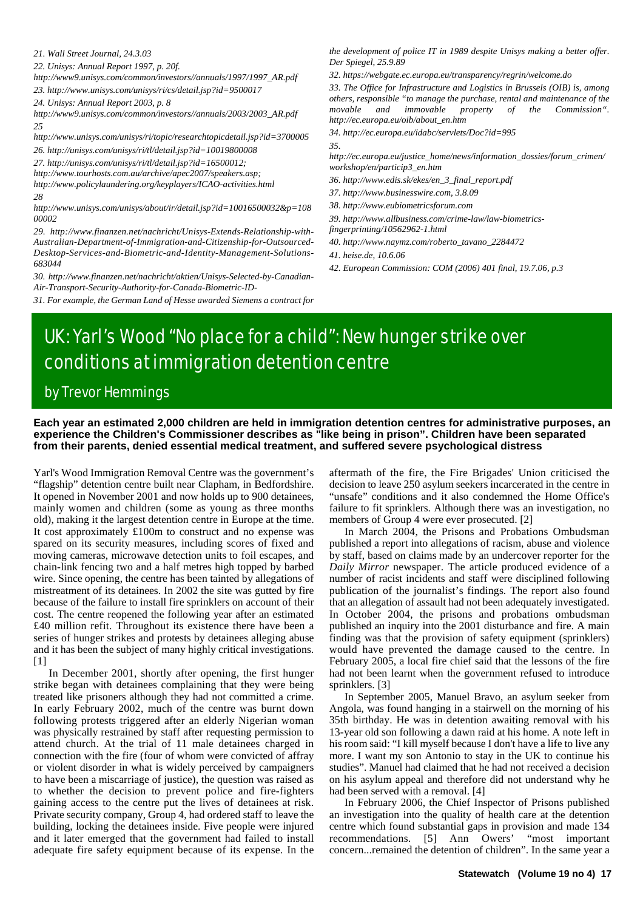*21. Wall Street Journal, 24.3.03*

*22. Unisys: Annual Report 1997, p. 20f.*

*http://www9.unisys.com/common/investors//annuals/1997/1997\_AR.pdf 23. http://www.unisys.com/unisys/ri/cs/detail.jsp?id=9500017*

*24. Unisys: Annual Report 2003, p. 8*

*http://www9.unisys.com/common/investors//annuals/2003/2003\_AR.pdf 25*

*http://www.unisys.com/unisys/ri/topic/researchtopicdetail.jsp?id=3700005 26. http://unisys.com/unisys/ri/tl/detail.jsp?id=10019800008*

*27. http://unisys.com/unisys/ri/tl/detail.jsp?id=16500012;*

*http://www.tourhosts.com.au/archive/apec2007/speakers.asp;*

*http://www.policylaundering.org/keyplayers/ICAO-activities.html*

*28*

*http://www.unisys.com/unisys/about/ir/detail.jsp?id=10016500032&p=108 00002*

*29. http://www.finanzen.net/nachricht/Unisys-Extends-Relationship-with-Australian-Department-of-Immigration-and-Citizenship-for-Outsourced-Desktop-Services-and-Biometric-and-Identity-Management-Solutions-683044*

*30. http://www.finanzen.net/nachricht/aktien/Unisys-Selected-by-Canadian-Air-Transport-Security-Authority-for-Canada-Biometric-ID-*

*31. For example, the German Land of Hesse awarded Siemens a contract for*

*the development of police IT in 1989 despite Unisys making a better offer. Der Spiegel, 25.9.89*

*32. https://webgate.ec.europa.eu/transparency/regrin/welcome.do*

*33. The Office for Infrastructure and Logistics in Brussels (OIB) is, among others, responsible "to manage the purchase, rental and maintenance of the movable and immovable property of the Commission". http://ec.europa.eu/oib/about\_en.htm*

*34. http://ec.europa.eu/idabc/servlets/Doc?id=995*

*35.*

*http://ec.europa.eu/justice\_home/news/information\_dossies/forum\_crimen/ workshop/en/particip3\_en.htm*

*36. http://www.edis.sk/ekes/en\_3\_final\_report.pdf*

*37. http://www.businesswire.com, 3.8.09*

*38. http://www.eubiometricsforum.com*

*39. http://www.allbusiness.com/crime-law/law-biometrics-*

*fingerprinting/10562962-1.html 40. http://www.naymz.com/roberto\_tavano\_2284472*

*41. heise.de, 10.6.06*

*42. European Commission: COM (2006) 401 final, 19.7.06, p.3*

# UK: Yarl's Wood "No place for a child": New hunger strike over conditions at immigration detention centre

## by Trevor Hemmings

**Each year an estimated 2,000 children are held in immigration detention centres for administrative purposes, an experience the Children's Commissioner describes as "like being in prison". Children have been separated from their parents, denied essential medical treatment, and suffered severe psychological distress**

Yarl's Wood Immigration Removal Centre was the government's "flagship" detention centre built near Clapham, in Bedfordshire. It opened in November 2001 and now holds up to 900 detainees, mainly women and children (some as young as three months old), making it the largest detention centre in Europe at the time. It cost approximately £100m to construct and no expense was spared on its security measures, including scores of fixed and moving cameras, microwave detection units to foil escapes, and chain-link fencing two and a half metres high topped by barbed wire. Since opening, the centre has been tainted by allegations of mistreatment of its detainees. In 2002 the site was gutted by fire because of the failure to install fire sprinklers on account of their cost. The centre reopened the following year after an estimated £40 million refit. Throughout its existence there have been a series of hunger strikes and protests by detainees alleging abuse and it has been the subject of many highly critical investigations. [1]

In December 2001, shortly after opening, the first hunger strike began with detainees complaining that they were being treated like prisoners although they had not committed a crime. In early February 2002, much of the centre was burnt down following protests triggered after an elderly Nigerian woman was physically restrained by staff after requesting permission to attend church. At the trial of 11 male detainees charged in connection with the fire (four of whom were convicted of affray or violent disorder in what is widely perceived by campaigners to have been a miscarriage of justice), the question was raised as to whether the decision to prevent police and fire-fighters gaining access to the centre put the lives of detainees at risk. Private security company, Group 4, had ordered staff to leave the building, locking the detainees inside. Five people were injured and it later emerged that the government had failed to install adequate fire safety equipment because of its expense. In the

aftermath of the fire, the Fire Brigades' Union criticised the decision to leave 250 asylum seekers incarcerated in the centre in "unsafe" conditions and it also condemned the Home Office's failure to fit sprinklers. Although there was an investigation, no members of Group 4 were ever prosecuted. [2]

In March 2004, the Prisons and Probations Ombudsman published a report into allegations of racism, abuse and violence by staff, based on claims made by an undercover reporter for the *Daily Mirror* newspaper. The article produced evidence of a number of racist incidents and staff were disciplined following publication of the journalist's findings. The report also found that an allegation of assault had not been adequately investigated. In October 2004, the prisons and probations ombudsman published an inquiry into the 2001 disturbance and fire. A main finding was that the provision of safety equipment (sprinklers) would have prevented the damage caused to the centre. In February 2005, a local fire chief said that the lessons of the fire had not been learnt when the government refused to introduce sprinklers. [3]

In September 2005, Manuel Bravo, an asylum seeker from Angola, was found hanging in a stairwell on the morning of his 35th birthday. He was in detention awaiting removal with his 13-year old son following a dawn raid at his home. A note left in his room said: "I kill myself because I don't have a life to live any more. I want my son Antonio to stay in the UK to continue his studies". Manuel had claimed that he had not received a decision on his asylum appeal and therefore did not understand why he had been served with a removal. [4]

In February 2006, the Chief Inspector of Prisons published an investigation into the quality of health care at the detention centre which found substantial gaps in provision and made 134 recommendations. [5] Ann Owers' "most important concern...remained the detention of children". In the same year a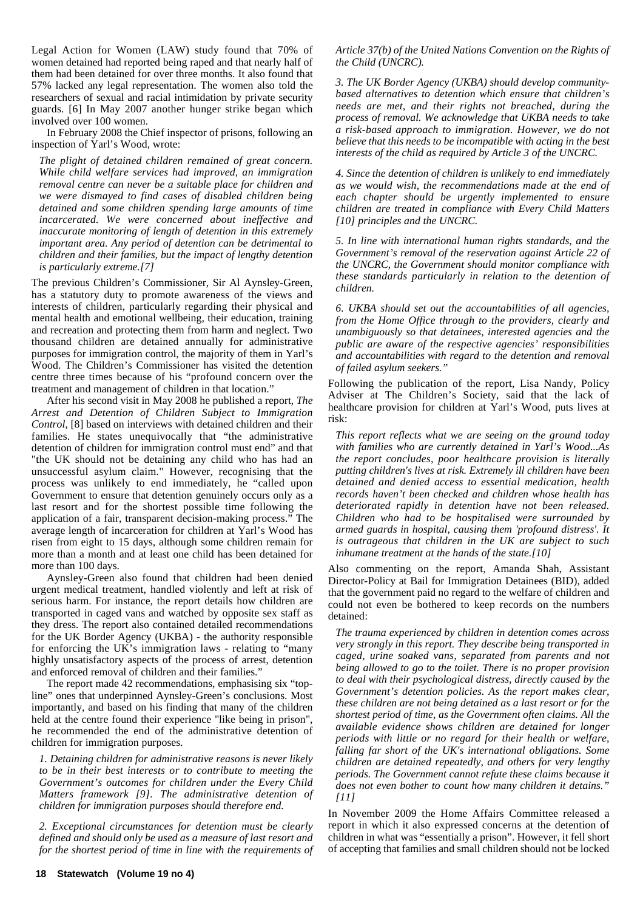Legal Action for Women (LAW) study found that 70% of women detained had reported being raped and that nearly half of them had been detained for over three months. It also found that 57% lacked any legal representation. The women also told the researchers of sexual and racial intimidation by private security guards. [6] In May 2007 another hunger strike began which involved over 100 women.

In February 2008 the Chief inspector of prisons, following an inspection of Yarl's Wood, wrote:

*The plight of detained children remained of great concern. While child welfare services had improved, an immigration removal centre can never be a suitable place for children and we were dismayed to find cases of disabled children being detained and some children spending large amounts of time incarcerated. We were concerned about ineffective and inaccurate monitoring of length of detention in this extremely important area. Any period of detention can be detrimental to children and their families, but the impact of lengthy detention is particularly extreme.[7]*

The previous Children's Commissioner, Sir Al Aynsley-Green, has a statutory duty to promote awareness of the views and interests of children, particularly regarding their physical and mental health and emotional wellbeing, their education, training and recreation and protecting them from harm and neglect. Two thousand children are detained annually for administrative purposes for immigration control, the majority of them in Yarl's Wood. The Children's Commissioner has visited the detention centre three times because of his "profound concern over the treatment and management of children in that location."

After his second visit in May 2008 he published a report, *The Arrest and Detention of Children Subject to Immigration Control*, [8] based on interviews with detained children and their families. He states unequivocally that "the administrative detention of children for immigration control must end" and that "the UK should not be detaining any child who has had an unsuccessful asylum claim." However, recognising that the process was unlikely to end immediately, he "called upon Government to ensure that detention genuinely occurs only as a last resort and for the shortest possible time following the application of a fair, transparent decision-making process." The average length of incarceration for children at Yarl's Wood has risen from eight to 15 days, although some children remain for more than a month and at least one child has been detained for more than 100 days.

Aynsley-Green also found that children had been denied urgent medical treatment, handled violently and left at risk of serious harm. For instance, the report details how children are transported in caged vans and watched by opposite sex staff as they dress. The report also contained detailed recommendations for the UK Border Agency (UKBA) - the authority responsible for enforcing the UK's immigration laws - relating to "many highly unsatisfactory aspects of the process of arrest, detention and enforced removal of children and their families."

The report made 42 recommendations, emphasising six "topline" ones that underpinned Aynsley-Green's conclusions. Most importantly, and based on his finding that many of the children held at the centre found their experience "like being in prison", he recommended the end of the administrative detention of children for immigration purposes.

*1. Detaining children for administrative reasons is never likely to be in their best interests or to contribute to meeting the Government's outcomes for children under the Every Child Matters framework [9]. The administrative detention of children for immigration purposes should therefore end.*

*2. Exceptional circumstances for detention must be clearly defined and should only be used as a measure of last resort and for the shortest period of time in line with the requirements of* *Article 37(b) of the United Nations Convention on the Rights of the Child (UNCRC).*

*3. The UK Border Agency (UKBA) should develop communitybased alternatives to detention which ensure that children's needs are met, and their rights not breached, during the process of removal. We acknowledge that UKBA needs to take a risk-based approach to immigration. However, we do not believe that this needs to be incompatible with acting in the best interests of the child as required by Article 3 of the UNCRC.*

*4. Since the detention of children is unlikely to end immediately as we would wish, the recommendations made at the end of each chapter should be urgently implemented to ensure children are treated in compliance with Every Child Matters [10] principles and the UNCRC.*

*5. In line with international human rights standards, and the Government's removal of the reservation against Article 22 of the UNCRC, the Government should monitor compliance with these standards particularly in relation to the detention of children.*

*6. UKBA should set out the accountabilities of all agencies, from the Home Office through to the providers, clearly and unambiguously so that detainees, interested agencies and the public are aware of the respective agencies' responsibilities and accountabilities with regard to the detention and removal of failed asylum seekers."*

Following the publication of the report, Lisa Nandy, Policy Adviser at The Children's Society, said that the lack of healthcare provision for children at Yarl's Wood, puts lives at risk:

*This report reflects what we are seeing on the ground today with families who are currently detained in Yarl's Wood...As the report concludes, poor healthcare provision is literally putting children's lives at risk. Extremely ill children have been detained and denied access to essential medication, health records haven't been checked and children whose health has deteriorated rapidly in detention have not been released. Children who had to be hospitalised were surrounded by armed guards in hospital, causing them 'profound distress'. It is outrageous that children in the UK are subject to such inhumane treatment at the hands of the state.[10]*

Also commenting on the report, Amanda Shah, Assistant Director-Policy at Bail for Immigration Detainees (BID), added that the government paid no regard to the welfare of children and could not even be bothered to keep records on the numbers detained:

*The trauma experienced by children in detention comes across very strongly in this report. They describe being transported in caged, urine soaked vans, separated from parents and not being allowed to go to the toilet. There is no proper provision to deal with their psychological distress, directly caused by the Government's detention policies. As the report makes clear, these children are not being detained as a last resort or for the shortest period of time, as the Government often claims. All the available evidence shows children are detained for longer periods with little or no regard for their health or welfare, falling far short of the UK's international obligations. Some children are detained repeatedly, and others for very lengthy periods. The Government cannot refute these claims because it does not even bother to count how many children it detains." [11]*

In November 2009 the Home Affairs Committee released a report in which it also expressed concerns at the detention of children in what was "essentially a prison". However, it fell short of accepting that families and small children should not be locked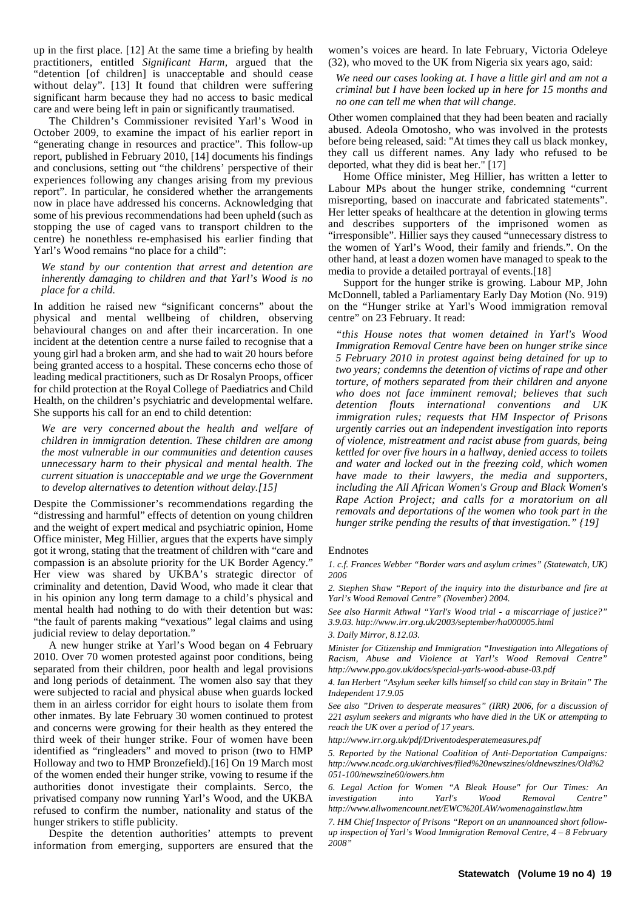up in the first place. [12] At the same time a briefing by health practitioners, entitled *Significant Harm,* argued that the "detention [of children] is unacceptable and should cease without delay". [13] It found that children were suffering significant harm because they had no access to basic medical care and were being left in pain or significantly traumatised.

The Children's Commissioner revisited Yarl's Wood in October 2009, to examine the impact of his earlier report in "generating change in resources and practice". This follow-up report, published in February 2010, [14] documents his findings and conclusions, setting out "the childrens' perspective of their experiences following any changes arising from my previous report". In particular, he considered whether the arrangements now in place have addressed his concerns. Acknowledging that some of his previous recommendations had been upheld (such as stopping the use of caged vans to transport children to the centre) he nonethless re-emphasised his earlier finding that Yarl's Wood remains "no place for a child":

*We stand by our contention that arrest and detention are inherently damaging to children and that Yarl's Wood is no place for a child.*

In addition he raised new "significant concerns" about the physical and mental wellbeing of children, observing behavioural changes on and after their incarceration. In one incident at the detention centre a nurse failed to recognise that a young girl had a broken arm, and she had to wait 20 hours before being granted access to a hospital. These concerns echo those of leading medical practitioners, such as Dr Rosalyn Proops, officer for child protection at the Royal College of Paediatrics and Child Health, on the children's psychiatric and developmental welfare. She supports his call for an end to child detention:

*We are very concerned about the health and welfare of children in immigration detention. These children are among the most vulnerable in our communities and detention causes unnecessary harm to their physical and mental health. The current situation is unacceptable and we urge the Government to develop alternatives to detention without delay.[15]*

Despite the Commissioner's recommendations regarding the "distressing and harmful" effects of detention on young children and the weight of expert medical and psychiatric opinion, Home Office minister, Meg Hillier, argues that the experts have simply got it wrong, stating that the treatment of children with "care and compassion is an absolute priority for the UK Border Agency." Her view was shared by UKBA's strategic director of criminality and detention, David Wood, who made it clear that in his opinion any long term damage to a child's physical and mental health had nothing to do with their detention but was: "the fault of parents making "vexatious" legal claims and using judicial review to delay deportation."

A new hunger strike at Yarl's Wood began on 4 February 2010. Over 70 women protested against poor conditions, being separated from their children, poor health and legal provisions and long periods of detainment. The women also say that they were subjected to racial and physical abuse when guards locked them in an airless corridor for eight hours to isolate them from other inmates. By late February 30 women continued to protest and concerns were growing for their health as they entered the third week of their hunger strike. Four of women have been identified as "ringleaders" and moved to prison (two to HMP Holloway and two to HMP Bronzefield).[16] On 19 March most of the women ended their hunger strike, vowing to resume if the authorities donot investigate their complaints. Serco, the privatised company now running Yarl's Wood, and the UKBA refused to confirm the number, nationality and status of the hunger strikers to stifle publicity.

Despite the detention authorities' attempts to prevent information from emerging, supporters are ensured that the

women's voices are heard. In late February, Victoria Odeleye (32), who moved to the UK from Nigeria six years ago, said:

*We need our cases looking at. I have a little girl and am not a criminal but I have been locked up in here for 15 months and no one can tell me when that will change.*

Other women complained that they had been beaten and racially abused. Adeola Omotosho, who was involved in the protests before being released, said: "At times they call us black monkey, they call us different names. Any lady who refused to be deported, what they did is beat her." [17]

Home Office minister, Meg Hillier, has written a letter to Labour MPs about the hunger strike, condemning "current misreporting, based on inaccurate and fabricated statements". Her letter speaks of healthcare at the detention in glowing terms and describes supporters of the imprisoned women as "irresponsible". Hillier says they caused "unnecessary distress to the women of Yarl's Wood, their family and friends.". On the other hand, at least a dozen women have managed to speak to the media to provide a detailed portrayal of events.[18]

Support for the hunger strike is growing. Labour MP, John McDonnell, tabled a Parliamentary Early Day Motion (No. 919) on the "Hunger strike at Yarl's Wood immigration removal centre" on 23 February. It read:

*"this House notes that women detained in Yarl's Wood Immigration Removal Centre have been on hunger strike since 5 February 2010 in protest against being detained for up to two years; condemns the detention of victims of rape and other torture, of mothers separated from their children and anyone who does not face imminent removal; believes that such detention flouts international conventions and UK immigration rules; requests that HM Inspector of Prisons urgently carries out an independent investigation into reports of violence, mistreatment and racist abuse from guards, being kettled for over five hours in a hallway, denied access to toilets and water and locked out in the freezing cold, which women have made to their lawyers, the media and supporters, including the All African Women's Group and Black Women's Rape Action Project; and calls for a moratorium on all removals and deportations of the women who took part in the hunger strike pending the results of that investigation." {19]*

#### Endnotes

*1. c.f. Frances Webber "Border wars and asylum crimes" (Statewatch, UK) 2006*

*2. Stephen Shaw "Report of the inquiry into the disturbance and fire at Yarl's Wood Removal Centre" (November) 2004.*

*See also Harmit Athwal "Yarl's Wood trial - a miscarriage of justice?" 3.9.03. http://www.irr.org.uk/2003/september/ha000005.html*

*3. Daily Mirror, 8.12.03.*

*Minister for Citizenship and Immigration "Investigation into Allegations of Racism, Abuse and Violence at Yarl's Wood Removal Centre" http://www.ppo.gov.uk/docs/special-yarls-wood-abuse-03.pdf*

*4. Ian Herbert "Asylum seeker kills himself so child can stay in Britain" The Independent 17.9.05*

*See also "Driven to desperate measures" (IRR) 2006, for a discussion of 221 asylum seekers and migrants who have died in the UK or attempting to reach the UK over a period of 17 years.*

*http://www.irr.org.uk/pdf/Driventodesperatemeasures.pdf*

*5. Reported by the National Coalition of Anti-Deportation Campaigns: http://www.ncadc.org.uk/archives/filed%20newszines/oldnewszines/Old%2 051-100/newszine60/owers.htm*

*6. Legal Action for Women "A Bleak House" for Our Times: An investigation into Yarl's Wood Removal Centre" http://www.allwomencount.net/EWC%20LAW/womenagainstlaw.htm*

*7. HM Chief Inspector of Prisons "Report on an unannounced short followup inspection of Yarl's Wood Immigration Removal Centre, 4 – 8 February 2008"*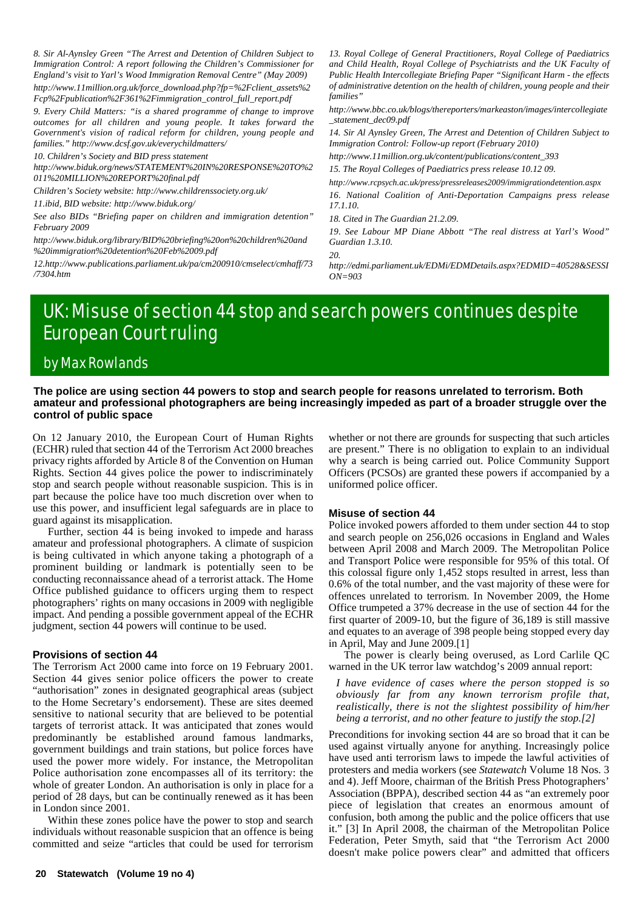*8. Sir Al-Aynsley Green "The Arrest and Detention of Children Subject to Immigration Control: A report following the Children's Commissioner for England's visit to Yarl's Wood Immigration Removal Centre" (May 2009)*

*http://www.11million.org.uk/force\_download.php?fp=%2Fclient\_assets%2 Fcp%2Fpublication%2F361%2Fimmigration\_control\_full\_report.pdf*

*9. Every Child Matters: "is a shared programme of change to improve outcomes for all children and young people. It takes forward the Government's vision of radical reform for children, young people and families." http://www.dcsf.gov.uk/everychildmatters/*

*10. Children's Society and BID press statement*

*http://www.biduk.org/news/STATEMENT%20IN%20RESPONSE%20TO%2 011%20MILLION%20REPORT%20final.pdf*

*Children's Society website: http://www.childrenssociety.org.uk/*

*11.ibid, BID website: http://www.biduk.org/*

*See also BIDs "Briefing paper on children and immigration detention" February 2009*

*http://www.biduk.org/library/BID%20briefing%20on%20children%20and %20immigration%20detention%20Feb%2009.pdf*

*12.http://www.publications.parliament.uk/pa/cm200910/cmselect/cmhaff/73 /7304.htm*

*13. Royal College of General Practitioners, Royal College of Paediatrics and Child Health, Royal College of Psychiatrists and the UK Faculty of Public Health Intercollegiate Briefing Paper "Significant Harm - the effects of administrative detention on the health of children, young people and their families"*

*http://www.bbc.co.uk/blogs/thereporters/markeaston/images/intercollegiate \_statement\_dec09.pdf*

*14. Sir Al Aynsley Green, The Arrest and Detention of Children Subject to Immigration Control: Follow-up report (February 2010)*

*http://www.11million.org.uk/content/publications/content\_393*

*15. The Royal Colleges of Paediatrics press release 10.12 09.*

*http://www.rcpsych.ac.uk/press/pressreleases2009/immigrationdetention.aspx 16. National Coalition of Anti-Deportation Campaigns press release 17.1.10.*

*18. Cited in The Guardian 21.2.09.*

*19. See Labour MP Diane Abbott "The real distress at Yarl's Wood" Guardian 1.3.10.*

*20.*

*http://edmi.parliament.uk/EDMi/EDMDetails.aspx?EDMID=40528&SESSI ON=903*

# UK: Misuse of section 44 stop and search powers continues despite European Court ruling

## by Max Rowlands

#### **The police are using section 44 powers to stop and search people for reasons unrelated to terrorism. Both amateur and professional photographers are being increasingly impeded as part of a broader struggle over the control of public space**

On 12 January 2010, the European Court of Human Rights (ECHR) ruled that section 44 of the Terrorism Act 2000 breaches privacy rights afforded by Article 8 of the Convention on Human Rights. Section 44 gives police the power to indiscriminately stop and search people without reasonable suspicion. This is in part because the police have too much discretion over when to use this power, and insufficient legal safeguards are in place to guard against its misapplication.

Further, section 44 is being invoked to impede and harass amateur and professional photographers. A climate of suspicion is being cultivated in which anyone taking a photograph of a prominent building or landmark is potentially seen to be conducting reconnaissance ahead of a terrorist attack. The Home Office published guidance to officers urging them to respect photographers' rights on many occasions in 2009 with negligible impact. And pending a possible government appeal of the ECHR judgment, section 44 powers will continue to be used.

#### **Provisions of section 44**

The Terrorism Act 2000 came into force on 19 February 2001. Section 44 gives senior police officers the power to create "authorisation" zones in designated geographical areas (subject to the Home Secretary's endorsement). These are sites deemed sensitive to national security that are believed to be potential targets of terrorist attack. It was anticipated that zones would predominantly be established around famous landmarks, government buildings and train stations, but police forces have used the power more widely. For instance, the Metropolitan Police authorisation zone encompasses all of its territory: the whole of greater London. An authorisation is only in place for a period of 28 days, but can be continually renewed as it has been in London since 2001.

Within these zones police have the power to stop and search individuals without reasonable suspicion that an offence is being committed and seize "articles that could be used for terrorism

whether or not there are grounds for suspecting that such articles are present." There is no obligation to explain to an individual why a search is being carried out. Police Community Support Officers (PCSOs) are granted these powers if accompanied by a uniformed police officer.

#### **Misuse of section 44**

Police invoked powers afforded to them under section 44 to stop and search people on 256,026 occasions in England and Wales between April 2008 and March 2009. The Metropolitan Police and Transport Police were responsible for 95% of this total. Of this colossal figure only 1,452 stops resulted in arrest, less than 0.6% of the total number, and the vast majority of these were for offences unrelated to terrorism. In November 2009, the Home Office trumpeted a 37% decrease in the use of section 44 for the first quarter of 2009-10, but the figure of 36,189 is still massive and equates to an average of 398 people being stopped every day in April, May and June 2009.[1]

The power is clearly being overused, as Lord Carlile QC warned in the UK terror law watchdog's 2009 annual report:

*I have evidence of cases where the person stopped is so obviously far from any known terrorism profile that, realistically, there is not the slightest possibility of him/her being a terrorist, and no other feature to justify the stop.[2]*

Preconditions for invoking section 44 are so broad that it can be used against virtually anyone for anything. Increasingly police have used anti terrorism laws to impede the lawful activities of protesters and media workers (see *Statewatch* Volume 18 Nos. 3 and 4). Jeff Moore, chairman of the British Press Photographers' Association (BPPA), described section 44 as "an extremely poor piece of legislation that creates an enormous amount of confusion, both among the public and the police officers that use it." [3] In April 2008, the chairman of the Metropolitan Police Federation, Peter Smyth, said that "the Terrorism Act 2000 doesn't make police powers clear" and admitted that officers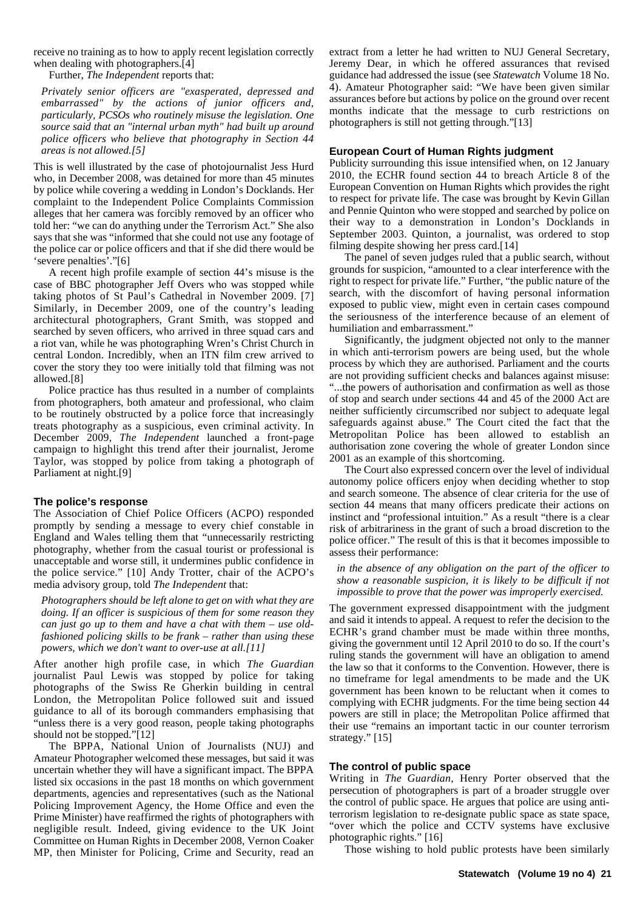receive no training as to how to apply recent legislation correctly when dealing with photographers.<sup>[4]</sup>

Further, *The Independent* reports that:

*Privately senior officers are "exasperated, depressed and embarrassed" by the actions of junior officers and, particularly, PCSOs who routinely misuse the legislation. One source said that an "internal urban myth" had built up around police officers who believe that photography in Section 44 areas is not allowed.[5]*

This is well illustrated by the case of photojournalist Jess Hurd who, in December 2008, was detained for more than 45 minutes by police while covering a wedding in London's Docklands. Her complaint to the Independent Police Complaints Commission alleges that her camera was forcibly removed by an officer who told her: "we can do anything under the Terrorism Act." She also says that she was "informed that she could not use any footage of the police car or police officers and that if she did there would be 'severe penalties'."[6]

A recent high profile example of section 44's misuse is the case of BBC photographer Jeff Overs who was stopped while taking photos of St Paul's Cathedral in November 2009. [7] Similarly, in December 2009, one of the country's leading architectural photographers, Grant Smith, was stopped and searched by seven officers, who arrived in three squad cars and a riot van, while he was photographing Wren's Christ Church in central London. Incredibly, when an ITN film crew arrived to cover the story they too were initially told that filming was not allowed.[8]

Police practice has thus resulted in a number of complaints from photographers, both amateur and professional, who claim to be routinely obstructed by a police force that increasingly treats photography as a suspicious, even criminal activity. In December 2009, *The Independent* launched a front-page campaign to highlight this trend after their journalist, Jerome Taylor, was stopped by police from taking a photograph of Parliament at night.[9]

#### **The police's response**

The Association of Chief Police Officers (ACPO) responded promptly by sending a message to every chief constable in England and Wales telling them that "unnecessarily restricting photography, whether from the casual tourist or professional is unacceptable and worse still, it undermines public confidence in the police service." [10] Andy Trotter, chair of the ACPO's media advisory group, told *The Independent* that:

*Photographers should be left alone to get on with what they are doing. If an officer is suspicious of them for some reason they can just go up to them and have a chat with them – use oldfashioned policing skills to be frank – rather than using these powers, which we don't want to over-use at all.[11]*

After another high profile case, in which *The Guardian* journalist Paul Lewis was stopped by police for taking photographs of the Swiss Re Gherkin building in central London, the Metropolitan Police followed suit and issued guidance to all of its borough commanders emphasising that "unless there is a very good reason, people taking photographs should not be stopped."[12]

The BPPA, National Union of Journalists (NUJ) and Amateur Photographer welcomed these messages, but said it was uncertain whether they will have a significant impact. The BPPA listed six occasions in the past 18 months on which government departments, agencies and representatives (such as the National Policing Improvement Agency, the Home Office and even the Prime Minister) have reaffirmed the rights of photographers with negligible result. Indeed, giving evidence to the UK Joint Committee on Human Rights in December 2008, Vernon Coaker MP, then Minister for Policing, Crime and Security, read an

extract from a letter he had written to NUJ General Secretary, Jeremy Dear, in which he offered assurances that revised guidance had addressed the issue (see *Statewatch* Volume 18 No. 4). Amateur Photographer said: "We have been given similar assurances before but actions by police on the ground over recent months indicate that the message to curb restrictions on photographers is still not getting through."[13]

#### **European Court of Human Rights judgment**

Publicity surrounding this issue intensified when, on 12 January 2010, the ECHR found section 44 to breach Article 8 of the European Convention on Human Rights which provides the right to respect for private life. The case was brought by Kevin Gillan and Pennie Quinton who were stopped and searched by police on their way to a demonstration in London's Docklands in September 2003. Quinton, a journalist, was ordered to stop filming despite showing her press card.[14]

The panel of seven judges ruled that a public search, without grounds for suspicion, "amounted to a clear interference with the right to respect for private life." Further, "the public nature of the search, with the discomfort of having personal information exposed to public view, might even in certain cases compound the seriousness of the interference because of an element of humiliation and embarrassment."

Significantly, the judgment objected not only to the manner in which anti-terrorism powers are being used, but the whole process by which they are authorised. Parliament and the courts are not providing sufficient checks and balances against misuse: "...the powers of authorisation and confirmation as well as those of stop and search under sections 44 and 45 of the 2000 Act are neither sufficiently circumscribed nor subject to adequate legal safeguards against abuse." The Court cited the fact that the Metropolitan Police has been allowed to establish an authorisation zone covering the whole of greater London since 2001 as an example of this shortcoming.

The Court also expressed concern over the level of individual autonomy police officers enjoy when deciding whether to stop and search someone. The absence of clear criteria for the use of section 44 means that many officers predicate their actions on instinct and "professional intuition." As a result "there is a clear risk of arbitrariness in the grant of such a broad discretion to the police officer." The result of this is that it becomes impossible to assess their performance:

*in the absence of any obligation on the part of the officer to show a reasonable suspicion, it is likely to be difficult if not impossible to prove that the power was improperly exercised.*

The government expressed disappointment with the judgment and said it intends to appeal. A request to refer the decision to the ECHR's grand chamber must be made within three months, giving the government until 12 April 2010 to do so. If the court's ruling stands the government will have an obligation to amend the law so that it conforms to the Convention. However, there is no timeframe for legal amendments to be made and the UK government has been known to be reluctant when it comes to complying with ECHR judgments. For the time being section 44 powers are still in place; the Metropolitan Police affirmed that their use "remains an important tactic in our counter terrorism strategy." [15]

#### **The control of public space**

Writing in *The Guardian*, Henry Porter observed that the persecution of photographers is part of a broader struggle over the control of public space. He argues that police are using antiterrorism legislation to re-designate public space as state space, "over which the police and CCTV systems have exclusive photographic rights." [16]

Those wishing to hold public protests have been similarly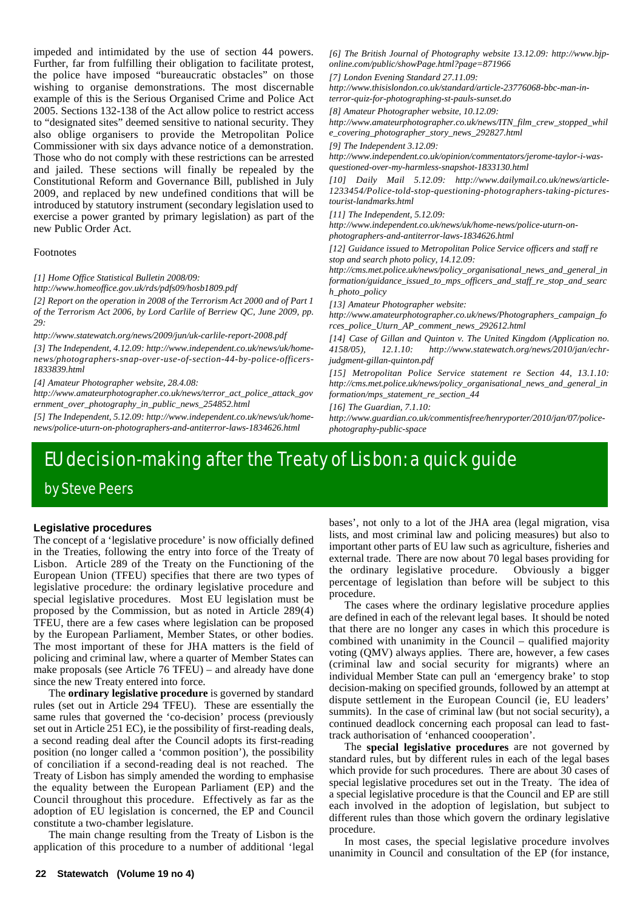impeded and intimidated by the use of section 44 powers. Further, far from fulfilling their obligation to facilitate protest, the police have imposed "bureaucratic obstacles" on those wishing to organise demonstrations. The most discernable example of this is the Serious Organised Crime and Police Act 2005. Sections 132-138 of the Act allow police to restrict access to "designated sites" deemed sensitive to national security. They also oblige organisers to provide the Metropolitan Police Commissioner with six days advance notice of a demonstration. Those who do not comply with these restrictions can be arrested and jailed. These sections will finally be repealed by the Constitutional Reform and Governance Bill, published in July 2009, and replaced by new undefined conditions that will be introduced by statutory instrument (secondary legislation used to exercise a power granted by primary legislation) as part of the new Public Order Act.

#### Footnotes

#### *[1] Home Office Statistical Bulletin 2008/09:*

*http://www.homeoffice.gov.uk/rds/pdfs09/hosb1809.pdf*

*[2] Report on the operation in 2008 of the Terrorism Act 2000 and of Part 1 of the Terrorism Act 2006, by Lord Carlile of Berriew QC, June 2009, pp. 29:*

*http://www.statewatch.org/news/2009/jun/uk-carlile-report-2008.pdf*

*[3] The Independent, 4.12.09: http://www.independent.co.uk/news/uk/homenews/photographers-snap-over-use-of-section-44-by-police-officers-1833839.html*

*[4] Amateur Photographer website, 28.4.08:*

*http://www.amateurphotographer.co.uk/news/terror\_act\_police\_attack\_gov ernment\_over\_photography\_in\_public\_news\_254852.html*

*[5] The Independent, 5.12.09: http://www.independent.co.uk/news/uk/homenews/police-uturn-on-photographers-and-antiterror-laws-1834626.html*

*[6] The British Journal of Photography website 13.12.09: http://www.bjponline.com/public/showPage.html?page=871966*

*[7] London Evening Standard 27.11.09:*

*http://www.thisislondon.co.uk/standard/article-23776068-bbc-man-interror-quiz-for-photographing-st-pauls-sunset.do*

*[8] Amateur Photographer website, 10.12.09:*

*http://www.amateurphotographer.co.uk/news/ITN\_film\_crew\_stopped\_whil e\_covering\_photographer\_story\_news\_292827.html*

*[9] The Independent 3.12.09:*

*http://www.independent.co.uk/opinion/commentators/jerome-taylor-i-wasquestioned-over-my-harmless-snapshot-1833130.html*

*[10] Daily Mail 5.12.09: http://www.dailymail.co.uk/news/article-1233454/Police-told-stop-questioning-photographers-taking-picturestourist-landmarks.html*

*[11] The Independent, 5.12.09:*

*http://www.independent.co.uk/news/uk/home-news/police-uturn-onphotographers-and-antiterror-laws-1834626.html*

*[12] Guidance issued to Metropolitan Police Service officers and staff re stop and search photo policy, 14.12.09:*

*http://cms.met.police.uk/news/policy\_organisational\_news\_and\_general\_in formation/guidance\_issued\_to\_mps\_officers\_and\_staff\_re\_stop\_and\_searc h\_photo\_policy*

*[13] Amateur Photographer website:*

*http://www.amateurphotographer.co.uk/news/Photographers\_campaign\_fo rces\_police\_Uturn\_AP\_comment\_news\_292612.html*

*[14] Case of Gillan and Quinton v. The United Kingdom (Application no. 4158/05), 12.1.10: http://www.statewatch.org/news/2010/jan/echrjudgment-gillan-quinton.pdf*

*[15] Metropolitan Police Service statement re Section 44, 13.1.10: http://cms.met.police.uk/news/policy\_organisational\_news\_and\_general\_in formation/mps\_statement\_re\_section\_44*

*[16] The Guardian, 7.1.10:*

*http://www.guardian.co.uk/commentisfree/henryporter/2010/jan/07/policephotography-public-space*

# EU decision-making after the Treaty of Lisbon: a quick guide by Steve Peers

#### **Legislative procedures**

The concept of a 'legislative procedure' is now officially defined in the Treaties, following the entry into force of the Treaty of Lisbon. Article 289 of the Treaty on the Functioning of the European Union (TFEU) specifies that there are two types of legislative procedure: the ordinary legislative procedure and special legislative procedures. Most EU legislation must be proposed by the Commission, but as noted in Article 289(4) TFEU, there are a few cases where legislation can be proposed by the European Parliament, Member States, or other bodies. The most important of these for JHA matters is the field of policing and criminal law, where a quarter of Member States can make proposals (see Article 76 TFEU) – and already have done since the new Treaty entered into force.

The **ordinary legislative procedure** is governed by standard rules (set out in Article 294 TFEU). These are essentially the same rules that governed the 'co-decision' process (previously set out in Article 251 EC), ie the possibility of first-reading deals, a second reading deal after the Council adopts its first-reading position (no longer called a 'common position'), the possibility of conciliation if a second-reading deal is not reached. The Treaty of Lisbon has simply amended the wording to emphasise the equality between the European Parliament (EP) and the Council throughout this procedure. Effectively as far as the adoption of EU legislation is concerned, the EP and Council constitute a two-chamber legislature.

The main change resulting from the Treaty of Lisbon is the application of this procedure to a number of additional 'legal bases', not only to a lot of the JHA area (legal migration, visa lists, and most criminal law and policing measures) but also to important other parts of EU law such as agriculture, fisheries and external trade. There are now about 70 legal bases providing for the ordinary legislative procedure. Obviously a bigger percentage of legislation than before will be subject to this procedure.

The cases where the ordinary legislative procedure applies are defined in each of the relevant legal bases. It should be noted that there are no longer any cases in which this procedure is combined with unanimity in the Council – qualified majority voting (QMV) always applies. There are, however, a few cases (criminal law and social security for migrants) where an individual Member State can pull an 'emergency brake' to stop decision-making on specified grounds, followed by an attempt at dispute settlement in the European Council (ie, EU leaders' summits). In the case of criminal law (but not social security), a continued deadlock concerning each proposal can lead to fasttrack authorisation of 'enhanced coooperation'.

The **special legislative procedures** are not governed by standard rules, but by different rules in each of the legal bases which provide for such procedures. There are about 30 cases of special legislative procedures set out in the Treaty. The idea of a special legislative procedure is that the Council and EP are still each involved in the adoption of legislation, but subject to different rules than those which govern the ordinary legislative procedure.

In most cases, the special legislative procedure involves unanimity in Council and consultation of the EP (for instance,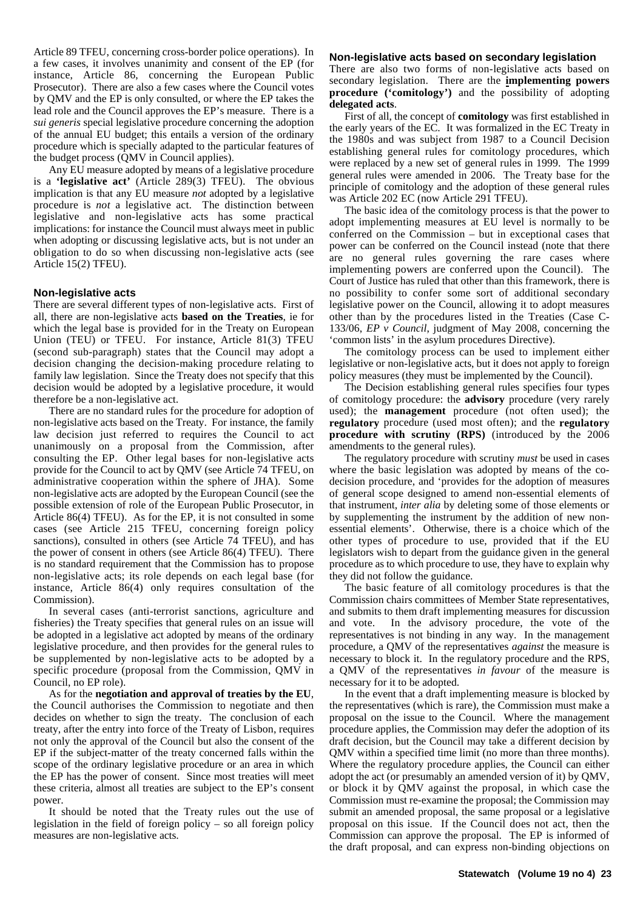Article 89 TFEU, concerning cross-border police operations). In a few cases, it involves unanimity and consent of the EP (for instance, Article 86, concerning the European Public Prosecutor). There are also a few cases where the Council votes by QMV and the EP is only consulted, or where the EP takes the lead role and the Council approves the EP's measure. There is a *sui generis* special legislative procedure concerning the adoption of the annual EU budget; this entails a version of the ordinary procedure which is specially adapted to the particular features of the budget process (QMV in Council applies).

Any EU measure adopted by means of a legislative procedure is a **'legislative act'** (Article 289(3) TFEU). The obvious implication is that any EU measure *not* adopted by a legislative procedure is *not* a legislative act. The distinction between legislative and non-legislative acts has some practical implications: for instance the Council must always meet in public when adopting or discussing legislative acts, but is not under an obligation to do so when discussing non-legislative acts (see Article 15(2) TFEU).

#### **Non-legislative acts**

There are several different types of non-legislative acts. First of all, there are non-legislative acts **based on the Treaties**, ie for which the legal base is provided for in the Treaty on European Union (TEU) or TFEU. For instance, Article 81(3) TFEU (second sub-paragraph) states that the Council may adopt a decision changing the decision-making procedure relating to family law legislation. Since the Treaty does not specify that this decision would be adopted by a legislative procedure, it would therefore be a non-legislative act.

There are no standard rules for the procedure for adoption of non-legislative acts based on the Treaty. For instance, the family law decision just referred to requires the Council to act unanimously on a proposal from the Commission, after consulting the EP. Other legal bases for non-legislative acts provide for the Council to act by QMV (see Article 74 TFEU, on administrative cooperation within the sphere of JHA). Some non-legislative acts are adopted by the European Council (see the possible extension of role of the European Public Prosecutor, in Article 86(4) TFEU). As for the EP, it is not consulted in some cases (see Article 215 TFEU, concerning foreign policy sanctions), consulted in others (see Article 74 TFEU), and has the power of consent in others (see Article 86(4) TFEU). There is no standard requirement that the Commission has to propose non-legislative acts; its role depends on each legal base (for instance, Article 86(4) only requires consultation of the Commission).

In several cases (anti-terrorist sanctions, agriculture and fisheries) the Treaty specifies that general rules on an issue will be adopted in a legislative act adopted by means of the ordinary legislative procedure, and then provides for the general rules to be supplemented by non-legislative acts to be adopted by a specific procedure (proposal from the Commission, QMV in Council, no EP role).

As for the **negotiation and approval of treaties by the EU**, the Council authorises the Commission to negotiate and then decides on whether to sign the treaty. The conclusion of each treaty, after the entry into force of the Treaty of Lisbon, requires not only the approval of the Council but also the consent of the EP if the subject-matter of the treaty concerned falls within the scope of the ordinary legislative procedure or an area in which the EP has the power of consent. Since most treaties will meet these criteria, almost all treaties are subject to the EP's consent power.

It should be noted that the Treaty rules out the use of legislation in the field of foreign policy – so all foreign policy measures are non-legislative acts.

#### **Non-legislative acts based on secondary legislation**

There are also two forms of non-legislative acts based on secondary legislation. There are the **implementing powers procedure ('comitology')** and the possibility of adopting **delegated acts**.

First of all, the concept of **comitology** was first established in the early years of the EC. It was formalized in the EC Treaty in the 1980s and was subject from 1987 to a Council Decision establishing general rules for comitology procedures, which were replaced by a new set of general rules in 1999. The 1999 general rules were amended in 2006. The Treaty base for the principle of comitology and the adoption of these general rules was Article 202 EC (now Article 291 TFEU).

The basic idea of the comitology process is that the power to adopt implementing measures at EU level is normally to be conferred on the Commission – but in exceptional cases that power can be conferred on the Council instead (note that there are no general rules governing the rare cases where implementing powers are conferred upon the Council). The Court of Justice has ruled that other than this framework, there is no possibility to confer some sort of additional secondary legislative power on the Council, allowing it to adopt measures other than by the procedures listed in the Treaties (Case C-133/06, *EP v Council*, judgment of May 2008, concerning the 'common lists' in the asylum procedures Directive).

The comitology process can be used to implement either legislative or non-legislative acts, but it does not apply to foreign policy measures (they must be implemented by the Council).

The Decision establishing general rules specifies four types of comitology procedure: the **advisory** procedure (very rarely used); the **management** procedure (not often used); the **regulatory** procedure (used most often); and the **regulatory procedure with scrutiny (RPS)** (introduced by the 2006 amendments to the general rules).

The regulatory procedure with scrutiny *must* be used in cases where the basic legislation was adopted by means of the codecision procedure, and 'provides for the adoption of measures of general scope designed to amend non-essential elements of that instrument, *inter alia* by deleting some of those elements or by supplementing the instrument by the addition of new nonessential elements'. Otherwise, there is a choice which of the other types of procedure to use, provided that if the EU legislators wish to depart from the guidance given in the general procedure as to which procedure to use, they have to explain why they did not follow the guidance.

The basic feature of all comitology procedures is that the Commission chairs committees of Member State representatives, and submits to them draft implementing measures for discussion and vote. In the advisory procedure, the vote of the representatives is not binding in any way. In the management procedure, a QMV of the representatives *against* the measure is necessary to block it. In the regulatory procedure and the RPS, a QMV of the representatives *in favour* of the measure is necessary for it to be adopted.

In the event that a draft implementing measure is blocked by the representatives (which is rare), the Commission must make a proposal on the issue to the Council. Where the management procedure applies, the Commission may defer the adoption of its draft decision, but the Council may take a different decision by QMV within a specified time limit (no more than three months). Where the regulatory procedure applies, the Council can either adopt the act (or presumably an amended version of it) by QMV, or block it by QMV against the proposal, in which case the Commission must re-examine the proposal; the Commission may submit an amended proposal, the same proposal or a legislative proposal on this issue. If the Council does not act, then the Commission can approve the proposal. The EP is informed of the draft proposal, and can express non-binding objections on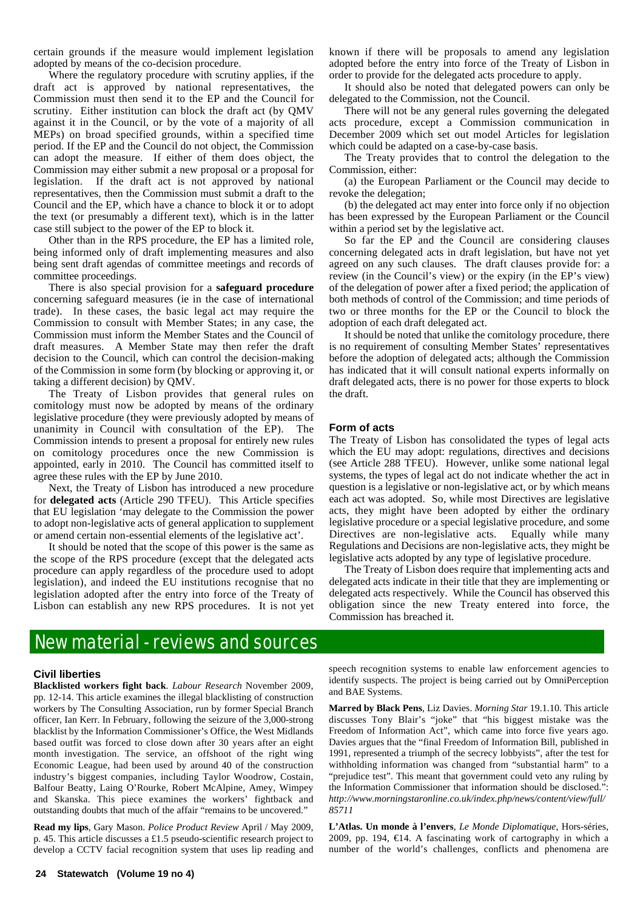certain grounds if the measure would implement legislation adopted by means of the co-decision procedure.

Where the regulatory procedure with scrutiny applies, if the draft act is approved by national representatives, the Commission must then send it to the EP and the Council for scrutiny. Either institution can block the draft act (by QMV against it in the Council, or by the vote of a majority of all MEPs) on broad specified grounds, within a specified time period. If the EP and the Council do not object, the Commission can adopt the measure. If either of them does object, the Commission may either submit a new proposal or a proposal for legislation. If the draft act is not approved by national representatives, then the Commission must submit a draft to the Council and the EP, which have a chance to block it or to adopt the text (or presumably a different text), which is in the latter case still subject to the power of the EP to block it.

Other than in the RPS procedure, the EP has a limited role, being informed only of draft implementing measures and also being sent draft agendas of committee meetings and records of committee proceedings.

There is also special provision for a **safeguard procedure** concerning safeguard measures (ie in the case of international trade). In these cases, the basic legal act may require the Commission to consult with Member States; in any case, the Commission must inform the Member States and the Council of draft measures. A Member State may then refer the draft decision to the Council, which can control the decision-making of the Commission in some form (by blocking or approving it, or taking a different decision) by QMV.

The Treaty of Lisbon provides that general rules on comitology must now be adopted by means of the ordinary legislative procedure (they were previously adopted by means of unanimity in Council with consultation of the EP). The Commission intends to present a proposal for entirely new rules on comitology procedures once the new Commission is appointed, early in 2010. The Council has committed itself to agree these rules with the EP by June 2010.

Next, the Treaty of Lisbon has introduced a new procedure for **delegated acts** (Article 290 TFEU). This Article specifies that EU legislation 'may delegate to the Commission the power to adopt non-legislative acts of general application to supplement or amend certain non-essential elements of the legislative act'.

It should be noted that the scope of this power is the same as the scope of the RPS procedure (except that the delegated acts procedure can apply regardless of the procedure used to adopt legislation), and indeed the EU institutions recognise that no legislation adopted after the entry into force of the Treaty of Lisbon can establish any new RPS procedures. It is not yet known if there will be proposals to amend any legislation adopted before the entry into force of the Treaty of Lisbon in order to provide for the delegated acts procedure to apply.

It should also be noted that delegated powers can only be delegated to the Commission, not the Council.

There will not be any general rules governing the delegated acts procedure, except a Commission communication in December 2009 which set out model Articles for legislation which could be adapted on a case-by-case basis.

The Treaty provides that to control the delegation to the Commission, either:

(a) the European Parliament or the Council may decide to revoke the delegation;

(b) the delegated act may enter into force only if no objection has been expressed by the European Parliament or the Council within a period set by the legislative act.

So far the EP and the Council are considering clauses concerning delegated acts in draft legislation, but have not yet agreed on any such clauses. The draft clauses provide for: a review (in the Council's view) or the expiry (in the EP's view) of the delegation of power after a fixed period; the application of both methods of control of the Commission; and time periods of two or three months for the EP or the Council to block the adoption of each draft delegated act.

It should be noted that unlike the comitology procedure, there is no requirement of consulting Member States' representatives before the adoption of delegated acts; although the Commission has indicated that it will consult national experts informally on draft delegated acts, there is no power for those experts to block the draft.

#### **Form of acts**

The Treaty of Lisbon has consolidated the types of legal acts which the EU may adopt: regulations, directives and decisions (see Article 288 TFEU). However, unlike some national legal systems, the types of legal act do not indicate whether the act in question is a legislative or non-legislative act, or by which means each act was adopted. So, while most Directives are legislative acts, they might have been adopted by either the ordinary legislative procedure or a special legislative procedure, and some Directives are non-legislative acts. Equally while many Regulations and Decisions are non-legislative acts, they might be legislative acts adopted by any type of legislative procedure.

The Treaty of Lisbon does require that implementing acts and delegated acts indicate in their title that they are implementing or delegated acts respectively. While the Council has observed this obligation since the new Treaty entered into force, the Commission has breached it.

## New material - reviews and sources

#### **Civil liberties**

**Blacklisted workers fight back**. *Labour Research* November 2009, pp. 12-14. This article examines the illegal blacklisting of construction workers by The Consulting Association, run by former Special Branch officer, Ian Kerr. In February, following the seizure of the 3,000-strong blacklist by the Information Commissioner's Office, the West Midlands based outfit was forced to close down after 30 years after an eight month investigation. The service, an offshoot of the right wing Economic League, had been used by around 40 of the construction industry's biggest companies, including Taylor Woodrow, Costain, Balfour Beatty, Laing O'Rourke, Robert McAlpine, Amey, Wimpey and Skanska. This piece examines the workers' fightback and outstanding doubts that much of the affair "remains to be uncovered."

**Read my lips**, Gary Mason. *Police Product Review* April / May 2009, p. 45. This article discusses a £1.5 pseudo-scientific research project to develop a CCTV facial recognition system that uses lip reading and

speech recognition systems to enable law enforcement agencies to identify suspects. The project is being carried out by OmniPerception and BAE Systems.

**Marred by Black Pens**, Liz Davies. *Morning Star* 19.1.10. This article discusses Tony Blair's "joke" that "his biggest mistake was the Freedom of Information Act", which came into force five years ago. Davies argues that the "final Freedom of Information Bill, published in 1991, represented a triumph of the secrecy lobbyists", after the test for withholding information was changed from "substantial harm" to a "prejudice test". This meant that government could veto any ruling by the Information Commissioner that information should be disclosed.": *http://www.morningstaronline.co.uk/index.php/news/content/view/full/ 85711*

**L'Atlas. Un monde à l'envers**, *Le Monde Diplomatique*, Hors-séries, 2009, pp. 194,  $\in$  4. A fascinating work of cartography in which a number of the world's challenges, conflicts and phenomena are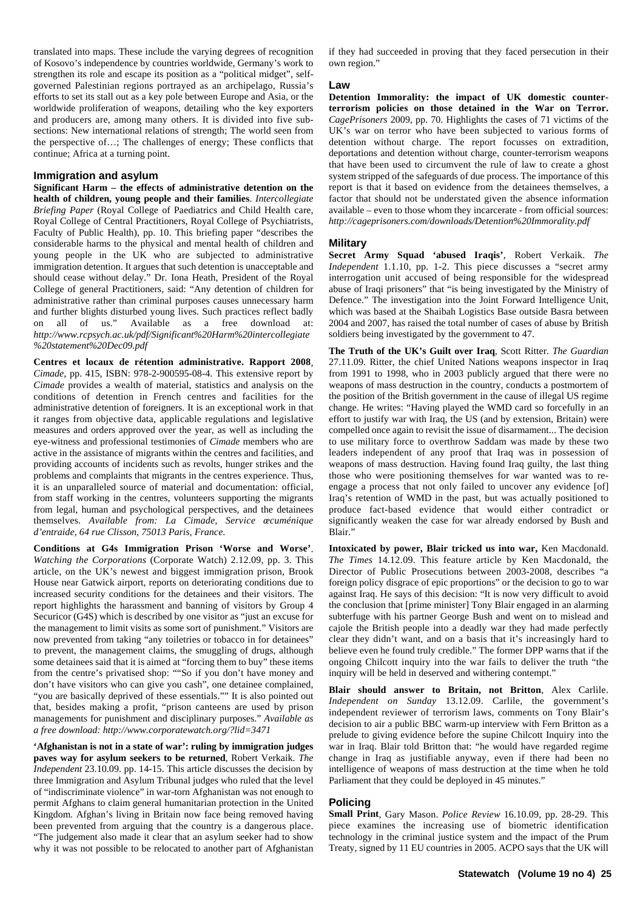translated into maps. These include the varying degrees of recognition of Kosovo's independence by countries worldwide, Germany's work to strengthen its role and escape its position as a "political midget", selfgoverned Palestinian regions portrayed as an archipelago, Russia's efforts to set its stall out as a key pole between Europe and Asia, or the worldwide proliferation of weapons, detailing who the key exporters and producers are, among many others. It is divided into five subsections: New international relations of strength; The world seen from the perspective of…; The challenges of energy; These conflicts that continue; Africa at a turning point.

#### **Immigration and asylum**

**Significant Harm – the effects of administrative detention on the health of children, young people and their families**. *Intercollegiate Briefing Paper* (Royal College of Paediatrics and Child Health care, Royal College of Central Practitioners, Royal College of Psychiatrists, Faculty of Public Health), pp. 10. This briefing paper "describes the considerable harms to the physical and mental health of children and young people in the UK who are subjected to administrative immigration detention. It argues that such detention is unacceptable and should cease without delay." Dr. Iona Heath, President of the Royal College of general Practitioners, said: "Any detention of children for administrative rather than criminal purposes causes unnecessary harm and further blights disturbed young lives. Such practices reflect badly on all of us." Available as a free download at: *http://www.rcpsych.ac.uk/pdf/Significant%20Harm%20intercollegiate %20statement%20Dec09.pdf*

**Centres et locaux de rétention administrative. Rapport 2008**, *Cimade*, pp. 415, ISBN: 978-2-900595-08-4. This extensive report by *Cimade* provides a wealth of material, statistics and analysis on the conditions of detention in French centres and facilities for the administrative detention of foreigners. It is an exceptional work in that it ranges from objective data, applicable regulations and legislative measures and orders approved over the year, as well as including the eye-witness and professional testimonies of *Cimade* members who are active in the assistance of migrants within the centres and facilities, and providing accounts of incidents such as revolts, hunger strikes and the problems and complaints that migrants in the centres experience. Thus, it is an unparalleled source of material and documentation: official, from staff working in the centres, volunteers supporting the migrants from legal, human and psychological perspectives, and the detainees themselves. *Available from: La Cimade, Service œcuménique d'entraide, 64 rue Clisson, 75013 Paris, France.*

**Conditions at G4s Immigration Prison 'Worse and Worse'**. *Watching the Corporations* (Corporate Watch) 2.12.09, pp. 3. This article, on the UK's newest and biggest immigration prison, Brook House near Gatwick airport, reports on deteriorating conditions due to increased security conditions for the detainees and their visitors. The report highlights the harassment and banning of visitors by Group 4 Securicor (G4S) which is described by one visitor as "just an excuse for the management to limit visits as some sort of punishment." Visitors are now prevented from taking "any toiletries or tobacco in for detainees" to prevent, the management claims, the smuggling of drugs, although some detainees said that it is aimed at "forcing them to buy" these items from the centre's privatised shop: ""So if you don't have money and don't have visitors who can give you cash", one detainee complained, "you are basically deprived of these essentials."" It is also pointed out that, besides making a profit, "prison canteens are used by prison managements for punishment and disciplinary purposes." *Available as a free download: http://www.corporatewatch.org/?lid=3471*

**'Afghanistan is not in a state of war': ruling by immigration judges paves way for asylum seekers to be returned**, Robert Verkaik. *The Independent* 23.10.09. pp. 14-15. This article discusses the decision by three Immigration and Asylum Tribunal judges who ruled that the level of "indiscriminate violence" in war-torn Afghanistan was not enough to permit Afghans to claim general humanitarian protection in the United Kingdom. Afghan's living in Britain now face being removed having been prevented from arguing that the country is a dangerous place. "The judgement also made it clear that an asylum seeker had to show why it was not possible to be relocated to another part of Afghanistan if they had succeeded in proving that they faced persecution in their own region."

#### **Law**

**Detention Immorality: the impact of UK domestic counterterrorism policies on those detained in the War on Terror.** *CagePrisoners* 2009, pp. 70. Highlights the cases of 71 victims of the UK's war on terror who have been subjected to various forms of detention without charge. The report focusses on extradition, deportations and detention without charge, counter-terrorism weapons that have been used to circumvent the rule of law to create a ghost system stripped of the safeguards of due process. The importance of this report is that it based on evidence from the detainees themselves, a factor that should not be understated given the absence information available – even to those whom they incarcerate - from official sources: *http://cageprisoners.com/downloads/Detention%20Immorality.pdf*

#### **Military**

**Secret Army Squad 'abused Iraqis'**, Robert Verkaik. *The Independent* 1.1.10, pp. 1-2. This piece discusses a "secret army interrogation unit accused of being responsible for the widespread abuse of Iraqi prisoners" that "is being investigated by the Ministry of Defence." The investigation into the Joint Forward Intelligence Unit, which was based at the Shaibah Logistics Base outside Basra between 2004 and 2007, has raised the total number of cases of abuse by British soldiers being investigated by the government to 47.

**The Truth of the UK's Guilt over Iraq**, Scott Ritter. *The Guardian* 27.11.09. Ritter, the chief United Nations weapons inspector in Iraq from 1991 to 1998, who in 2003 publicly argued that there were no weapons of mass destruction in the country, conducts a postmortem of the position of the British government in the cause of illegal US regime change. He writes: "Having played the WMD card so forcefully in an effort to justify war with Iraq, the US (and by extension, Britain) were compelled once again to revisit the issue of disarmament... The decision to use military force to overthrow Saddam was made by these two leaders independent of any proof that Iraq was in possession of weapons of mass destruction. Having found Iraq guilty, the last thing those who were positioning themselves for war wanted was to reengage a process that not only failed to uncover any evidence [of] Iraq's retention of WMD in the past, but was actually positioned to produce fact-based evidence that would either contradict or significantly weaken the case for war already endorsed by Bush and Blair."

**Intoxicated by power, Blair tricked us into war,** Ken Macdonald. *The Times* 14.12.09. This feature article by Ken Macdonald, the Director of Public Prosecutions between 2003-2008, describes "a foreign policy disgrace of epic proportions" or the decision to go to war against Iraq. He says of this decision: "It is now very difficult to avoid the conclusion that [prime minister] Tony Blair engaged in an alarming subterfuge with his partner George Bush and went on to mislead and cajole the British people into a deadly war they had made perfectly clear they didn't want, and on a basis that it's increasingly hard to believe even he found truly credible." The former DPP warns that if the ongoing Chilcott inquiry into the war fails to deliver the truth "the inquiry will be held in deserved and withering contempt."

**Blair should answer to Britain, not Britton**, Alex Carlile. *Independent on Sunday* 13.12.09. Carlile, the government's independent reviewer of terrorism laws, comments on Tony Blair's decision to air a public BBC warm-up interview with Fern Britton as a prelude to giving evidence before the supine Chilcott Inquiry into the war in Iraq. Blair told Britton that: "he would have regarded regime change in Iraq as justifiable anyway, even if there had been no intelligence of weapons of mass destruction at the time when he told Parliament that they could be deployed in 45 minutes."

#### **Policing**

**Small Print**, Gary Mason. *Police Review* 16.10.09, pp. 28-29. This piece examines the increasing use of biometric identification technology in the criminal justice system and the impact of the Prum Treaty, signed by 11 EU countries in 2005. ACPO says that the UK will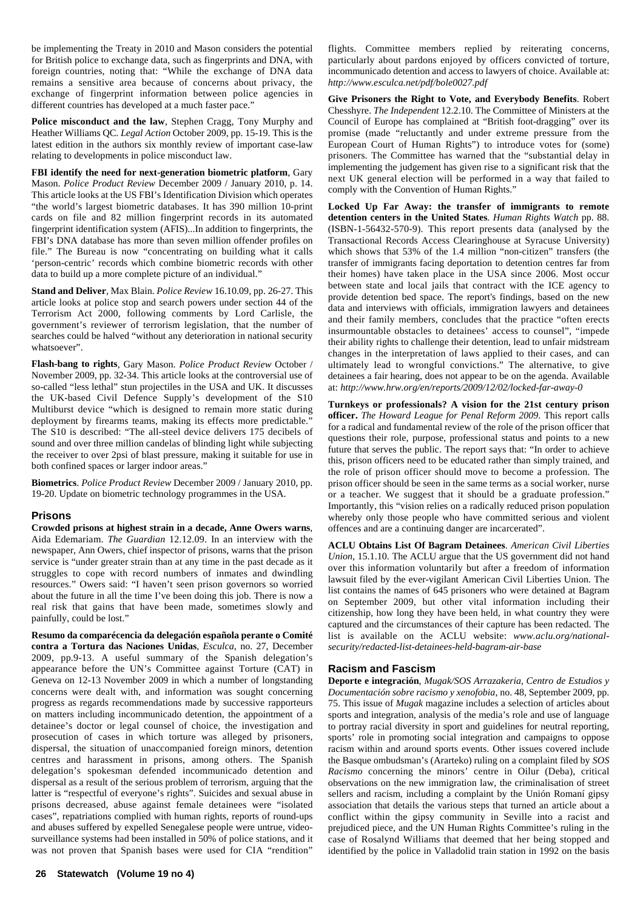be implementing the Treaty in 2010 and Mason considers the potential for British police to exchange data, such as fingerprints and DNA, with foreign countries, noting that: "While the exchange of DNA data remains a sensitive area because of concerns about privacy, the exchange of fingerprint information between police agencies in different countries has developed at a much faster pace."

**Police misconduct and the law**, Stephen Cragg, Tony Murphy and Heather Williams QC. *Legal Action* October 2009, pp. 15-19. This is the latest edition in the authors six monthly review of important case-law relating to developments in police misconduct law.

**FBI identify the need for next-generation biometric platform**, Gary Mason. *Police Product Review* December 2009 / January 2010, p. 14. This article looks at the US FBI's Identification Division which operates "the world's largest biometric databases. It has 390 million 10-print cards on file and 82 million fingerprint records in its automated fingerprint identification system (AFIS)...In addition to fingerprints, the FBI's DNA database has more than seven million offender profiles on file." The Bureau is now "concentrating on building what it calls 'person-centric' records which combine biometric records with other data to build up a more complete picture of an individual."

**Stand and Deliver**, Max Blain. *Police Review* 16.10.09, pp. 26-27. This article looks at police stop and search powers under section 44 of the Terrorism Act 2000, following comments by Lord Carlisle, the government's reviewer of terrorism legislation, that the number of searches could be halved "without any deterioration in national security whatsoever".

**Flash-bang to rights**, Gary Mason. *Police Product Review* October / November 2009, pp. 32-34. This article looks at the controversial use of so-called "less lethal" stun projectiles in the USA and UK. It discusses the UK-based Civil Defence Supply's development of the S10 Multiburst device "which is designed to remain more static during deployment by firearms teams, making its effects more predictable." The S10 is described: "The all-steel device delivers 175 decibels of sound and over three million candelas of blinding light while subjecting the receiver to over 2psi of blast pressure, making it suitable for use in both confined spaces or larger indoor areas."

**Biometrics**. *Police Product Review* December 2009 / January 2010, pp. 19-20. Update on biometric technology programmes in the USA.

#### **Prisons**

**Crowded prisons at highest strain in a decade, Anne Owers warns**, Aida Edemariam. *The Guardian* 12.12.09. In an interview with the newspaper, Ann Owers, chief inspector of prisons, warns that the prison service is "under greater strain than at any time in the past decade as it struggles to cope with record numbers of inmates and dwindling resources." Owers said: "I haven't seen prison governors so worried about the future in all the time I've been doing this job. There is now a real risk that gains that have been made, sometimes slowly and painfully, could be lost."

**Resumo da comparécencia da delegación española perante o Comité contra a Tortura das Naciones Unidas**, *Esculca*, no. 27, December 2009, pp.9-13. A useful summary of the Spanish delegation's appearance before the UN's Committee against Torture (CAT) in Geneva on 12-13 November 2009 in which a number of longstanding concerns were dealt with, and information was sought concerning progress as regards recommendations made by successive rapporteurs on matters including incommunicado detention, the appointment of a detainee's doctor or legal counsel of choice, the investigation and prosecution of cases in which torture was alleged by prisoners, dispersal, the situation of unaccompanied foreign minors, detention centres and harassment in prisons, among others. The Spanish delegation's spokesman defended incommunicado detention and dispersal as a result of the serious problem of terrorism, arguing that the latter is "respectful of everyone's rights". Suicides and sexual abuse in prisons decreased, abuse against female detainees were "isolated cases", repatriations complied with human rights, reports of round-ups and abuses suffered by expelled Senegalese people were untrue, videosurveillance systems had been installed in 50% of police stations, and it was not proven that Spanish bases were used for CIA "rendition"

flights. Committee members replied by reiterating concerns, particularly about pardons enjoyed by officers convicted of torture, incommunicado detention and access to lawyers of choice. Available at: *http://www.esculca.net/pdf/bole0027.pdf*

**Give Prisoners the Right to Vote, and Everybody Benefits**. Robert Chesshyre. *The Independent* 12.2.10. The Committee of Ministers at the Council of Europe has complained at "British foot-dragging" over its promise (made "reluctantly and under extreme pressure from the European Court of Human Rights") to introduce votes for (some) prisoners. The Committee has warned that the "substantial delay in implementing the judgement has given rise to a significant risk that the next UK general election will be performed in a way that failed to comply with the Convention of Human Rights."

**Locked Up Far Away: the transfer of immigrants to remote detention centers in the United States**. *Human Rights Watch* pp. 88. (ISBN-1-56432-570-9). This report presents data (analysed by the Transactional Records Access Clearinghouse at Syracuse University) which shows that 53% of the 1.4 million "non-citizen" transfers (the transfer of immigrants facing deportation to detention centres far from their homes) have taken place in the USA since 2006. Most occur between state and local jails that contract with the ICE agency to provide detention bed space. The report's findings, based on the new data and interviews with officials, immigration lawyers and detainees and their family members, concludes that the practice "often erects insurmountable obstacles to detainees' access to counsel", "impede their ability rights to challenge their detention, lead to unfair midstream changes in the interpretation of laws applied to their cases, and can ultimately lead to wrongful convictions." The alternative, to give detainees a fair hearing, does not appear to be on the agenda. Available at: *http://www.hrw.org/en/reports/2009/12/02/locked-far-away-0*

**Turnkeys or professionals? A vision for the 21st century prison officer.** *The Howard League for Penal Reform 2009*. This report calls for a radical and fundamental review of the role of the prison officer that questions their role, purpose, professional status and points to a new future that serves the public. The report says that: "In order to achieve this, prison officers need to be educated rather than simply trained, and the role of prison officer should move to become a profession. The prison officer should be seen in the same terms as a social worker, nurse or a teacher. We suggest that it should be a graduate profession." Importantly, this "vision relies on a radically reduced prison population whereby only those people who have committed serious and violent offences and are a continuing danger are incarcerated".

**ACLU Obtains List Of Bagram Detainees**. *American Civil Liberties Union*, 15.1.10. The ACLU argue that the US government did not hand over this information voluntarily but after a freedom of information lawsuit filed by the ever-vigilant American Civil Liberties Union. The list contains the names of 645 prisoners who were detained at Bagram on September 2009, but other vital information including their citizenship, how long they have been held, in what country they were captured and the circumstances of their capture has been redacted. The list is available on the ACLU website: *www.aclu.org/nationalsecurity/redacted-list-detainees-held-bagram-air-base*

#### **Racism and Fascism**

**Deporte e integración**, *Mugak/SOS Arrazakeria, Centro de Estudios y Documentación sobre racismo y xenofobia*, no. 48, September 2009, pp. 75. This issue of *Mugak* magazine includes a selection of articles about sports and integration, analysis of the media's role and use of language to portray racial diversity in sport and guidelines for neutral reporting, sports' role in promoting social integration and campaigns to oppose racism within and around sports events. Other issues covered include the Basque ombudsman's (Ararteko) ruling on a complaint filed by *SOS Racismo* concerning the minors' centre in Oilur (Deba), critical observations on the new immigration law, the criminalisation of street sellers and racism, including a complaint by the Unión Romaní gipsy association that details the various steps that turned an article about a conflict within the gipsy community in Seville into a racist and prejudiced piece, and the UN Human Rights Committee's ruling in the case of Rosalynd Williams that deemed that her being stopped and identified by the police in Valladolid train station in 1992 on the basis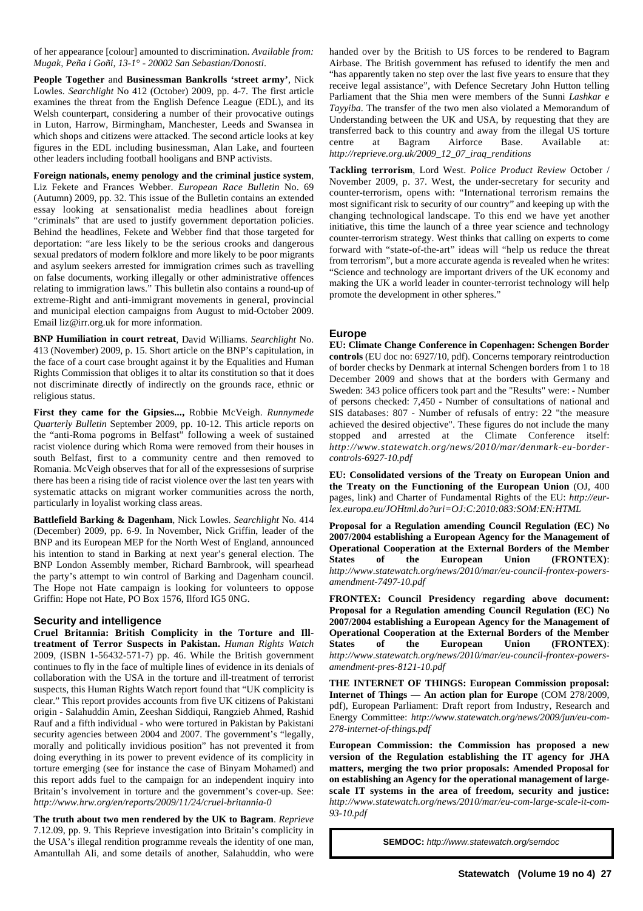of her appearance [colour] amounted to discrimination. *Available from: Mugak, Peña i Goñi, 13-1° - 20002 San Sebastian/Donosti*.

**People Together** and **Businessman Bankrolls 'street army'**, Nick Lowles. *Searchlight* No 412 (October) 2009, pp. 4-7. The first article examines the threat from the English Defence League (EDL), and its Welsh counterpart, considering a number of their provocative outings in Luton, Harrow, Birmingham, Manchester, Leeds and Swansea in which shops and citizens were attacked. The second article looks at key figures in the EDL including businessman, Alan Lake, and fourteen other leaders including football hooligans and BNP activists.

**Foreign nationals, enemy penology and the criminal justice system**, Liz Fekete and Frances Webber. *European Race Bulletin* No. 69 (Autumn) 2009, pp. 32. This issue of the Bulletin contains an extended essay looking at sensationalist media headlines about foreign "criminals" that are used to justify government deportation policies. Behind the headlines, Fekete and Webber find that those targeted for deportation: "are less likely to be the serious crooks and dangerous sexual predators of modern folklore and more likely to be poor migrants and asylum seekers arrested for immigration crimes such as travelling on false documents, working illegally or other administrative offences relating to immigration laws." This bulletin also contains a round-up of extreme-Right and anti-immigrant movements in general, provincial and municipal election campaigns from August to mid-October 2009. Email liz@irr.org.uk for more information.

**BNP Humiliation in court retreat**, David Williams. *Searchlight* No. 413 (November) 2009, p. 15. Short article on the BNP's capitulation, in the face of a court case brought against it by the Equalities and Human Rights Commission that obliges it to altar its constitution so that it does not discriminate directly of indirectly on the grounds race, ethnic or religious status.

**First they came for the Gipsies...,** Robbie McVeigh. *Runnymede Quarterly Bulletin* September 2009, pp. 10-12. This article reports on the "anti-Roma pogroms in Belfast" following a week of sustained racist violence during which Roma were removed from their houses in south Belfast, first to a community centre and then removed to Romania. McVeigh observes that for all of the expressesions of surprise there has been a rising tide of racist violence over the last ten years with systematic attacks on migrant worker communities across the north, particularly in loyalist working class areas.

**Battlefield Barking & Dagenham**, Nick Lowles. *Searchlight* No. 414 (December) 2009, pp. 6-9. In November, Nick Griffin, leader of the BNP and its European MEP for the North West of England, announced his intention to stand in Barking at next year's general election. The BNP London Assembly member, Richard Barnbrook, will spearhead the party's attempt to win control of Barking and Dagenham council. The Hope not Hate campaign is looking for volunteers to oppose Griffin: Hope not Hate, PO Box 1576, Ilford IG5 0NG.

#### **Security and intelligence**

**Cruel Britannia: British Complicity in the Torture and Illtreatment of Terror Suspects in Pakistan.** *Human Rights Watch* 2009, (ISBN 1-56432-571-7) pp. 46. While the British government continues to fly in the face of multiple lines of evidence in its denials of collaboration with the USA in the torture and ill-treatment of terrorist suspects, this Human Rights Watch report found that "UK complicity is clear." This report provides accounts from five UK citizens of Pakistani origin - Salahuddin Amin, Zeeshan Siddiqui, Rangzieb Ahmed, Rashid Rauf and a fifth individual - who were tortured in Pakistan by Pakistani security agencies between 2004 and 2007. The government's "legally, morally and politically invidious position" has not prevented it from doing everything in its power to prevent evidence of its complicity in torture emerging (see for instance the case of Binyam Mohamed) and this report adds fuel to the campaign for an independent inquiry into Britain's involvement in torture and the government's cover-up. See: *http://www.hrw.org/en/reports/2009/11/24/cruel-britannia-0*

**The truth about two men rendered by the UK to Bagram**. *Reprieve* 7.12.09, pp. 9. This Reprieve investigation into Britain's complicity in the USA's illegal rendition programme reveals the identity of one man, Amantullah Ali, and some details of another, Salahuddin, who were

handed over by the British to US forces to be rendered to Bagram Airbase. The British government has refused to identify the men and "has apparently taken no step over the last five years to ensure that they receive legal assistance", with Defence Secretary John Hutton telling Parliament that the Shia men were members of the Sunni *Lashkar e Tayyiba*. The transfer of the two men also violated a Memorandum of Understanding between the UK and USA, by requesting that they are transferred back to this country and away from the illegal US torture centre at Bagram Airforce Base. Available at: *http://reprieve.org.uk/2009\_12\_07\_iraq\_renditions*

**Tackling terrorism**, Lord West. *Police Product Review* October / November 2009, p. 37. West, the under-secretary for security and counter-terrorism, opens with: "International terrorism remains the most significant risk to security of our country" and keeping up with the changing technological landscape. To this end we have yet another initiative, this time the launch of a three year science and technology counter-terrorism strategy. West thinks that calling on experts to come forward with "state-of-the-art" ideas will "help us reduce the threat from terrorism", but a more accurate agenda is revealed when he writes: "Science and technology are important drivers of the UK economy and making the UK a world leader in counter-terrorist technology will help promote the development in other spheres."

#### **Europe**

**EU: Climate Change Conference in Copenhagen: Schengen Border controls** (EU doc no: 6927/10, pdf). Concerns temporary reintroduction of border checks by Denmark at internal Schengen borders from 1 to 18 December 2009 and shows that at the borders with Germany and Sweden: 343 police officers took part and the "Results" were: - Number of persons checked: 7,450 - Number of consultations of national and SIS databases: 807 - Number of refusals of entry: 22 "the measure achieved the desired objective". These figures do not include the many stopped and arrested at the Climate Conference itself: *http://www.statewatch.org/news/2010/mar/denmark-eu-bordercontrols-6927-10.pdf*

**EU: Consolidated versions of the Treaty on European Union and the Treaty on the Functioning of the European Union** (OJ, 400 pages, link) and Charter of Fundamental Rights of the EU: *http://eurlex.europa.eu/JOHtml.do?uri=OJ:C:2010:083:SOM:EN:HTML*

**Proposal for a Regulation amending Council Regulation (EC) No 2007/2004 establishing a European Agency for the Management of Operational Cooperation at the External Borders of the Member States of the European Union (FRONTEX)**: *http://www.statewatch.org/news/2010/mar/eu-council-frontex-powersamendment-7497-10.pdf*

**FRONTEX: Council Presidency regarding above document: Proposal for a Regulation amending Council Regulation (EC) No 2007/2004 establishing a European Agency for the Management of Operational Cooperation at the External Borders of the Member States of the European Union (FRONTEX)**: *http://www.statewatch.org/news/2010/mar/eu-council-frontex-powersamendment-pres-8121-10.pdf*

**THE INTERNET OF THINGS: European Commission proposal: Internet of Things — An action plan for Europe** (COM 278/2009, pdf), European Parliament: Draft report from Industry, Research and Energy Committee: *http://www.statewatch.org/news/2009/jun/eu-com-278-internet-of-things.pdf*

**European Commission: the Commission has proposed a new version of the Regulation establishing the IT agency for JHA matters, merging the two prior proposals: Amended Proposal for on establishing an Agency for the operational management of largescale IT systems in the area of freedom, security and justice:** *http://www.statewatch.org/news/2010/mar/eu-com-large-scale-it-com-93-10.pdf*

**SEMDOC:** *http://www.statewatch.org/semdoc*